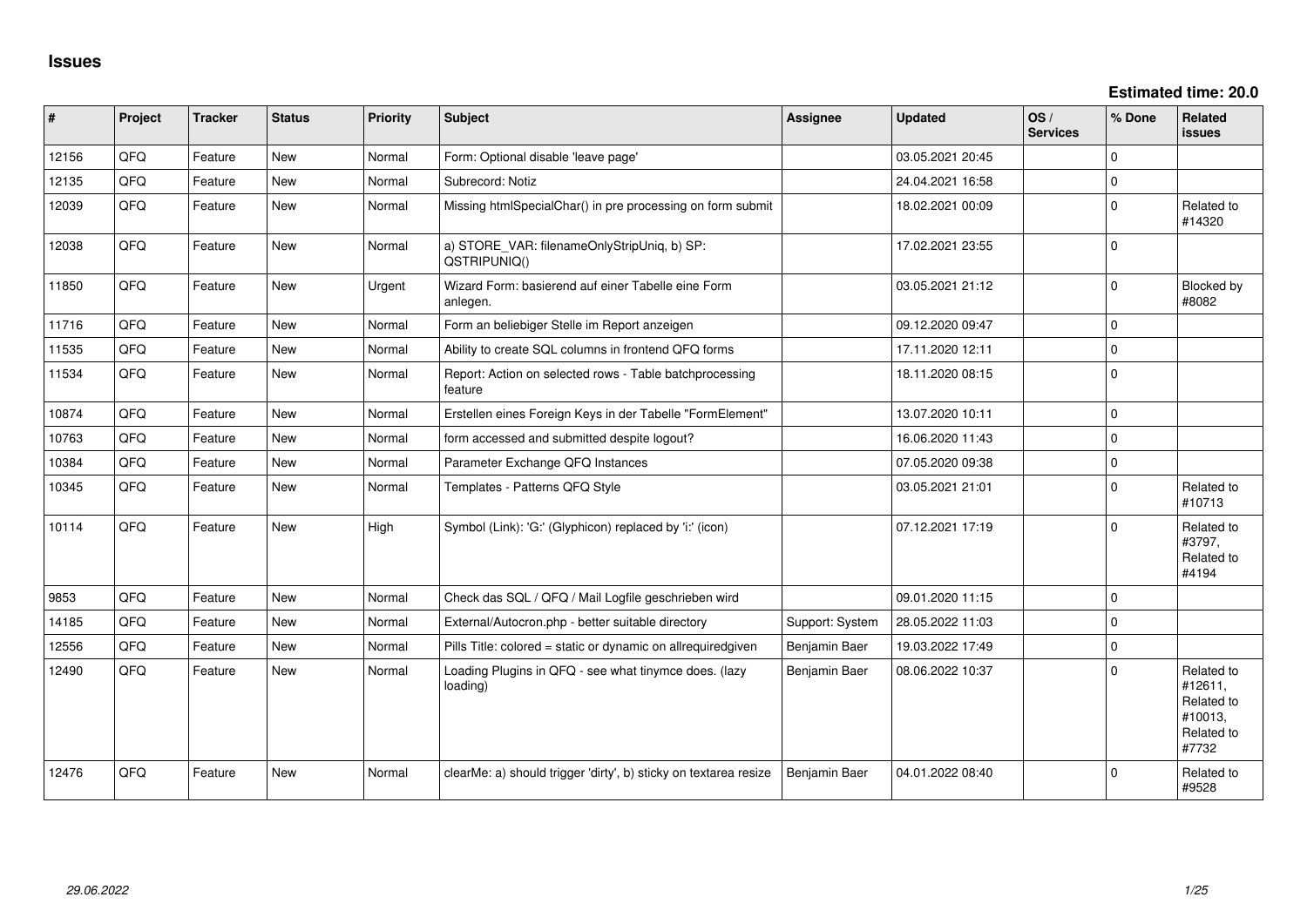**Estimated time: 20.0**

| $\vert$ # | Project | <b>Tracker</b> | <b>Status</b> | <b>Priority</b> | Subject                                                            | <b>Assignee</b> | <b>Updated</b>   | OS/<br><b>Services</b> | % Done      | <b>Related</b><br>issues                                              |
|-----------|---------|----------------|---------------|-----------------|--------------------------------------------------------------------|-----------------|------------------|------------------------|-------------|-----------------------------------------------------------------------|
| 12156     | QFQ     | Feature        | <b>New</b>    | Normal          | Form: Optional disable 'leave page'                                |                 | 03.05.2021 20:45 |                        | $\Omega$    |                                                                       |
| 12135     | QFQ     | Feature        | <b>New</b>    | Normal          | Subrecord: Notiz                                                   |                 | 24.04.2021 16:58 |                        | $\mathbf 0$ |                                                                       |
| 12039     | QFQ     | Feature        | New           | Normal          | Missing htmlSpecialChar() in pre processing on form submit         |                 | 18.02.2021 00:09 |                        | $\mathbf 0$ | Related to<br>#14320                                                  |
| 12038     | QFQ     | Feature        | <b>New</b>    | Normal          | a) STORE_VAR: filenameOnlyStripUniq, b) SP:<br>QSTRIPUNIQ()        |                 | 17.02.2021 23:55 |                        | $\Omega$    |                                                                       |
| 11850     | QFQ     | Feature        | New           | Urgent          | Wizard Form: basierend auf einer Tabelle eine Form<br>anlegen.     |                 | 03.05.2021 21:12 |                        | $\Omega$    | Blocked by<br>#8082                                                   |
| 11716     | QFQ     | Feature        | <b>New</b>    | Normal          | Form an beliebiger Stelle im Report anzeigen                       |                 | 09.12.2020 09:47 |                        | $\Omega$    |                                                                       |
| 11535     | QFQ     | Feature        | <b>New</b>    | Normal          | Ability to create SQL columns in frontend QFQ forms                |                 | 17.11.2020 12:11 |                        | $\Omega$    |                                                                       |
| 11534     | QFQ     | Feature        | New           | Normal          | Report: Action on selected rows - Table batchprocessing<br>feature |                 | 18.11.2020 08:15 |                        | $\Omega$    |                                                                       |
| 10874     | QFQ     | Feature        | New           | Normal          | Erstellen eines Foreign Keys in der Tabelle "FormElement"          |                 | 13.07.2020 10:11 |                        | $\mathbf 0$ |                                                                       |
| 10763     | QFQ     | Feature        | New           | Normal          | form accessed and submitted despite logout?                        |                 | 16.06.2020 11:43 |                        | $\mathbf 0$ |                                                                       |
| 10384     | QFQ     | Feature        | <b>New</b>    | Normal          | Parameter Exchange QFQ Instances                                   |                 | 07.05.2020 09:38 |                        | $\Omega$    |                                                                       |
| 10345     | QFQ     | Feature        | <b>New</b>    | Normal          | Templates - Patterns QFQ Style                                     |                 | 03.05.2021 21:01 |                        | $\Omega$    | Related to<br>#10713                                                  |
| 10114     | QFQ     | Feature        | <b>New</b>    | High            | Symbol (Link): 'G:' (Glyphicon) replaced by 'i:' (icon)            |                 | 07.12.2021 17:19 |                        | $\Omega$    | Related to<br>#3797,<br>Related to<br>#4194                           |
| 9853      | QFQ     | Feature        | <b>New</b>    | Normal          | Check das SQL / QFQ / Mail Logfile geschrieben wird                |                 | 09.01.2020 11:15 |                        | $\Omega$    |                                                                       |
| 14185     | QFQ     | Feature        | <b>New</b>    | Normal          | External/Autocron.php - better suitable directory                  | Support: System | 28.05.2022 11:03 |                        | $\Omega$    |                                                                       |
| 12556     | QFQ     | Feature        | <b>New</b>    | Normal          | Pills Title: colored = static or dynamic on allrequiredgiven       | Benjamin Baer   | 19.03.2022 17:49 |                        | $\Omega$    |                                                                       |
| 12490     | QFQ     | Feature        | New           | Normal          | Loading Plugins in QFQ - see what tinymce does. (lazy<br>loading)  | Benjamin Baer   | 08.06.2022 10:37 |                        | $\Omega$    | Related to<br>#12611.<br>Related to<br>#10013,<br>Related to<br>#7732 |
| 12476     | QFQ     | Feature        | <b>New</b>    | Normal          | clearMe: a) should trigger 'dirty', b) sticky on textarea resize   | Benjamin Baer   | 04.01.2022 08:40 |                        | 0           | Related to<br>#9528                                                   |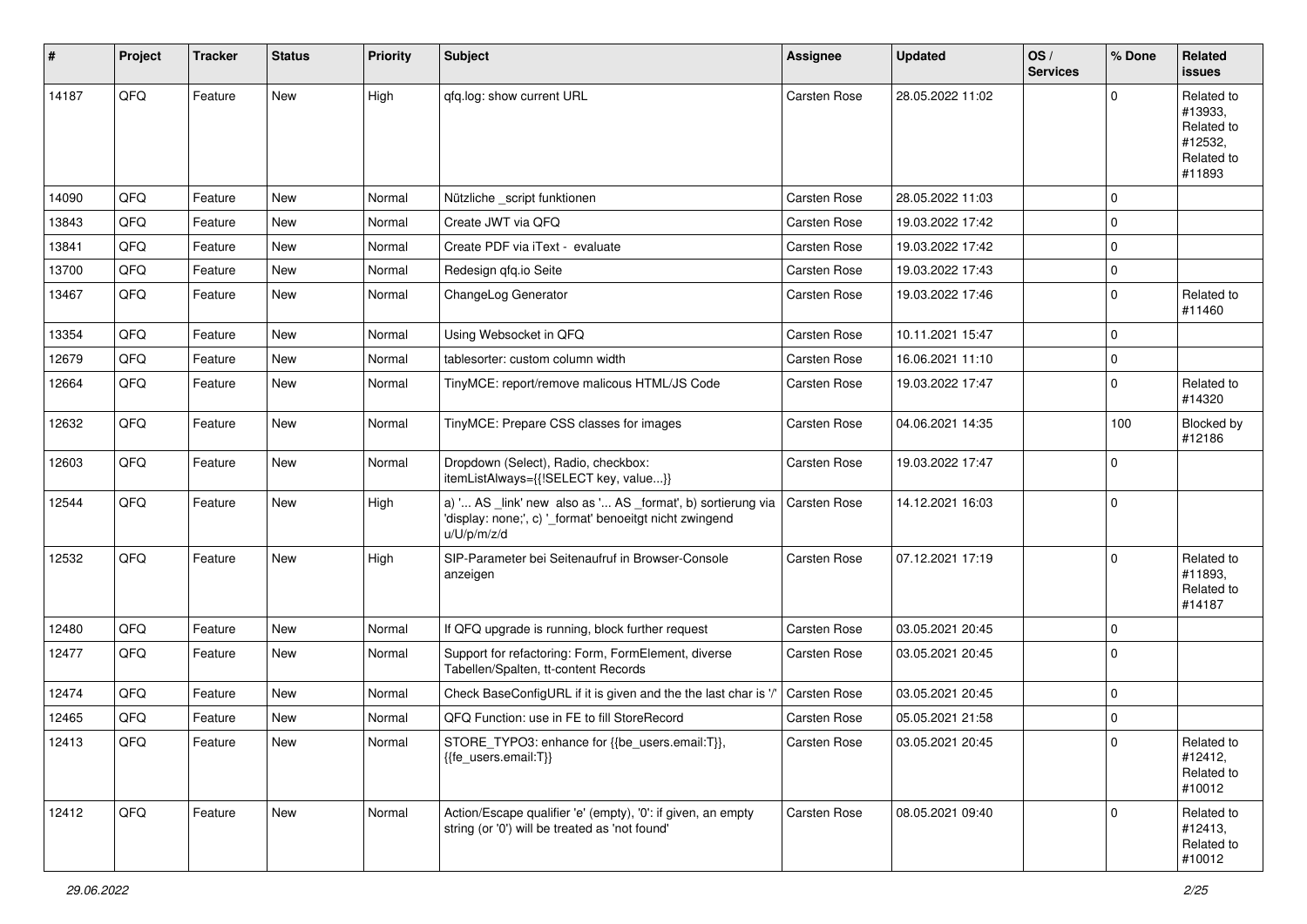| #     | Project | <b>Tracker</b> | <b>Status</b> | <b>Priority</b> | Subject                                                                                                                                              | <b>Assignee</b>     | <b>Updated</b>   | OS/<br><b>Services</b> | % Done      | Related<br>issues                                                      |
|-------|---------|----------------|---------------|-----------------|------------------------------------------------------------------------------------------------------------------------------------------------------|---------------------|------------------|------------------------|-------------|------------------------------------------------------------------------|
| 14187 | QFQ     | Feature        | New           | High            | qfq.log: show current URL                                                                                                                            | Carsten Rose        | 28.05.2022 11:02 |                        | $\Omega$    | Related to<br>#13933,<br>Related to<br>#12532,<br>Related to<br>#11893 |
| 14090 | QFQ     | Feature        | New           | Normal          | Nützliche _script funktionen                                                                                                                         | <b>Carsten Rose</b> | 28.05.2022 11:03 |                        | $\mathbf 0$ |                                                                        |
| 13843 | QFQ     | Feature        | New           | Normal          | Create JWT via QFQ                                                                                                                                   | Carsten Rose        | 19.03.2022 17:42 |                        | 0           |                                                                        |
| 13841 | QFQ     | Feature        | New           | Normal          | Create PDF via iText - evaluate                                                                                                                      | Carsten Rose        | 19.03.2022 17:42 |                        | $\Omega$    |                                                                        |
| 13700 | QFQ     | Feature        | New           | Normal          | Redesign gfg.io Seite                                                                                                                                | Carsten Rose        | 19.03.2022 17:43 |                        | 0           |                                                                        |
| 13467 | QFQ     | Feature        | New           | Normal          | ChangeLog Generator                                                                                                                                  | Carsten Rose        | 19.03.2022 17:46 |                        | $\mathbf 0$ | Related to<br>#11460                                                   |
| 13354 | QFQ     | Feature        | New           | Normal          | Using Websocket in QFQ                                                                                                                               | Carsten Rose        | 10.11.2021 15:47 |                        | $\Omega$    |                                                                        |
| 12679 | QFQ     | Feature        | New           | Normal          | tablesorter: custom column width                                                                                                                     | Carsten Rose        | 16.06.2021 11:10 |                        | $\mathbf 0$ |                                                                        |
| 12664 | QFQ     | Feature        | New           | Normal          | TinyMCE: report/remove malicous HTML/JS Code                                                                                                         | Carsten Rose        | 19.03.2022 17:47 |                        | $\mathbf 0$ | Related to<br>#14320                                                   |
| 12632 | QFQ     | Feature        | New           | Normal          | TinyMCE: Prepare CSS classes for images                                                                                                              | Carsten Rose        | 04.06.2021 14:35 |                        | 100         | Blocked by<br>#12186                                                   |
| 12603 | QFQ     | Feature        | New           | Normal          | Dropdown (Select), Radio, checkbox:<br>itemListAlways={{!SELECT key, value}}                                                                         | Carsten Rose        | 19.03.2022 17:47 |                        | $\mathbf 0$ |                                                                        |
| 12544 | QFQ     | Feature        | New           | High            | a) ' AS _link' new also as ' AS _format', b) sortierung via   Carsten Rose<br>'display: none;', c) '_format' benoeitgt nicht zwingend<br>u/U/p/m/z/d |                     | 14.12.2021 16:03 |                        | $\mathbf 0$ |                                                                        |
| 12532 | QFQ     | Feature        | New           | High            | SIP-Parameter bei Seitenaufruf in Browser-Console<br>anzeigen                                                                                        | Carsten Rose        | 07.12.2021 17:19 |                        | $\Omega$    | Related to<br>#11893,<br>Related to<br>#14187                          |
| 12480 | QFQ     | Feature        | New           | Normal          | If QFQ upgrade is running, block further request                                                                                                     | <b>Carsten Rose</b> | 03.05.2021 20:45 |                        | $\mathbf 0$ |                                                                        |
| 12477 | QFQ     | Feature        | New           | Normal          | Support for refactoring: Form, FormElement, diverse<br>Tabellen/Spalten, tt-content Records                                                          | Carsten Rose        | 03.05.2021 20:45 |                        | $\Omega$    |                                                                        |
| 12474 | QFQ     | Feature        | New           | Normal          | Check BaseConfigURL if it is given and the the last char is '/'                                                                                      | <b>Carsten Rose</b> | 03.05.2021 20:45 |                        | $\mathbf 0$ |                                                                        |
| 12465 | QFQ     | Feature        | New           | Normal          | QFQ Function: use in FE to fill StoreRecord                                                                                                          | Carsten Rose        | 05.05.2021 21:58 |                        | $\mathbf 0$ |                                                                        |
| 12413 | QFQ     | Feature        | New           | Normal          | STORE_TYPO3: enhance for {{be_users.email:T}},<br>{{fe_users.email:T}}                                                                               | Carsten Rose        | 03.05.2021 20:45 |                        | 0           | Related to<br>#12412,<br>Related to<br>#10012                          |
| 12412 | QFQ     | Feature        | New           | Normal          | Action/Escape qualifier 'e' (empty), '0': if given, an empty<br>string (or '0') will be treated as 'not found'                                       | Carsten Rose        | 08.05.2021 09:40 |                        | $\mathbf 0$ | Related to<br>#12413,<br>Related to<br>#10012                          |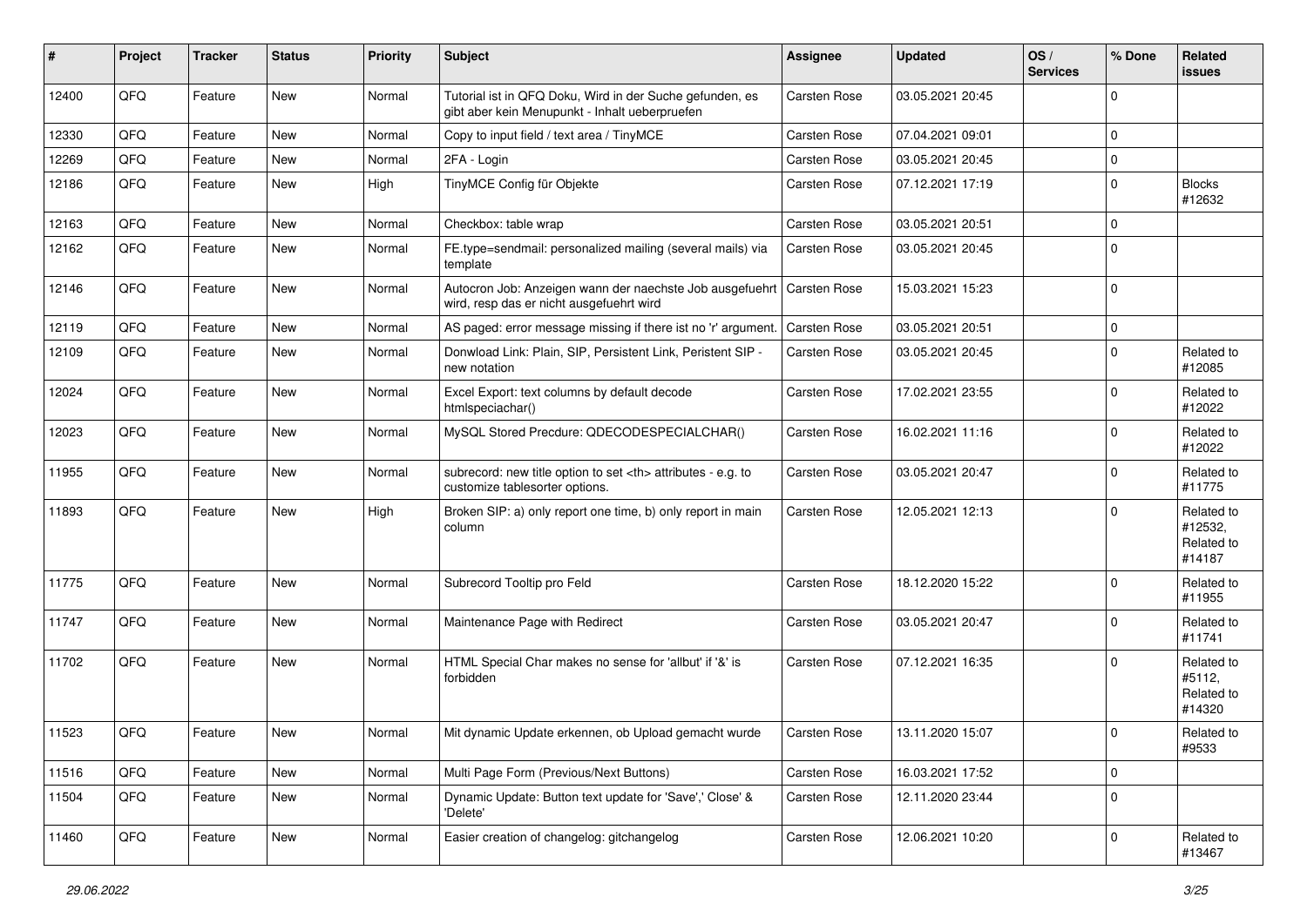| #     | Project | <b>Tracker</b> | <b>Status</b> | <b>Priority</b> | <b>Subject</b>                                                                                             | <b>Assignee</b>                                        | <b>Updated</b>   | OS/<br><b>Services</b> | % Done      | <b>Related</b><br>issues                      |                      |
|-------|---------|----------------|---------------|-----------------|------------------------------------------------------------------------------------------------------------|--------------------------------------------------------|------------------|------------------------|-------------|-----------------------------------------------|----------------------|
| 12400 | QFQ     | Feature        | <b>New</b>    | Normal          | Tutorial ist in QFQ Doku, Wird in der Suche gefunden, es<br>gibt aber kein Menupunkt - Inhalt ueberpruefen | Carsten Rose                                           | 03.05.2021 20:45 |                        | 0           |                                               |                      |
| 12330 | QFQ     | Feature        | <b>New</b>    | Normal          | Copy to input field / text area / TinyMCE                                                                  | Carsten Rose                                           | 07.04.2021 09:01 |                        | 0           |                                               |                      |
| 12269 | QFQ     | Feature        | <b>New</b>    | Normal          | 2FA - Login                                                                                                | <b>Carsten Rose</b>                                    | 03.05.2021 20:45 |                        | 0           |                                               |                      |
| 12186 | QFQ     | Feature        | <b>New</b>    | High            | TinyMCE Config für Objekte                                                                                 | Carsten Rose                                           | 07.12.2021 17:19 |                        | 0           | <b>Blocks</b><br>#12632                       |                      |
| 12163 | QFQ     | Feature        | New           | Normal          | Checkbox: table wrap                                                                                       | <b>Carsten Rose</b>                                    | 03.05.2021 20:51 |                        | 0           |                                               |                      |
| 12162 | QFQ     | Feature        | New           | Normal          | FE.type=sendmail: personalized mailing (several mails) via<br>template                                     | Carsten Rose                                           | 03.05.2021 20:45 |                        | 0           |                                               |                      |
| 12146 | QFQ     | Feature        | New           | Normal          | Autocron Job: Anzeigen wann der naechste Job ausgefuehrt<br>wird, resp das er nicht ausgefuehrt wird       | Carsten Rose                                           | 15.03.2021 15:23 |                        | $\mathbf 0$ |                                               |                      |
| 12119 | QFQ     | Feature        | New           | Normal          | AS paged: error message missing if there ist no 'r' argument.                                              | Carsten Rose                                           | 03.05.2021 20:51 |                        | 0           |                                               |                      |
| 12109 | QFQ     | Feature        | <b>New</b>    | Normal          | Donwload Link: Plain, SIP, Persistent Link, Peristent SIP -<br>new notation                                | Carsten Rose                                           | 03.05.2021 20:45 |                        | 0           | Related to<br>#12085                          |                      |
| 12024 | QFQ     | Feature        | New           | Normal          | Excel Export: text columns by default decode<br>htmlspeciachar()                                           | Carsten Rose                                           | 17.02.2021 23:55 |                        | 0           | Related to<br>#12022                          |                      |
| 12023 | QFQ     | Feature        | <b>New</b>    | Normal          | MySQL Stored Precdure: QDECODESPECIALCHAR()                                                                | <b>Carsten Rose</b>                                    | 16.02.2021 11:16 |                        | 0           | Related to<br>#12022                          |                      |
| 11955 | QFQ     | Feature        | <b>New</b>    | Normal          | subrecord: new title option to set <th> attributes - e.g. to<br/>customize tablesorter options.</th>       | attributes - e.g. to<br>customize tablesorter options. | Carsten Rose     | 03.05.2021 20:47       |             | 0                                             | Related to<br>#11775 |
| 11893 | QFQ     | Feature        | New           | High            | Broken SIP: a) only report one time, b) only report in main<br>column                                      | Carsten Rose                                           | 12.05.2021 12:13 |                        | $\mathbf 0$ | Related to<br>#12532,<br>Related to<br>#14187 |                      |
| 11775 | QFQ     | Feature        | <b>New</b>    | Normal          | Subrecord Tooltip pro Feld                                                                                 | Carsten Rose                                           | 18.12.2020 15:22 |                        | 0           | Related to<br>#11955                          |                      |
| 11747 | QFQ     | Feature        | New           | Normal          | Maintenance Page with Redirect                                                                             | Carsten Rose                                           | 03.05.2021 20:47 |                        | $\mathbf 0$ | Related to<br>#11741                          |                      |
| 11702 | QFQ     | Feature        | New           | Normal          | HTML Special Char makes no sense for 'allbut' if '&' is<br>forbidden                                       | Carsten Rose                                           | 07.12.2021 16:35 |                        | $\Omega$    | Related to<br>#5112.<br>Related to<br>#14320  |                      |
| 11523 | QFQ     | Feature        | New           | Normal          | Mit dynamic Update erkennen, ob Upload gemacht wurde                                                       | Carsten Rose                                           | 13.11.2020 15:07 |                        | $\mathbf 0$ | Related to<br>#9533                           |                      |
| 11516 | QFQ     | Feature        | New           | Normal          | Multi Page Form (Previous/Next Buttons)                                                                    | Carsten Rose                                           | 16.03.2021 17:52 |                        | 0           |                                               |                      |
| 11504 | QFQ     | Feature        | New           | Normal          | Dynamic Update: Button text update for 'Save',' Close' &<br>'Delete'                                       | Carsten Rose                                           | 12.11.2020 23:44 |                        | $\mathbf 0$ |                                               |                      |
| 11460 | QFQ     | Feature        | New           | Normal          | Easier creation of changelog: gitchangelog                                                                 | Carsten Rose                                           | 12.06.2021 10:20 |                        | 0           | Related to<br>#13467                          |                      |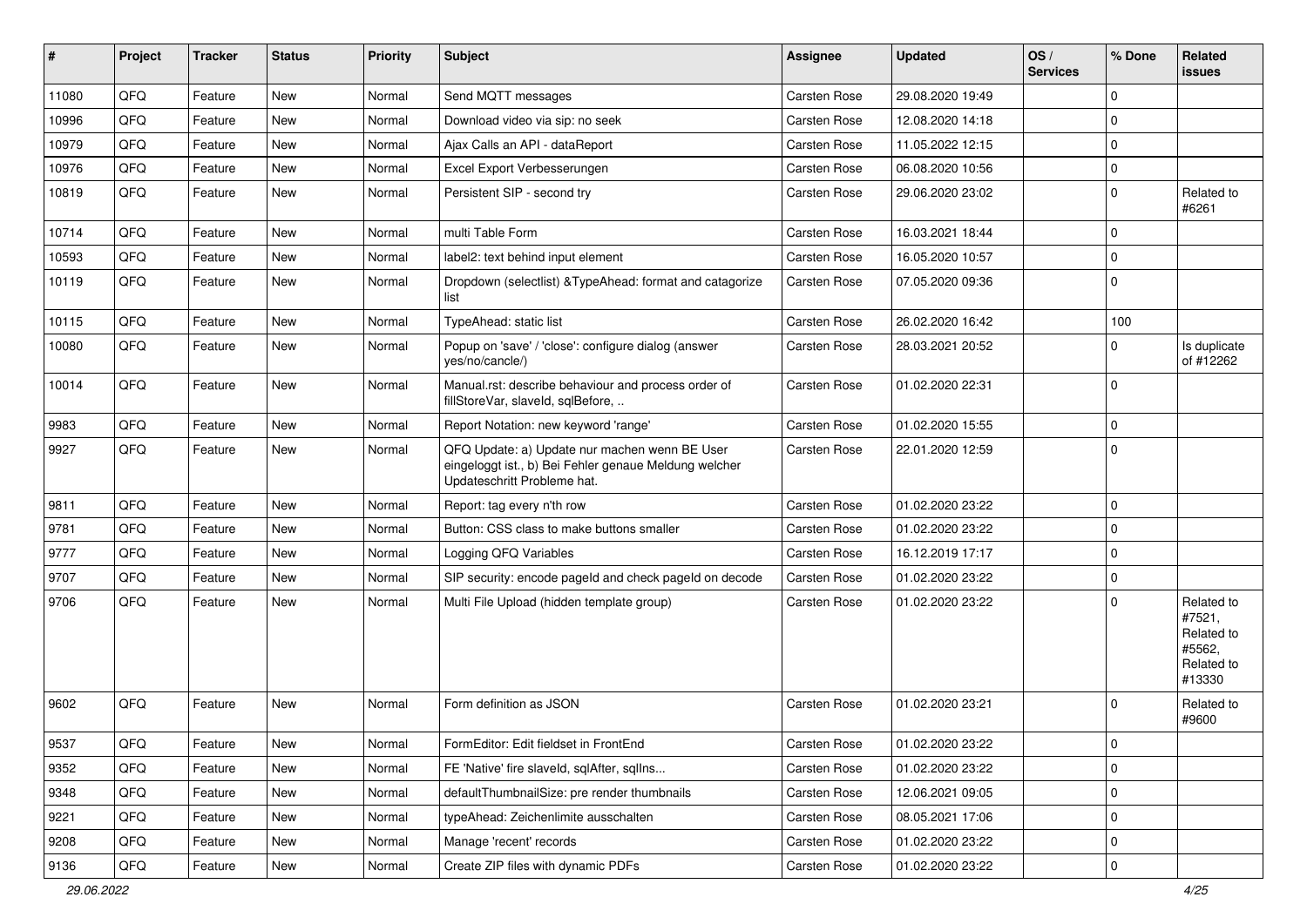| ∦     | Project | <b>Tracker</b> | <b>Status</b> | <b>Priority</b> | <b>Subject</b>                                                                                                                        | <b>Assignee</b> | <b>Updated</b>   | OS/<br><b>Services</b> | % Done      | <b>Related</b><br>issues                                             |
|-------|---------|----------------|---------------|-----------------|---------------------------------------------------------------------------------------------------------------------------------------|-----------------|------------------|------------------------|-------------|----------------------------------------------------------------------|
| 11080 | QFQ     | Feature        | <b>New</b>    | Normal          | Send MQTT messages                                                                                                                    | Carsten Rose    | 29.08.2020 19:49 |                        | $\Omega$    |                                                                      |
| 10996 | QFQ     | Feature        | New           | Normal          | Download video via sip: no seek                                                                                                       | Carsten Rose    | 12.08.2020 14:18 |                        | $\mathbf 0$ |                                                                      |
| 10979 | QFQ     | Feature        | New           | Normal          | Ajax Calls an API - dataReport                                                                                                        | Carsten Rose    | 11.05.2022 12:15 |                        | $\Omega$    |                                                                      |
| 10976 | QFQ     | Feature        | <b>New</b>    | Normal          | Excel Export Verbesserungen                                                                                                           | Carsten Rose    | 06.08.2020 10:56 |                        | 0           |                                                                      |
| 10819 | QFQ     | Feature        | New           | Normal          | Persistent SIP - second try                                                                                                           | Carsten Rose    | 29.06.2020 23:02 |                        | $\Omega$    | Related to<br>#6261                                                  |
| 10714 | QFQ     | Feature        | <b>New</b>    | Normal          | multi Table Form                                                                                                                      | Carsten Rose    | 16.03.2021 18:44 |                        | $\mathbf 0$ |                                                                      |
| 10593 | QFQ     | Feature        | New           | Normal          | label2: text behind input element                                                                                                     | Carsten Rose    | 16.05.2020 10:57 |                        | $\mathbf 0$ |                                                                      |
| 10119 | QFQ     | Feature        | New           | Normal          | Dropdown (selectlist) & Type Ahead: format and catagorize<br>list                                                                     | Carsten Rose    | 07.05.2020 09:36 |                        | $\Omega$    |                                                                      |
| 10115 | QFQ     | Feature        | <b>New</b>    | Normal          | TypeAhead: static list                                                                                                                | Carsten Rose    | 26.02.2020 16:42 |                        | 100         |                                                                      |
| 10080 | QFQ     | Feature        | <b>New</b>    | Normal          | Popup on 'save' / 'close': configure dialog (answer<br>yes/no/cancle/)                                                                | Carsten Rose    | 28.03.2021 20:52 |                        | $\Omega$    | Is duplicate<br>of #12262                                            |
| 10014 | QFQ     | Feature        | New           | Normal          | Manual.rst: describe behaviour and process order of<br>fillStoreVar, slaveId, sqlBefore,                                              | Carsten Rose    | 01.02.2020 22:31 |                        | $\Omega$    |                                                                      |
| 9983  | QFQ     | Feature        | <b>New</b>    | Normal          | Report Notation: new keyword 'range'                                                                                                  | Carsten Rose    | 01.02.2020 15:55 |                        | $\Omega$    |                                                                      |
| 9927  | QFQ     | Feature        | New           | Normal          | QFQ Update: a) Update nur machen wenn BE User<br>eingeloggt ist., b) Bei Fehler genaue Meldung welcher<br>Updateschritt Probleme hat. | Carsten Rose    | 22.01.2020 12:59 |                        | $\mathbf 0$ |                                                                      |
| 9811  | QFQ     | Feature        | <b>New</b>    | Normal          | Report: tag every n'th row                                                                                                            | Carsten Rose    | 01.02.2020 23:22 |                        | $\Omega$    |                                                                      |
| 9781  | QFQ     | Feature        | New           | Normal          | Button: CSS class to make buttons smaller                                                                                             | Carsten Rose    | 01.02.2020 23:22 |                        | $\Omega$    |                                                                      |
| 9777  | QFQ     | Feature        | New           | Normal          | Logging QFQ Variables                                                                                                                 | Carsten Rose    | 16.12.2019 17:17 |                        | $\Omega$    |                                                                      |
| 9707  | QFQ     | Feature        | <b>New</b>    | Normal          | SIP security: encode pageld and check pageld on decode                                                                                | Carsten Rose    | 01.02.2020 23:22 |                        | $\mathbf 0$ |                                                                      |
| 9706  | QFQ     | Feature        | New           | Normal          | Multi File Upload (hidden template group)                                                                                             | Carsten Rose    | 01.02.2020 23:22 |                        | $\Omega$    | Related to<br>#7521,<br>Related to<br>#5562,<br>Related to<br>#13330 |
| 9602  | QFQ     | Feature        | <b>New</b>    | Normal          | Form definition as JSON                                                                                                               | Carsten Rose    | 01.02.2020 23:21 |                        | $\Omega$    | Related to<br>#9600                                                  |
| 9537  | QFQ     | Feature        | New           | Normal          | FormEditor: Edit fieldset in FrontEnd                                                                                                 | Carsten Rose    | 01.02.2020 23:22 |                        | 0           |                                                                      |
| 9352  | QFQ     | Feature        | New           | Normal          | FE 'Native' fire slaveld, sqlAfter, sqlIns                                                                                            | Carsten Rose    | 01.02.2020 23:22 |                        | 0           |                                                                      |
| 9348  | QFQ     | Feature        | New           | Normal          | defaultThumbnailSize: pre render thumbnails                                                                                           | Carsten Rose    | 12.06.2021 09:05 |                        | 0           |                                                                      |
| 9221  | QFQ     | Feature        | New           | Normal          | typeAhead: Zeichenlimite ausschalten                                                                                                  | Carsten Rose    | 08.05.2021 17:06 |                        | 0           |                                                                      |
| 9208  | QFQ     | Feature        | New           | Normal          | Manage 'recent' records                                                                                                               | Carsten Rose    | 01.02.2020 23:22 |                        | 0           |                                                                      |
| 9136  | QFQ     | Feature        | New           | Normal          | Create ZIP files with dynamic PDFs                                                                                                    | Carsten Rose    | 01.02.2020 23:22 |                        | $\pmb{0}$   |                                                                      |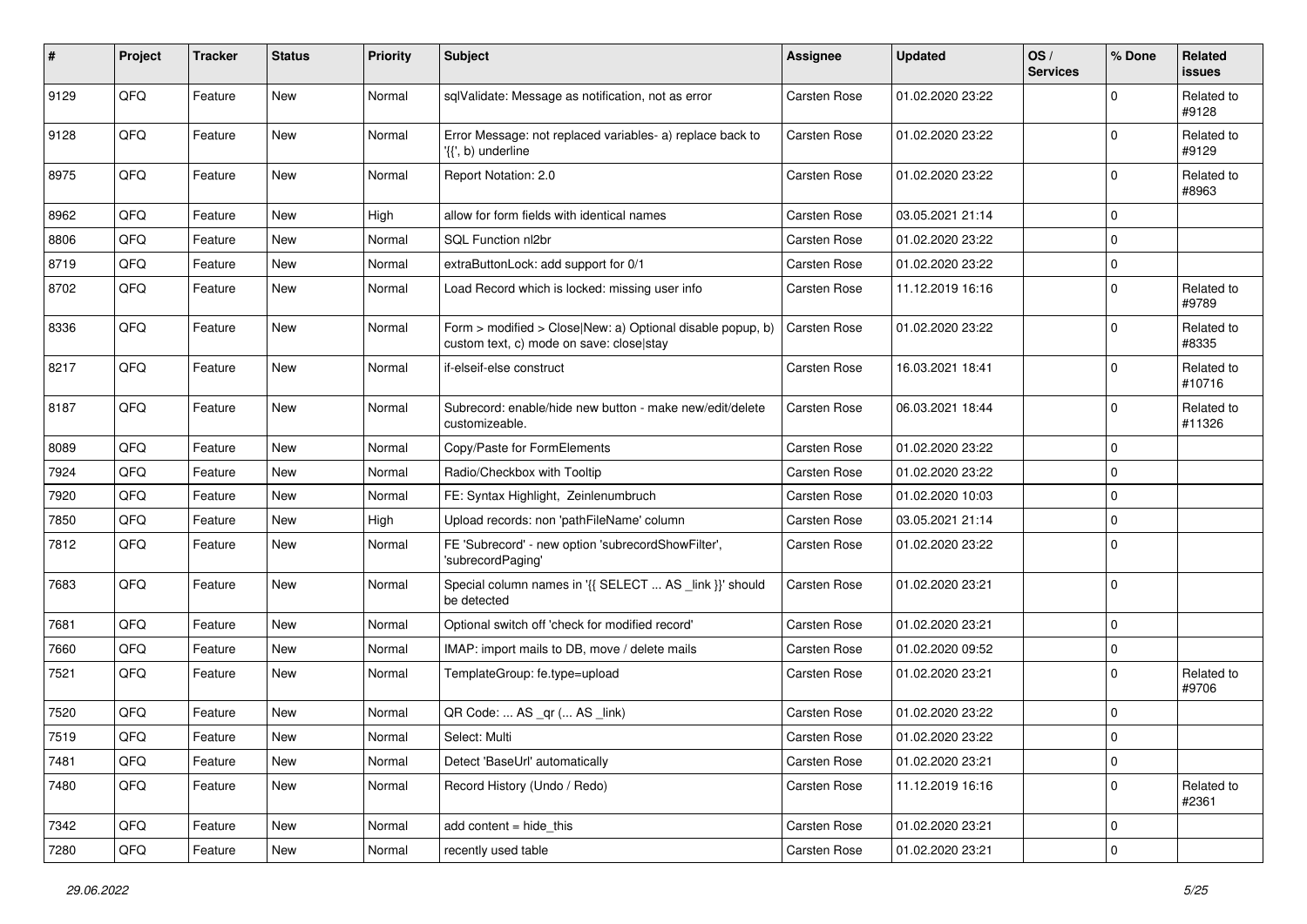| #    | Project | <b>Tracker</b> | <b>Status</b> | <b>Priority</b> | <b>Subject</b>                                                                                         | <b>Assignee</b>     | <b>Updated</b>   | OS/<br><b>Services</b> | % Done      | <b>Related</b><br>issues |
|------|---------|----------------|---------------|-----------------|--------------------------------------------------------------------------------------------------------|---------------------|------------------|------------------------|-------------|--------------------------|
| 9129 | QFQ     | Feature        | <b>New</b>    | Normal          | sqlValidate: Message as notification, not as error                                                     | <b>Carsten Rose</b> | 01.02.2020 23:22 |                        | 0           | Related to<br>#9128      |
| 9128 | QFQ     | Feature        | New           | Normal          | Error Message: not replaced variables- a) replace back to<br>'{{', b) underline                        | <b>Carsten Rose</b> | 01.02.2020 23:22 |                        | 0           | Related to<br>#9129      |
| 8975 | QFQ     | Feature        | <b>New</b>    | Normal          | Report Notation: 2.0                                                                                   | <b>Carsten Rose</b> | 01.02.2020 23:22 |                        | 0           | Related to<br>#8963      |
| 8962 | QFQ     | Feature        | New           | High            | allow for form fields with identical names                                                             | <b>Carsten Rose</b> | 03.05.2021 21:14 |                        | 0           |                          |
| 8806 | QFQ     | Feature        | New           | Normal          | SQL Function nl2br                                                                                     | <b>Carsten Rose</b> | 01.02.2020 23:22 |                        | 0           |                          |
| 8719 | QFQ     | Feature        | New           | Normal          | extraButtonLock: add support for 0/1                                                                   | <b>Carsten Rose</b> | 01.02.2020 23:22 |                        | 0           |                          |
| 8702 | QFQ     | Feature        | New           | Normal          | Load Record which is locked: missing user info                                                         | <b>Carsten Rose</b> | 11.12.2019 16:16 |                        | 0           | Related to<br>#9789      |
| 8336 | QFQ     | Feature        | <b>New</b>    | Normal          | Form > modified > Close New: a) Optional disable popup, b)<br>custom text, c) mode on save: close stay | <b>Carsten Rose</b> | 01.02.2020 23:22 |                        | 0           | Related to<br>#8335      |
| 8217 | QFQ     | Feature        | New           | Normal          | if-elseif-else construct                                                                               | <b>Carsten Rose</b> | 16.03.2021 18:41 |                        | $\mathbf 0$ | Related to<br>#10716     |
| 8187 | QFQ     | Feature        | <b>New</b>    | Normal          | Subrecord: enable/hide new button - make new/edit/delete<br>customizeable.                             | <b>Carsten Rose</b> | 06.03.2021 18:44 |                        | 0           | Related to<br>#11326     |
| 8089 | QFQ     | Feature        | New           | Normal          | Copy/Paste for FormElements                                                                            | <b>Carsten Rose</b> | 01.02.2020 23:22 |                        | 0           |                          |
| 7924 | QFQ     | Feature        | New           | Normal          | Radio/Checkbox with Tooltip                                                                            | <b>Carsten Rose</b> | 01.02.2020 23:22 |                        | 0           |                          |
| 7920 | QFQ     | Feature        | <b>New</b>    | Normal          | FE: Syntax Highlight, Zeinlenumbruch                                                                   | <b>Carsten Rose</b> | 01.02.2020 10:03 |                        | 0           |                          |
| 7850 | QFQ     | Feature        | New           | High            | Upload records: non 'pathFileName' column                                                              | <b>Carsten Rose</b> | 03.05.2021 21:14 |                        | 0           |                          |
| 7812 | QFQ     | Feature        | New           | Normal          | FE 'Subrecord' - new option 'subrecordShowFilter',<br>'subrecordPaging'                                | <b>Carsten Rose</b> | 01.02.2020 23:22 |                        | $\Omega$    |                          |
| 7683 | QFQ     | Feature        | <b>New</b>    | Normal          | Special column names in '{{ SELECT  AS _link }}' should<br>be detected                                 | Carsten Rose        | 01.02.2020 23:21 |                        | 0           |                          |
| 7681 | QFQ     | Feature        | New           | Normal          | Optional switch off 'check for modified record'                                                        | <b>Carsten Rose</b> | 01.02.2020 23:21 |                        | 0           |                          |
| 7660 | QFQ     | Feature        | New           | Normal          | IMAP: import mails to DB, move / delete mails                                                          | <b>Carsten Rose</b> | 01.02.2020 09:52 |                        | 0           |                          |
| 7521 | QFQ     | Feature        | New           | Normal          | TemplateGroup: fe.type=upload                                                                          | <b>Carsten Rose</b> | 01.02.2020 23:21 |                        | 0           | Related to<br>#9706      |
| 7520 | QFQ     | Feature        | New           | Normal          | QR Code:  AS _qr ( AS _link)                                                                           | <b>Carsten Rose</b> | 01.02.2020 23:22 |                        | 0           |                          |
| 7519 | QFG     | Feature        | New           | Normal          | Select: Multi                                                                                          | Carsten Rose        | 01.02.2020 23:22 |                        | $\Omega$    |                          |
| 7481 | QFQ     | Feature        | New           | Normal          | Detect 'BaseUrl' automatically                                                                         | Carsten Rose        | 01.02.2020 23:21 |                        | 0           |                          |
| 7480 | QFQ     | Feature        | New           | Normal          | Record History (Undo / Redo)                                                                           | Carsten Rose        | 11.12.2019 16:16 |                        | 0           | Related to<br>#2361      |
| 7342 | QFQ     | Feature        | New           | Normal          | add content $=$ hide this                                                                              | Carsten Rose        | 01.02.2020 23:21 |                        | 0           |                          |
| 7280 | QFQ     | Feature        | New           | Normal          | recently used table                                                                                    | Carsten Rose        | 01.02.2020 23:21 |                        | 0           |                          |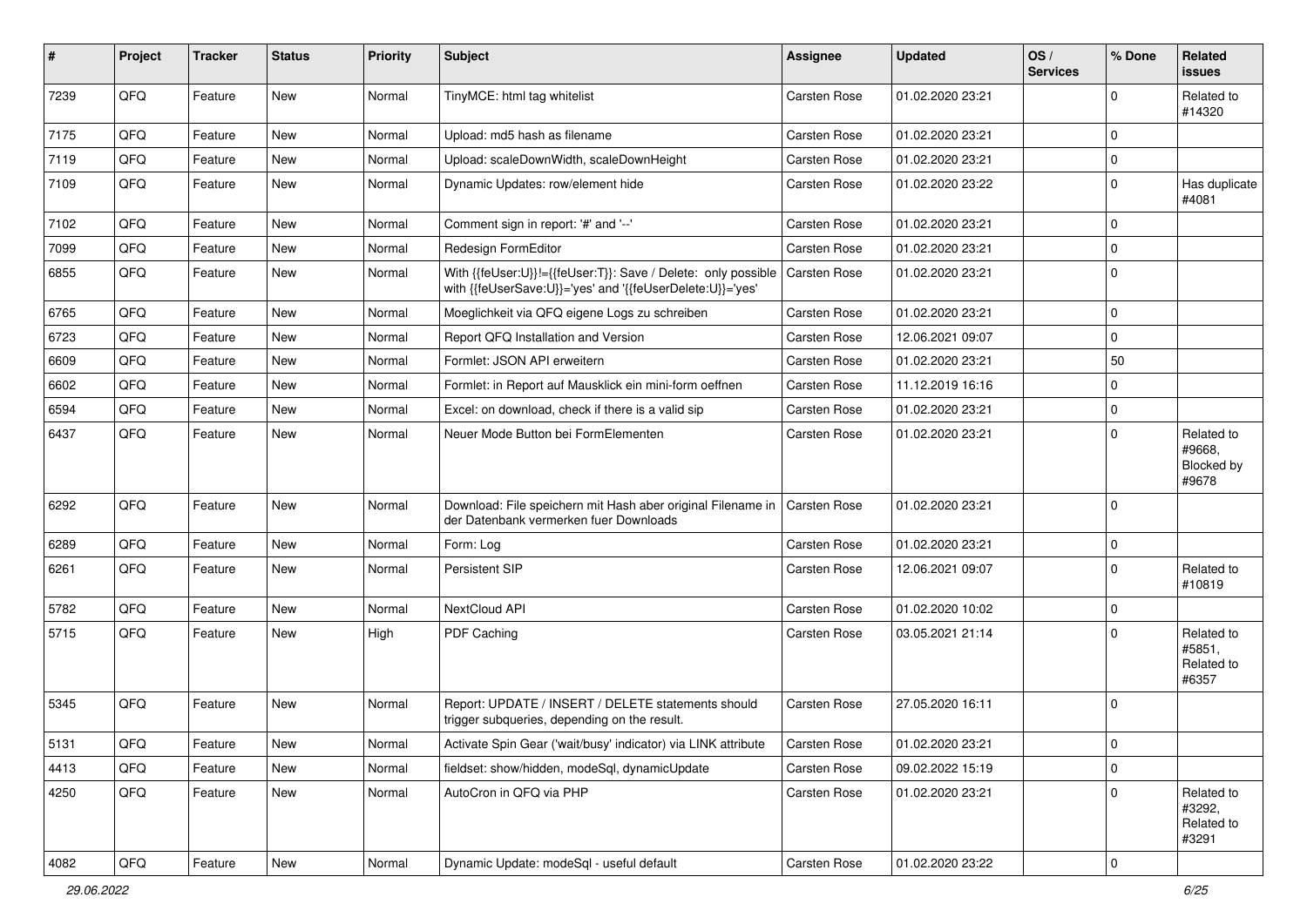| #    | Project | <b>Tracker</b> | <b>Status</b> | <b>Priority</b> | <b>Subject</b>                                                                                                             | <b>Assignee</b>     | <b>Updated</b>   | OS/<br><b>Services</b> | % Done         | Related<br>issues                           |
|------|---------|----------------|---------------|-----------------|----------------------------------------------------------------------------------------------------------------------------|---------------------|------------------|------------------------|----------------|---------------------------------------------|
| 7239 | QFQ     | Feature        | New           | Normal          | TinyMCE: html tag whitelist                                                                                                | Carsten Rose        | 01.02.2020 23:21 |                        | $\Omega$       | Related to<br>#14320                        |
| 7175 | QFQ     | Feature        | New           | Normal          | Upload: md5 hash as filename                                                                                               | Carsten Rose        | 01.02.2020 23:21 |                        | $\mathbf 0$    |                                             |
| 7119 | QFQ     | Feature        | New           | Normal          | Upload: scaleDownWidth, scaleDownHeight                                                                                    | Carsten Rose        | 01.02.2020 23:21 |                        | $\mathbf 0$    |                                             |
| 7109 | QFQ     | Feature        | New           | Normal          | Dynamic Updates: row/element hide                                                                                          | Carsten Rose        | 01.02.2020 23:22 |                        | 0              | Has duplicate<br>#4081                      |
| 7102 | QFQ     | Feature        | New           | Normal          | Comment sign in report: '#' and '--'                                                                                       | Carsten Rose        | 01.02.2020 23:21 |                        | 0              |                                             |
| 7099 | QFQ     | Feature        | New           | Normal          | Redesign FormEditor                                                                                                        | Carsten Rose        | 01.02.2020 23:21 |                        | $\mathbf 0$    |                                             |
| 6855 | QFQ     | Feature        | New           | Normal          | With {{feUser:U}}!={{feUser:T}}: Save / Delete: only possible<br>with {{feUserSave:U}}='yes' and '{{feUserDelete:U}}='yes' | Carsten Rose        | 01.02.2020 23:21 |                        | $\mathbf 0$    |                                             |
| 6765 | QFQ     | Feature        | New           | Normal          | Moeglichkeit via QFQ eigene Logs zu schreiben                                                                              | Carsten Rose        | 01.02.2020 23:21 |                        | $\mathbf 0$    |                                             |
| 6723 | QFQ     | Feature        | New           | Normal          | Report QFQ Installation and Version                                                                                        | Carsten Rose        | 12.06.2021 09:07 |                        | $\mathbf 0$    |                                             |
| 6609 | QFQ     | Feature        | New           | Normal          | Formlet: JSON API erweitern                                                                                                | Carsten Rose        | 01.02.2020 23:21 |                        | 50             |                                             |
| 6602 | QFQ     | Feature        | New           | Normal          | Formlet: in Report auf Mausklick ein mini-form oeffnen                                                                     | Carsten Rose        | 11.12.2019 16:16 |                        | $\mathbf 0$    |                                             |
| 6594 | QFQ     | Feature        | New           | Normal          | Excel: on download, check if there is a valid sip                                                                          | Carsten Rose        | 01.02.2020 23:21 |                        | $\mathbf 0$    |                                             |
| 6437 | QFQ     | Feature        | New           | Normal          | Neuer Mode Button bei FormElementen                                                                                        | Carsten Rose        | 01.02.2020 23:21 |                        | $\mathbf 0$    | Related to<br>#9668.<br>Blocked by<br>#9678 |
| 6292 | QFQ     | Feature        | New           | Normal          | Download: File speichern mit Hash aber original Filename in<br>der Datenbank vermerken fuer Downloads                      | <b>Carsten Rose</b> | 01.02.2020 23:21 |                        | $\mathbf 0$    |                                             |
| 6289 | QFQ     | Feature        | New           | Normal          | Form: Log                                                                                                                  | Carsten Rose        | 01.02.2020 23:21 |                        | $\mathbf 0$    |                                             |
| 6261 | QFQ     | Feature        | New           | Normal          | <b>Persistent SIP</b>                                                                                                      | Carsten Rose        | 12.06.2021 09:07 |                        | $\mathbf 0$    | Related to<br>#10819                        |
| 5782 | QFQ     | Feature        | <b>New</b>    | Normal          | NextCloud API                                                                                                              | Carsten Rose        | 01.02.2020 10:02 |                        | $\mathbf 0$    |                                             |
| 5715 | QFQ     | Feature        | New           | High            | PDF Caching                                                                                                                | Carsten Rose        | 03.05.2021 21:14 |                        | $\mathbf 0$    | Related to<br>#5851,<br>Related to<br>#6357 |
| 5345 | QFQ     | Feature        | New           | Normal          | Report: UPDATE / INSERT / DELETE statements should<br>trigger subqueries, depending on the result.                         | Carsten Rose        | 27.05.2020 16:11 |                        | $\mathbf 0$    |                                             |
| 5131 | QFQ     | Feature        | New           | Normal          | Activate Spin Gear ('wait/busy' indicator) via LINK attribute                                                              | Carsten Rose        | 01.02.2020 23:21 |                        | $\overline{0}$ |                                             |
| 4413 | QFQ     | Feature        | New           | Normal          | fieldset: show/hidden, modeSql, dynamicUpdate                                                                              | Carsten Rose        | 09.02.2022 15:19 |                        | $\mathbf 0$    |                                             |
| 4250 | QFQ     | Feature        | New           | Normal          | AutoCron in QFQ via PHP                                                                                                    | Carsten Rose        | 01.02.2020 23:21 |                        | $\mathbf 0$    | Related to<br>#3292,<br>Related to<br>#3291 |
| 4082 | QFG     | Feature        | New           | Normal          | Dynamic Update: modeSql - useful default                                                                                   | Carsten Rose        | 01.02.2020 23:22 |                        | $\mathsf 0$    |                                             |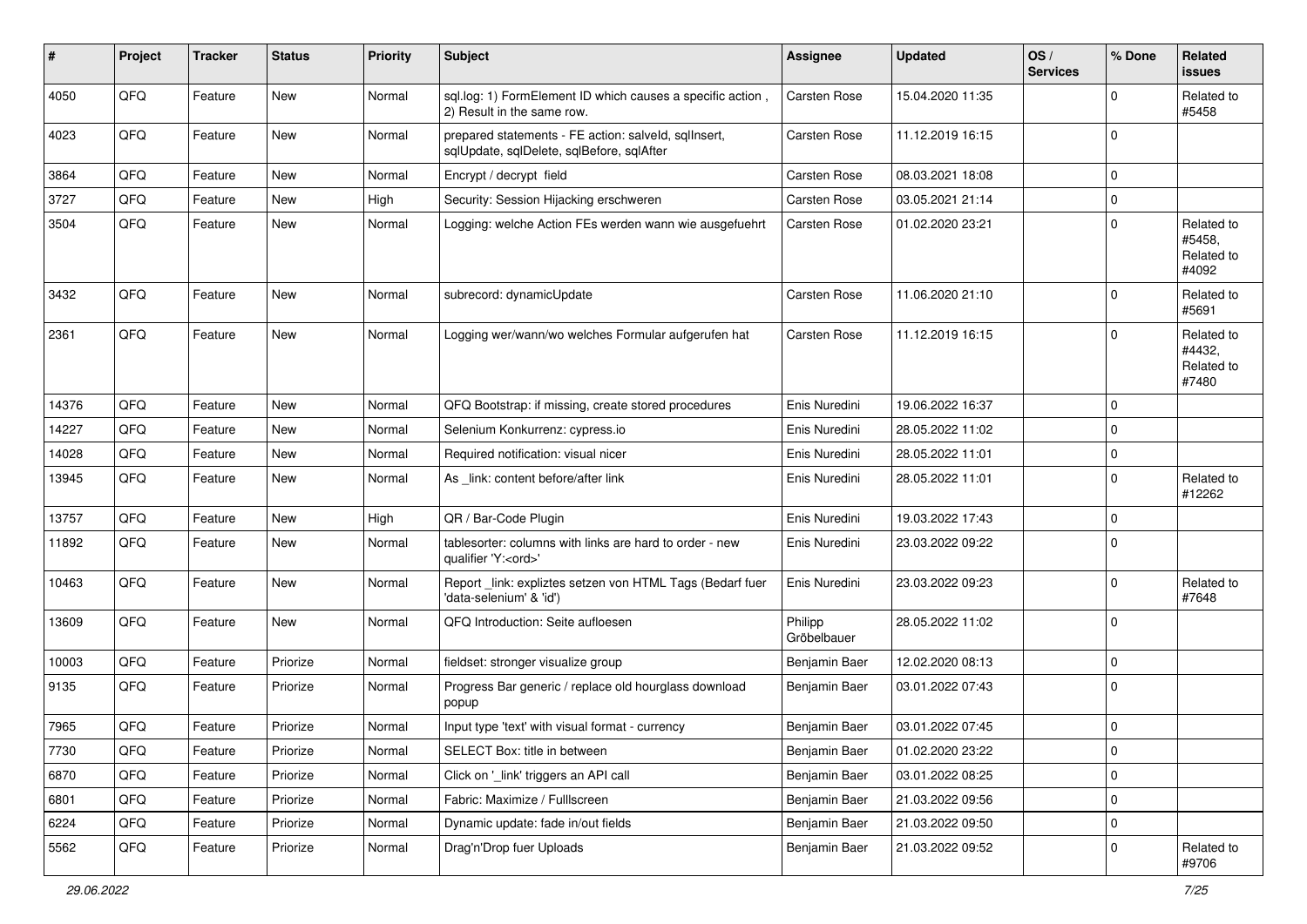| ∦     | Project | <b>Tracker</b> | <b>Status</b> | <b>Priority</b> | <b>Subject</b>                                                                                    | <b>Assignee</b>        | <b>Updated</b>   | OS/<br><b>Services</b> | % Done      | <b>Related</b><br>issues                    |
|-------|---------|----------------|---------------|-----------------|---------------------------------------------------------------------------------------------------|------------------------|------------------|------------------------|-------------|---------------------------------------------|
| 4050  | QFQ     | Feature        | <b>New</b>    | Normal          | sql.log: 1) FormElement ID which causes a specific action,<br>2) Result in the same row.          | Carsten Rose           | 15.04.2020 11:35 |                        | 0           | Related to<br>#5458                         |
| 4023  | QFQ     | Feature        | New           | Normal          | prepared statements - FE action: salveld, sqllnsert,<br>sqlUpdate, sqlDelete, sqlBefore, sqlAfter | Carsten Rose           | 11.12.2019 16:15 |                        | 0           |                                             |
| 3864  | QFQ     | Feature        | <b>New</b>    | Normal          | Encrypt / decrypt field                                                                           | <b>Carsten Rose</b>    | 08.03.2021 18:08 |                        | 0           |                                             |
| 3727  | QFQ     | Feature        | New           | High            | Security: Session Hijacking erschweren                                                            | Carsten Rose           | 03.05.2021 21:14 |                        | 0           |                                             |
| 3504  | QFQ     | Feature        | New           | Normal          | Logging: welche Action FEs werden wann wie ausgefuehrt                                            | Carsten Rose           | 01.02.2020 23:21 |                        | 0           | Related to<br>#5458.<br>Related to<br>#4092 |
| 3432  | QFQ     | Feature        | <b>New</b>    | Normal          | subrecord: dynamicUpdate                                                                          | Carsten Rose           | 11.06.2020 21:10 |                        | 0           | Related to<br>#5691                         |
| 2361  | QFQ     | Feature        | <b>New</b>    | Normal          | Logging wer/wann/wo welches Formular aufgerufen hat                                               | <b>Carsten Rose</b>    | 11.12.2019 16:15 |                        | 0           | Related to<br>#4432,<br>Related to<br>#7480 |
| 14376 | QFQ     | Feature        | <b>New</b>    | Normal          | QFQ Bootstrap: if missing, create stored procedures                                               | Enis Nuredini          | 19.06.2022 16:37 |                        | 0           |                                             |
| 14227 | QFQ     | Feature        | <b>New</b>    | Normal          | Selenium Konkurrenz: cypress.io                                                                   | Enis Nuredini          | 28.05.2022 11:02 |                        | 0           |                                             |
| 14028 | QFQ     | Feature        | New           | Normal          | Required notification: visual nicer                                                               | Enis Nuredini          | 28.05.2022 11:01 |                        | 0           |                                             |
| 13945 | QFQ     | Feature        | New           | Normal          | As link: content before/after link                                                                | Enis Nuredini          | 28.05.2022 11:01 |                        | 0           | Related to<br>#12262                        |
| 13757 | QFQ     | Feature        | <b>New</b>    | High            | QR / Bar-Code Plugin                                                                              | Enis Nuredini          | 19.03.2022 17:43 |                        | 0           |                                             |
| 11892 | QFQ     | Feature        | New           | Normal          | tablesorter: columns with links are hard to order - new<br>qualifier 'Y: <ord>'</ord>             | Enis Nuredini          | 23.03.2022 09:22 |                        | $\mathbf 0$ |                                             |
| 10463 | QFQ     | Feature        | New           | Normal          | Report _link: expliztes setzen von HTML Tags (Bedarf fuer<br>'data-selenium' & 'id')              | Enis Nuredini          | 23.03.2022 09:23 |                        | 0           | Related to<br>#7648                         |
| 13609 | QFQ     | Feature        | <b>New</b>    | Normal          | QFQ Introduction: Seite aufloesen                                                                 | Philipp<br>Gröbelbauer | 28.05.2022 11:02 |                        | 0           |                                             |
| 10003 | QFQ     | Feature        | Priorize      | Normal          | fieldset: stronger visualize group                                                                | Benjamin Baer          | 12.02.2020 08:13 |                        | 0           |                                             |
| 9135  | QFQ     | Feature        | Priorize      | Normal          | Progress Bar generic / replace old hourglass download<br>popup                                    | Benjamin Baer          | 03.01.2022 07:43 |                        | 0           |                                             |
| 7965  | QFQ     | Feature        | Priorize      | Normal          | Input type 'text' with visual format - currency                                                   | Benjamin Baer          | 03.01.2022 07:45 |                        | 0           |                                             |
| 7730  | QFQ     | Feature        | Priorize      | Normal          | SELECT Box: title in between                                                                      | Benjamin Baer          | 01.02.2020 23:22 |                        | 0           |                                             |
| 6870  | QFQ     | Feature        | Priorize      | Normal          | Click on '_link' triggers an API call                                                             | Benjamin Baer          | 03.01.2022 08:25 |                        | 0           |                                             |
| 6801  | QFQ     | Feature        | Priorize      | Normal          | Fabric: Maximize / FullIscreen                                                                    | Benjamin Baer          | 21.03.2022 09:56 |                        | 0           |                                             |
| 6224  | QFQ     | Feature        | Priorize      | Normal          | Dynamic update: fade in/out fields                                                                | Benjamin Baer          | 21.03.2022 09:50 |                        | 0           |                                             |
| 5562  | QFQ     | Feature        | Priorize      | Normal          | Drag'n'Drop fuer Uploads                                                                          | Benjamin Baer          | 21.03.2022 09:52 |                        | 0           | Related to<br>#9706                         |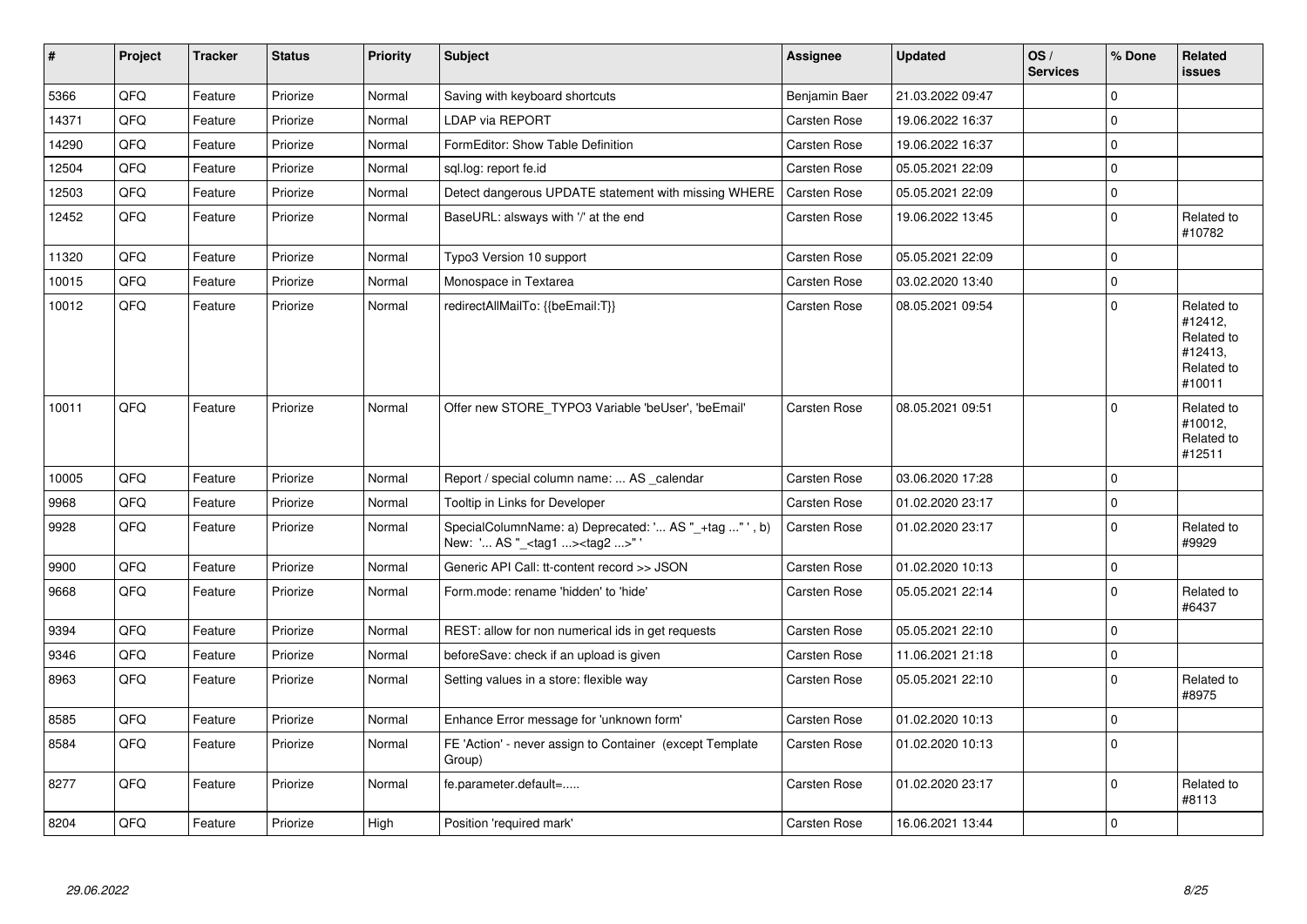| #     | Project | <b>Tracker</b> | <b>Status</b> | <b>Priority</b> | <b>Subject</b>                                                                                    | <b>Assignee</b>     | <b>Updated</b>   | OS/<br><b>Services</b> | % Done         | Related<br>issues                                                      |
|-------|---------|----------------|---------------|-----------------|---------------------------------------------------------------------------------------------------|---------------------|------------------|------------------------|----------------|------------------------------------------------------------------------|
| 5366  | QFQ     | Feature        | Priorize      | Normal          | Saving with keyboard shortcuts                                                                    | Benjamin Baer       | 21.03.2022 09:47 |                        | 0              |                                                                        |
| 14371 | QFQ     | Feature        | Priorize      | Normal          | <b>LDAP via REPORT</b>                                                                            | <b>Carsten Rose</b> | 19.06.2022 16:37 |                        | 0              |                                                                        |
| 14290 | QFQ     | Feature        | Priorize      | Normal          | FormEditor: Show Table Definition                                                                 | <b>Carsten Rose</b> | 19.06.2022 16:37 |                        | $\Omega$       |                                                                        |
| 12504 | QFQ     | Feature        | Priorize      | Normal          | sql.log: report fe.id                                                                             | Carsten Rose        | 05.05.2021 22:09 |                        | $\Omega$       |                                                                        |
| 12503 | QFQ     | Feature        | Priorize      | Normal          | Detect dangerous UPDATE statement with missing WHERE                                              | Carsten Rose        | 05.05.2021 22:09 |                        | $\Omega$       |                                                                        |
| 12452 | QFG     | Feature        | Priorize      | Normal          | BaseURL: alsways with '/' at the end                                                              | Carsten Rose        | 19.06.2022 13:45 |                        | $\pmb{0}$      | Related to<br>#10782                                                   |
| 11320 | QFQ     | Feature        | Priorize      | Normal          | Typo3 Version 10 support                                                                          | Carsten Rose        | 05.05.2021 22:09 |                        | 0              |                                                                        |
| 10015 | QFQ     | Feature        | Priorize      | Normal          | Monospace in Textarea                                                                             | Carsten Rose        | 03.02.2020 13:40 |                        | 0              |                                                                        |
| 10012 | QFQ     | Feature        | Priorize      | Normal          | redirectAllMailTo: {{beEmail:T}}                                                                  | <b>Carsten Rose</b> | 08.05.2021 09:54 |                        | $\Omega$       | Related to<br>#12412,<br>Related to<br>#12413,<br>Related to<br>#10011 |
| 10011 | QFQ     | Feature        | Priorize      | Normal          | Offer new STORE TYPO3 Variable 'beUser', 'beEmail'                                                | <b>Carsten Rose</b> | 08.05.2021 09:51 |                        | 0              | Related to<br>#10012,<br>Related to<br>#12511                          |
| 10005 | QFQ     | Feature        | Priorize      | Normal          | Report / special column name:  AS calendar                                                        | Carsten Rose        | 03.06.2020 17:28 |                        | $\Omega$       |                                                                        |
| 9968  | QFQ     | Feature        | Priorize      | Normal          | Tooltip in Links for Developer                                                                    | <b>Carsten Rose</b> | 01.02.2020 23:17 |                        | 0              |                                                                        |
| 9928  | QFQ     | Feature        | Priorize      | Normal          | SpecialColumnName: a) Deprecated: ' AS "_+tag " ', b)<br>New: ' AS "_ <tag1><tag2>"</tag2></tag1> | Carsten Rose        | 01.02.2020 23:17 |                        | $\Omega$       | Related to<br>#9929                                                    |
| 9900  | QFQ     | Feature        | Priorize      | Normal          | Generic API Call: tt-content record >> JSON                                                       | Carsten Rose        | 01.02.2020 10:13 |                        | $\overline{0}$ |                                                                        |
| 9668  | QFQ     | Feature        | Priorize      | Normal          | Form.mode: rename 'hidden' to 'hide'                                                              | Carsten Rose        | 05.05.2021 22:14 |                        | $\mathbf 0$    | Related to<br>#6437                                                    |
| 9394  | QFQ     | Feature        | Priorize      | Normal          | REST: allow for non numerical ids in get requests                                                 | Carsten Rose        | 05.05.2021 22:10 |                        | 0              |                                                                        |
| 9346  | QFQ     | Feature        | Priorize      | Normal          | beforeSave: check if an upload is given                                                           | <b>Carsten Rose</b> | 11.06.2021 21:18 |                        | $\mathbf 0$    |                                                                        |
| 8963  | QFQ     | Feature        | Priorize      | Normal          | Setting values in a store: flexible way                                                           | Carsten Rose        | 05.05.2021 22:10 |                        | $\Omega$       | Related to<br>#8975                                                    |
| 8585  | QFQ     | Feature        | Priorize      | Normal          | Enhance Error message for 'unknown form'                                                          | <b>Carsten Rose</b> | 01.02.2020 10:13 |                        | $\mathbf 0$    |                                                                        |
| 8584  | QFQ     | Feature        | Priorize      | Normal          | FE 'Action' - never assign to Container (except Template<br>Group)                                | Carsten Rose        | 01.02.2020 10:13 |                        | $\Omega$       |                                                                        |
| 8277  | QFQ     | Feature        | Priorize      | Normal          | fe.parameter.default=                                                                             | <b>Carsten Rose</b> | 01.02.2020 23:17 |                        | $\Omega$       | Related to<br>#8113                                                    |
| 8204  | QFQ     | Feature        | Priorize      | High            | Position 'required mark'                                                                          | <b>Carsten Rose</b> | 16.06.2021 13:44 |                        | $\mathbf 0$    |                                                                        |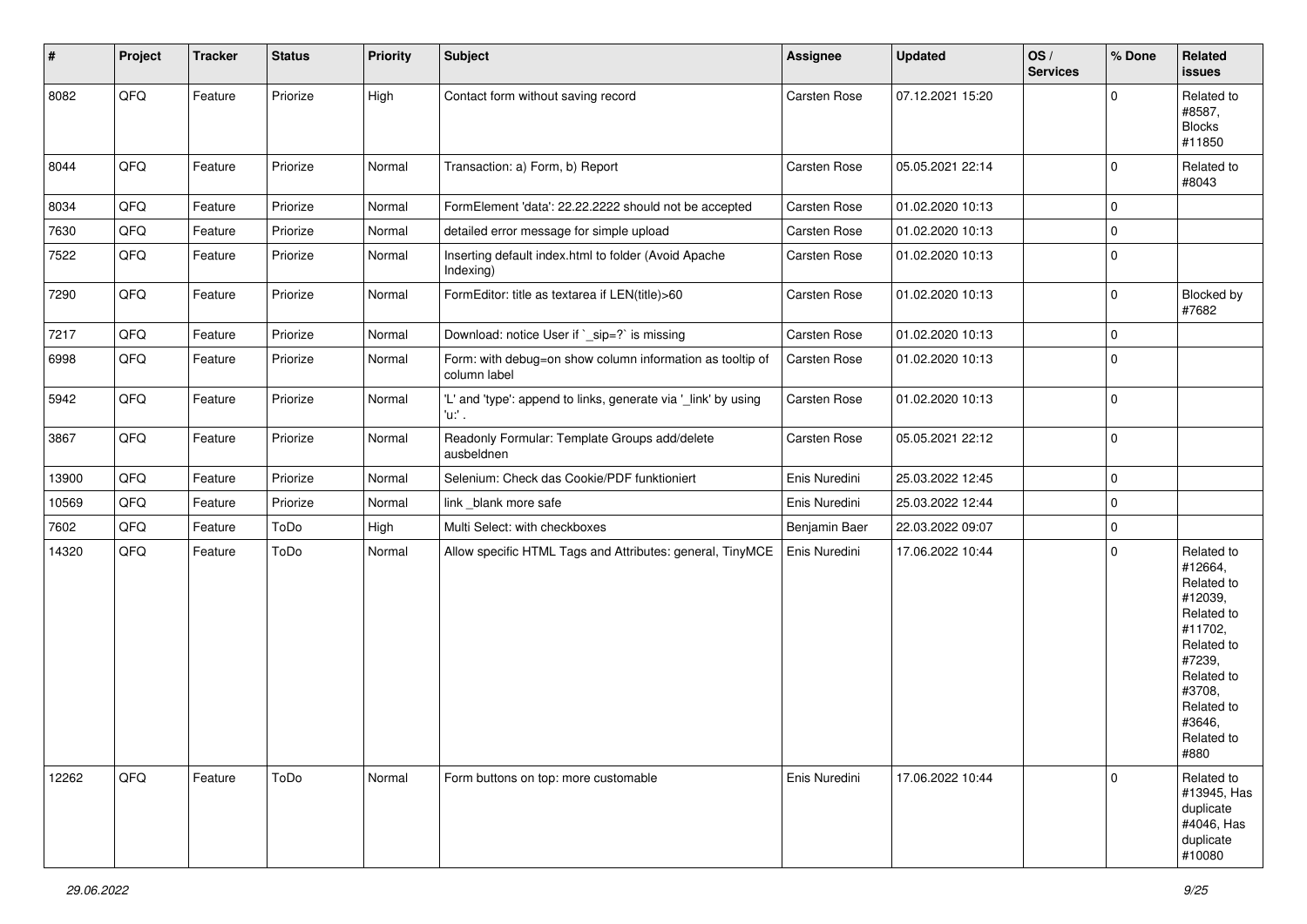| $\vert$ # | Project | <b>Tracker</b> | <b>Status</b> | <b>Priority</b> | <b>Subject</b>                                                              | <b>Assignee</b> | <b>Updated</b>   | OS/<br><b>Services</b> | % Done      | Related<br><b>issues</b>                                                                                                                                              |
|-----------|---------|----------------|---------------|-----------------|-----------------------------------------------------------------------------|-----------------|------------------|------------------------|-------------|-----------------------------------------------------------------------------------------------------------------------------------------------------------------------|
| 8082      | QFQ     | Feature        | Priorize      | High            | Contact form without saving record                                          | Carsten Rose    | 07.12.2021 15:20 |                        | 0           | Related to<br>#8587,<br><b>Blocks</b><br>#11850                                                                                                                       |
| 8044      | QFQ     | Feature        | Priorize      | Normal          | Transaction: a) Form, b) Report                                             | Carsten Rose    | 05.05.2021 22:14 |                        | $\mathbf 0$ | Related to<br>#8043                                                                                                                                                   |
| 8034      | QFQ     | Feature        | Priorize      | Normal          | FormElement 'data': 22.22.2222 should not be accepted                       | Carsten Rose    | 01.02.2020 10:13 |                        | 0           |                                                                                                                                                                       |
| 7630      | QFQ     | Feature        | Priorize      | Normal          | detailed error message for simple upload                                    | Carsten Rose    | 01.02.2020 10:13 |                        | 0           |                                                                                                                                                                       |
| 7522      | QFQ     | Feature        | Priorize      | Normal          | Inserting default index.html to folder (Avoid Apache<br>Indexing)           | Carsten Rose    | 01.02.2020 10:13 |                        | $\mathbf 0$ |                                                                                                                                                                       |
| 7290      | QFQ     | Feature        | Priorize      | Normal          | FormEditor: title as textarea if LEN(title)>60                              | Carsten Rose    | 01.02.2020 10:13 |                        | 0           | Blocked by<br>#7682                                                                                                                                                   |
| 7217      | QFQ     | Feature        | Priorize      | Normal          | Download: notice User if `_sip=?` is missing                                | Carsten Rose    | 01.02.2020 10:13 |                        | 0           |                                                                                                                                                                       |
| 6998      | QFQ     | Feature        | Priorize      | Normal          | Form: with debug=on show column information as tooltip of<br>column label   | Carsten Rose    | 01.02.2020 10:13 |                        | $\mathbf 0$ |                                                                                                                                                                       |
| 5942      | QFQ     | Feature        | Priorize      | Normal          | 'L' and 'type': append to links, generate via '_link' by using<br><b>u.</b> | Carsten Rose    | 01.02.2020 10:13 |                        | $\mathbf 0$ |                                                                                                                                                                       |
| 3867      | QFQ     | Feature        | Priorize      | Normal          | Readonly Formular: Template Groups add/delete<br>ausbeldnen                 | Carsten Rose    | 05.05.2021 22:12 |                        | $\mathbf 0$ |                                                                                                                                                                       |
| 13900     | QFQ     | Feature        | Priorize      | Normal          | Selenium: Check das Cookie/PDF funktioniert                                 | Enis Nuredini   | 25.03.2022 12:45 |                        | $\mathbf 0$ |                                                                                                                                                                       |
| 10569     | QFQ     | Feature        | Priorize      | Normal          | link _blank more safe                                                       | Enis Nuredini   | 25.03.2022 12:44 |                        | 0           |                                                                                                                                                                       |
| 7602      | QFQ     | Feature        | ToDo          | High            | Multi Select: with checkboxes                                               | Benjamin Baer   | 22.03.2022 09:07 |                        | 0           |                                                                                                                                                                       |
| 14320     | QFQ     | Feature        | ToDo          | Normal          | Allow specific HTML Tags and Attributes: general, TinyMCE                   | Enis Nuredini   | 17.06.2022 10:44 |                        | 0           | Related to<br>#12664,<br>Related to<br>#12039,<br>Related to<br>#11702,<br>Related to<br>#7239,<br>Related to<br>#3708,<br>Related to<br>#3646,<br>Related to<br>#880 |
| 12262     | QFQ     | Feature        | ToDo          | Normal          | Form buttons on top: more customable                                        | Enis Nuredini   | 17.06.2022 10:44 |                        | $\mathbf 0$ | Related to<br>#13945, Has<br>duplicate<br>#4046, Has<br>duplicate<br>#10080                                                                                           |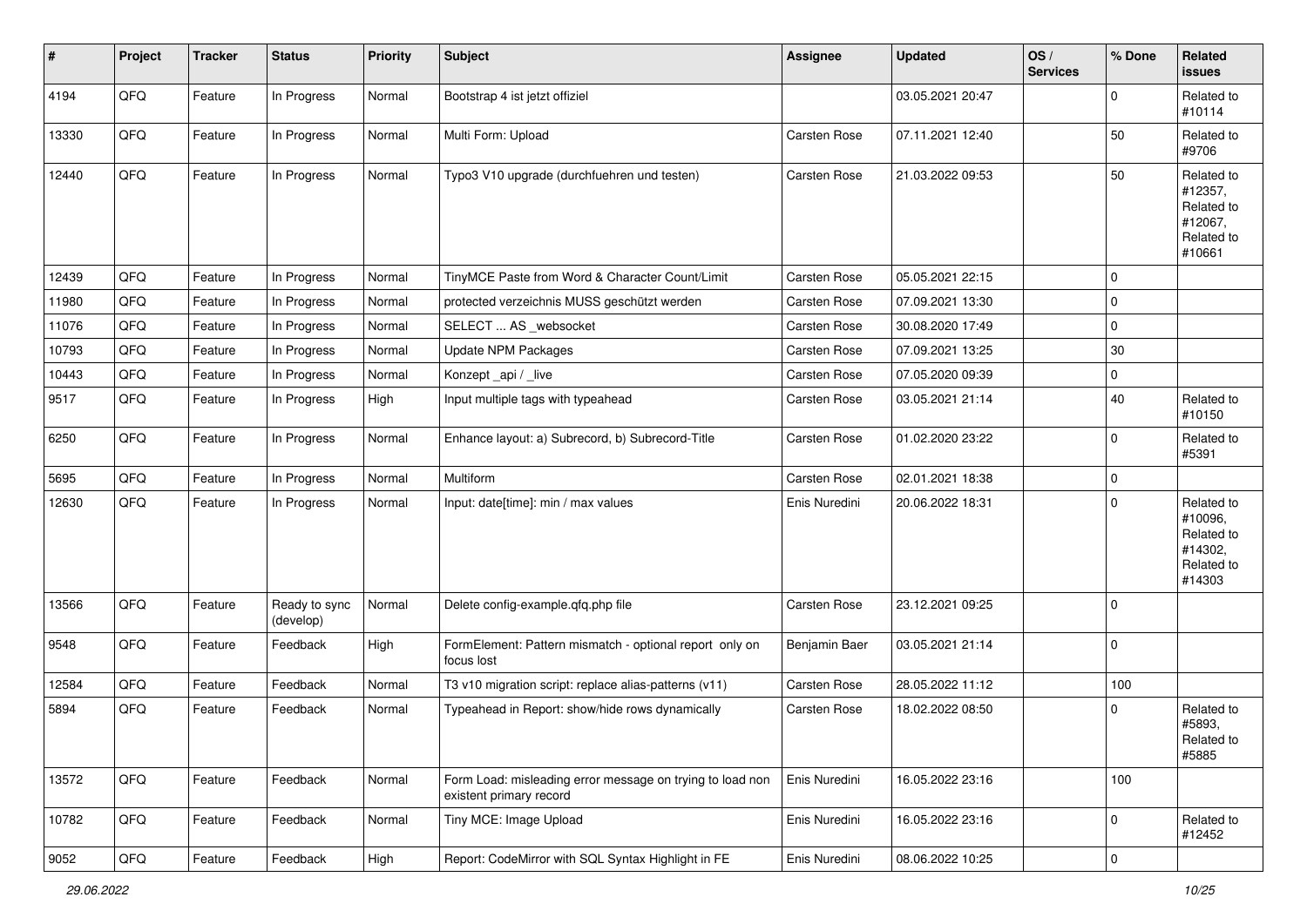| #     | Project | <b>Tracker</b> | <b>Status</b>              | <b>Priority</b> | <b>Subject</b>                                                                       | <b>Assignee</b>     | <b>Updated</b>   | OS/<br><b>Services</b> | % Done      | <b>Related</b><br>issues                                               |
|-------|---------|----------------|----------------------------|-----------------|--------------------------------------------------------------------------------------|---------------------|------------------|------------------------|-------------|------------------------------------------------------------------------|
| 4194  | QFQ     | Feature        | In Progress                | Normal          | Bootstrap 4 ist jetzt offiziel                                                       |                     | 03.05.2021 20:47 |                        | 0           | Related to<br>#10114                                                   |
| 13330 | QFQ     | Feature        | In Progress                | Normal          | Multi Form: Upload                                                                   | <b>Carsten Rose</b> | 07.11.2021 12:40 |                        | 50          | Related to<br>#9706                                                    |
| 12440 | QFQ     | Feature        | In Progress                | Normal          | Typo3 V10 upgrade (durchfuehren und testen)                                          | Carsten Rose        | 21.03.2022 09:53 |                        | 50          | Related to<br>#12357,<br>Related to<br>#12067,<br>Related to<br>#10661 |
| 12439 | QFQ     | Feature        | In Progress                | Normal          | TinyMCE Paste from Word & Character Count/Limit                                      | <b>Carsten Rose</b> | 05.05.2021 22:15 |                        | 0           |                                                                        |
| 11980 | QFQ     | Feature        | In Progress                | Normal          | protected verzeichnis MUSS geschützt werden                                          | Carsten Rose        | 07.09.2021 13:30 |                        | 0           |                                                                        |
| 11076 | QFQ     | Feature        | In Progress                | Normal          | SELECT  AS _websocket                                                                | <b>Carsten Rose</b> | 30.08.2020 17:49 |                        | 0           |                                                                        |
| 10793 | QFQ     | Feature        | In Progress                | Normal          | <b>Update NPM Packages</b>                                                           | Carsten Rose        | 07.09.2021 13:25 |                        | 30          |                                                                        |
| 10443 | QFQ     | Feature        | In Progress                | Normal          | Konzept_api / _live                                                                  | <b>Carsten Rose</b> | 07.05.2020 09:39 |                        | 0           |                                                                        |
| 9517  | QFQ     | Feature        | In Progress                | High            | Input multiple tags with typeahead                                                   | <b>Carsten Rose</b> | 03.05.2021 21:14 |                        | 40          | Related to<br>#10150                                                   |
| 6250  | QFQ     | Feature        | In Progress                | Normal          | Enhance layout: a) Subrecord, b) Subrecord-Title                                     | <b>Carsten Rose</b> | 01.02.2020 23:22 |                        | $\mathbf 0$ | Related to<br>#5391                                                    |
| 5695  | QFQ     | Feature        | In Progress                | Normal          | Multiform                                                                            | Carsten Rose        | 02.01.2021 18:38 |                        | 0           |                                                                        |
| 12630 | QFQ     | Feature        | In Progress                | Normal          | Input: date[time]: min / max values                                                  | Enis Nuredini       | 20.06.2022 18:31 |                        | 0           | Related to<br>#10096,<br>Related to<br>#14302,<br>Related to<br>#14303 |
| 13566 | QFQ     | Feature        | Ready to sync<br>(develop) | Normal          | Delete config-example.qfq.php file                                                   | <b>Carsten Rose</b> | 23.12.2021 09:25 |                        | 0           |                                                                        |
| 9548  | QFQ     | Feature        | Feedback                   | High            | FormElement: Pattern mismatch - optional report only on<br>focus lost                | Benjamin Baer       | 03.05.2021 21:14 |                        | 0           |                                                                        |
| 12584 | QFQ     | Feature        | Feedback                   | Normal          | T3 v10 migration script: replace alias-patterns (v11)                                | Carsten Rose        | 28.05.2022 11:12 |                        | 100         |                                                                        |
| 5894  | QFQ     | Feature        | Feedback                   | Normal          | Typeahead in Report: show/hide rows dynamically                                      | Carsten Rose        | 18.02.2022 08:50 |                        | 0           | Related to<br>#5893,<br>Related to<br>#5885                            |
| 13572 | QFQ     | Feature        | Feedback                   | Normal          | Form Load: misleading error message on trying to load non<br>existent primary record | Enis Nuredini       | 16.05.2022 23:16 |                        | 100         |                                                                        |
| 10782 | QFQ     | Feature        | Feedback                   | Normal          | Tiny MCE: Image Upload                                                               | Enis Nuredini       | 16.05.2022 23:16 |                        | 0           | Related to<br>#12452                                                   |
| 9052  | QFQ     | Feature        | Feedback                   | High            | Report: CodeMirror with SQL Syntax Highlight in FE                                   | Enis Nuredini       | 08.06.2022 10:25 |                        | $\pmb{0}$   |                                                                        |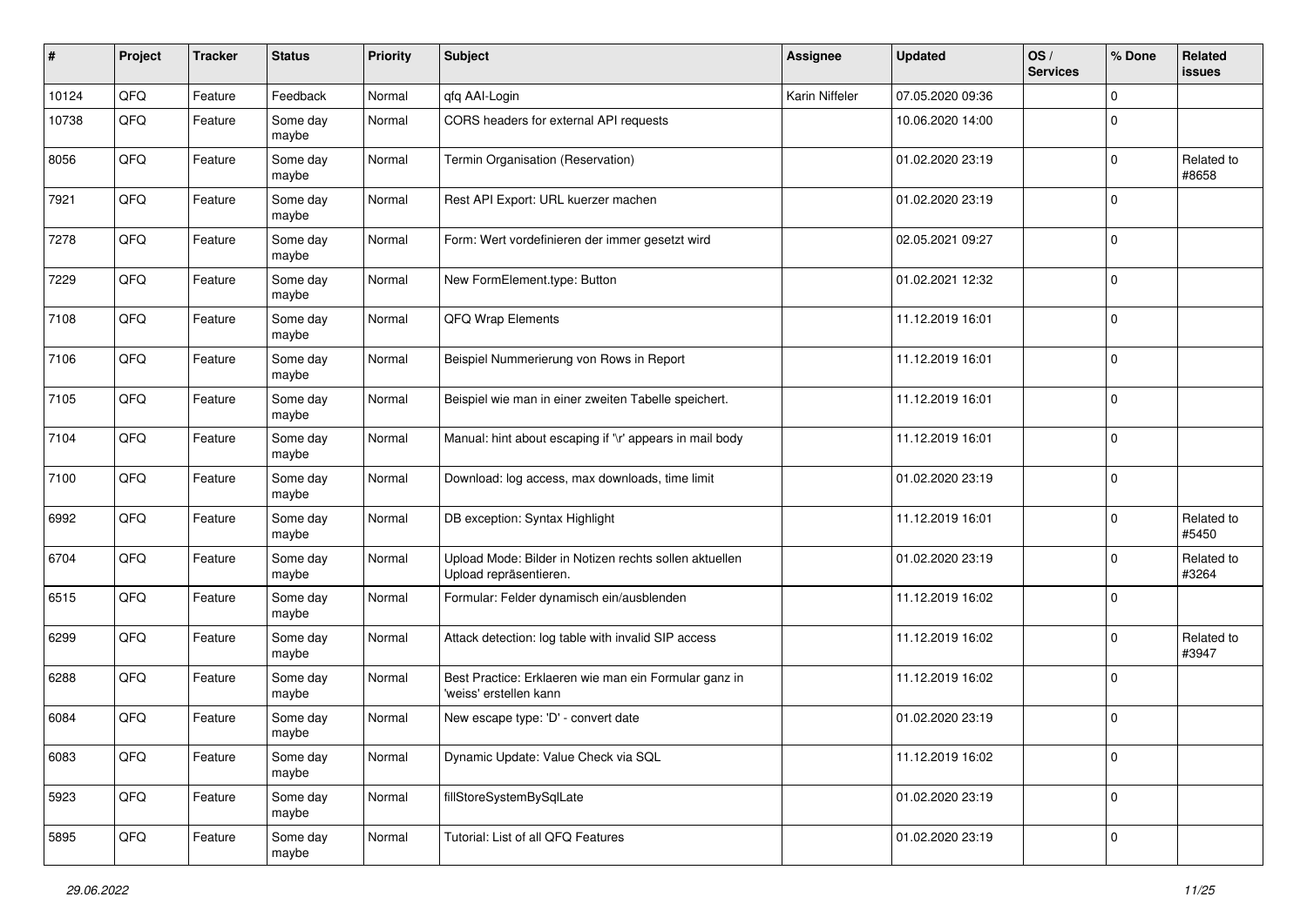| #     | Project | <b>Tracker</b> | <b>Status</b>     | <b>Priority</b> | <b>Subject</b>                                                                   | <b>Assignee</b> | <b>Updated</b>   | OS/<br><b>Services</b> | % Done      | Related<br>issues   |
|-------|---------|----------------|-------------------|-----------------|----------------------------------------------------------------------------------|-----------------|------------------|------------------------|-------------|---------------------|
| 10124 | QFQ     | Feature        | Feedback          | Normal          | qfq AAI-Login                                                                    | Karin Niffeler  | 07.05.2020 09:36 |                        | 0           |                     |
| 10738 | QFQ     | Feature        | Some day<br>maybe | Normal          | CORS headers for external API requests                                           |                 | 10.06.2020 14:00 |                        | $\mathbf 0$ |                     |
| 8056  | QFQ     | Feature        | Some day<br>maybe | Normal          | Termin Organisation (Reservation)                                                |                 | 01.02.2020 23:19 |                        | 0           | Related to<br>#8658 |
| 7921  | QFQ     | Feature        | Some day<br>maybe | Normal          | Rest API Export: URL kuerzer machen                                              |                 | 01.02.2020 23:19 |                        | $\mathbf 0$ |                     |
| 7278  | QFQ     | Feature        | Some day<br>maybe | Normal          | Form: Wert vordefinieren der immer gesetzt wird                                  |                 | 02.05.2021 09:27 |                        | 0           |                     |
| 7229  | QFQ     | Feature        | Some day<br>maybe | Normal          | New FormElement.type: Button                                                     |                 | 01.02.2021 12:32 |                        | $\mathbf 0$ |                     |
| 7108  | QFQ     | Feature        | Some day<br>maybe | Normal          | QFQ Wrap Elements                                                                |                 | 11.12.2019 16:01 |                        | $\mathbf 0$ |                     |
| 7106  | QFQ     | Feature        | Some day<br>maybe | Normal          | Beispiel Nummerierung von Rows in Report                                         |                 | 11.12.2019 16:01 |                        | $\mathbf 0$ |                     |
| 7105  | QFQ     | Feature        | Some day<br>maybe | Normal          | Beispiel wie man in einer zweiten Tabelle speichert.                             |                 | 11.12.2019 16:01 |                        | 0           |                     |
| 7104  | QFQ     | Feature        | Some day<br>maybe | Normal          | Manual: hint about escaping if '\r' appears in mail body                         |                 | 11.12.2019 16:01 |                        | $\mathbf 0$ |                     |
| 7100  | QFQ     | Feature        | Some day<br>maybe | Normal          | Download: log access, max downloads, time limit                                  |                 | 01.02.2020 23:19 |                        | $\Omega$    |                     |
| 6992  | QFQ     | Feature        | Some day<br>maybe | Normal          | DB exception: Syntax Highlight                                                   |                 | 11.12.2019 16:01 |                        | 0           | Related to<br>#5450 |
| 6704  | QFQ     | Feature        | Some day<br>maybe | Normal          | Upload Mode: Bilder in Notizen rechts sollen aktuellen<br>Upload repräsentieren. |                 | 01.02.2020 23:19 |                        | 0           | Related to<br>#3264 |
| 6515  | QFQ     | Feature        | Some day<br>maybe | Normal          | Formular: Felder dynamisch ein/ausblenden                                        |                 | 11.12.2019 16:02 |                        | 0           |                     |
| 6299  | QFQ     | Feature        | Some day<br>maybe | Normal          | Attack detection: log table with invalid SIP access                              |                 | 11.12.2019 16:02 |                        | $\mathbf 0$ | Related to<br>#3947 |
| 6288  | QFQ     | Feature        | Some day<br>maybe | Normal          | Best Practice: Erklaeren wie man ein Formular ganz in<br>'weiss' erstellen kann  |                 | 11.12.2019 16:02 |                        | $\mathbf 0$ |                     |
| 6084  | QFQ     | Feature        | Some day<br>maybe | Normal          | New escape type: 'D' - convert date                                              |                 | 01.02.2020 23:19 |                        | 0           |                     |
| 6083  | QFQ     | Feature        | Some day<br>maybe | Normal          | Dynamic Update: Value Check via SQL                                              |                 | 11.12.2019 16:02 |                        | 0           |                     |
| 5923  | QFQ     | Feature        | Some day<br>maybe | Normal          | fillStoreSystemBySqlLate                                                         |                 | 01.02.2020 23:19 |                        | $\pmb{0}$   |                     |
| 5895  | QFQ     | Feature        | Some day<br>maybe | Normal          | Tutorial: List of all QFQ Features                                               |                 | 01.02.2020 23:19 |                        | 0           |                     |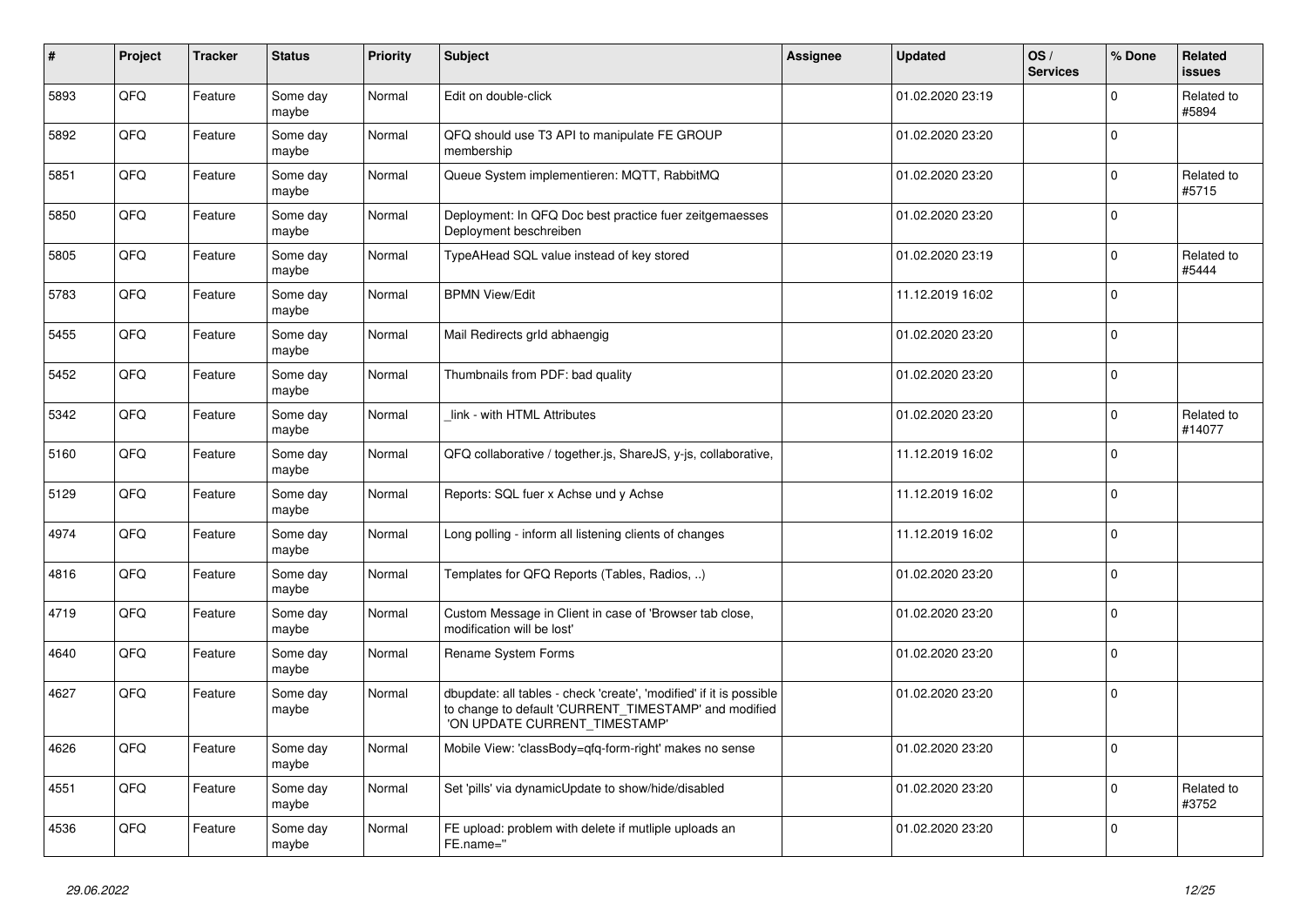| #    | Project | <b>Tracker</b> | <b>Status</b>     | <b>Priority</b> | <b>Subject</b>                                                                                                                                                | Assignee | <b>Updated</b>   | OS/<br><b>Services</b> | % Done      | <b>Related</b><br>issues |
|------|---------|----------------|-------------------|-----------------|---------------------------------------------------------------------------------------------------------------------------------------------------------------|----------|------------------|------------------------|-------------|--------------------------|
| 5893 | QFQ     | Feature        | Some day<br>maybe | Normal          | Edit on double-click                                                                                                                                          |          | 01.02.2020 23:19 |                        | $\mathbf 0$ | Related to<br>#5894      |
| 5892 | QFQ     | Feature        | Some day<br>maybe | Normal          | QFQ should use T3 API to manipulate FE GROUP<br>membership                                                                                                    |          | 01.02.2020 23:20 |                        | $\Omega$    |                          |
| 5851 | QFQ     | Feature        | Some day<br>maybe | Normal          | Queue System implementieren: MQTT, RabbitMQ                                                                                                                   |          | 01.02.2020 23:20 |                        | $\mathbf 0$ | Related to<br>#5715      |
| 5850 | QFQ     | Feature        | Some day<br>maybe | Normal          | Deployment: In QFQ Doc best practice fuer zeitgemaesses<br>Deployment beschreiben                                                                             |          | 01.02.2020 23:20 |                        | $\Omega$    |                          |
| 5805 | QFQ     | Feature        | Some day<br>maybe | Normal          | TypeAHead SQL value instead of key stored                                                                                                                     |          | 01.02.2020 23:19 |                        | $\pmb{0}$   | Related to<br>#5444      |
| 5783 | QFQ     | Feature        | Some day<br>maybe | Normal          | <b>BPMN View/Edit</b>                                                                                                                                         |          | 11.12.2019 16:02 |                        | $\mathbf 0$ |                          |
| 5455 | QFQ     | Feature        | Some day<br>maybe | Normal          | Mail Redirects grld abhaengig                                                                                                                                 |          | 01.02.2020 23:20 |                        | $\Omega$    |                          |
| 5452 | QFQ     | Feature        | Some day<br>maybe | Normal          | Thumbnails from PDF: bad quality                                                                                                                              |          | 01.02.2020 23:20 |                        | $\mathbf 0$ |                          |
| 5342 | QFQ     | Feature        | Some day<br>maybe | Normal          | link - with HTML Attributes                                                                                                                                   |          | 01.02.2020 23:20 |                        | $\pmb{0}$   | Related to<br>#14077     |
| 5160 | QFQ     | Feature        | Some day<br>maybe | Normal          | QFQ collaborative / together.js, ShareJS, y-js, collaborative,                                                                                                |          | 11.12.2019 16:02 |                        | $\Omega$    |                          |
| 5129 | QFQ     | Feature        | Some day<br>maybe | Normal          | Reports: SQL fuer x Achse und y Achse                                                                                                                         |          | 11.12.2019 16:02 |                        | 0           |                          |
| 4974 | QFQ     | Feature        | Some day<br>maybe | Normal          | Long polling - inform all listening clients of changes                                                                                                        |          | 11.12.2019 16:02 |                        | $\Omega$    |                          |
| 4816 | QFQ     | Feature        | Some day<br>maybe | Normal          | Templates for QFQ Reports (Tables, Radios, )                                                                                                                  |          | 01.02.2020 23:20 |                        | $\Omega$    |                          |
| 4719 | QFQ     | Feature        | Some day<br>maybe | Normal          | Custom Message in Client in case of 'Browser tab close,<br>modification will be lost'                                                                         |          | 01.02.2020 23:20 |                        | $\mathbf 0$ |                          |
| 4640 | QFQ     | Feature        | Some day<br>maybe | Normal          | <b>Rename System Forms</b>                                                                                                                                    |          | 01.02.2020 23:20 |                        | $\mathbf 0$ |                          |
| 4627 | QFQ     | Feature        | Some day<br>maybe | Normal          | dbupdate: all tables - check 'create', 'modified' if it is possible<br>to change to default 'CURRENT_TIMESTAMP' and modified<br>'ON UPDATE CURRENT_TIMESTAMP' |          | 01.02.2020 23:20 |                        | $\Omega$    |                          |
| 4626 | QFQ     | Feature        | Some day<br>maybe | Normal          | Mobile View: 'classBody=qfq-form-right' makes no sense                                                                                                        |          | 01.02.2020 23:20 |                        | $\mathbf 0$ |                          |
| 4551 | QFQ     | Feature        | Some day<br>maybe | Normal          | Set 'pills' via dynamicUpdate to show/hide/disabled                                                                                                           |          | 01.02.2020 23:20 |                        | $\Omega$    | Related to<br>#3752      |
| 4536 | QFQ     | Feature        | Some day<br>maybe | Normal          | FE upload: problem with delete if mutliple uploads an<br>FE.name="                                                                                            |          | 01.02.2020 23:20 |                        | $\Omega$    |                          |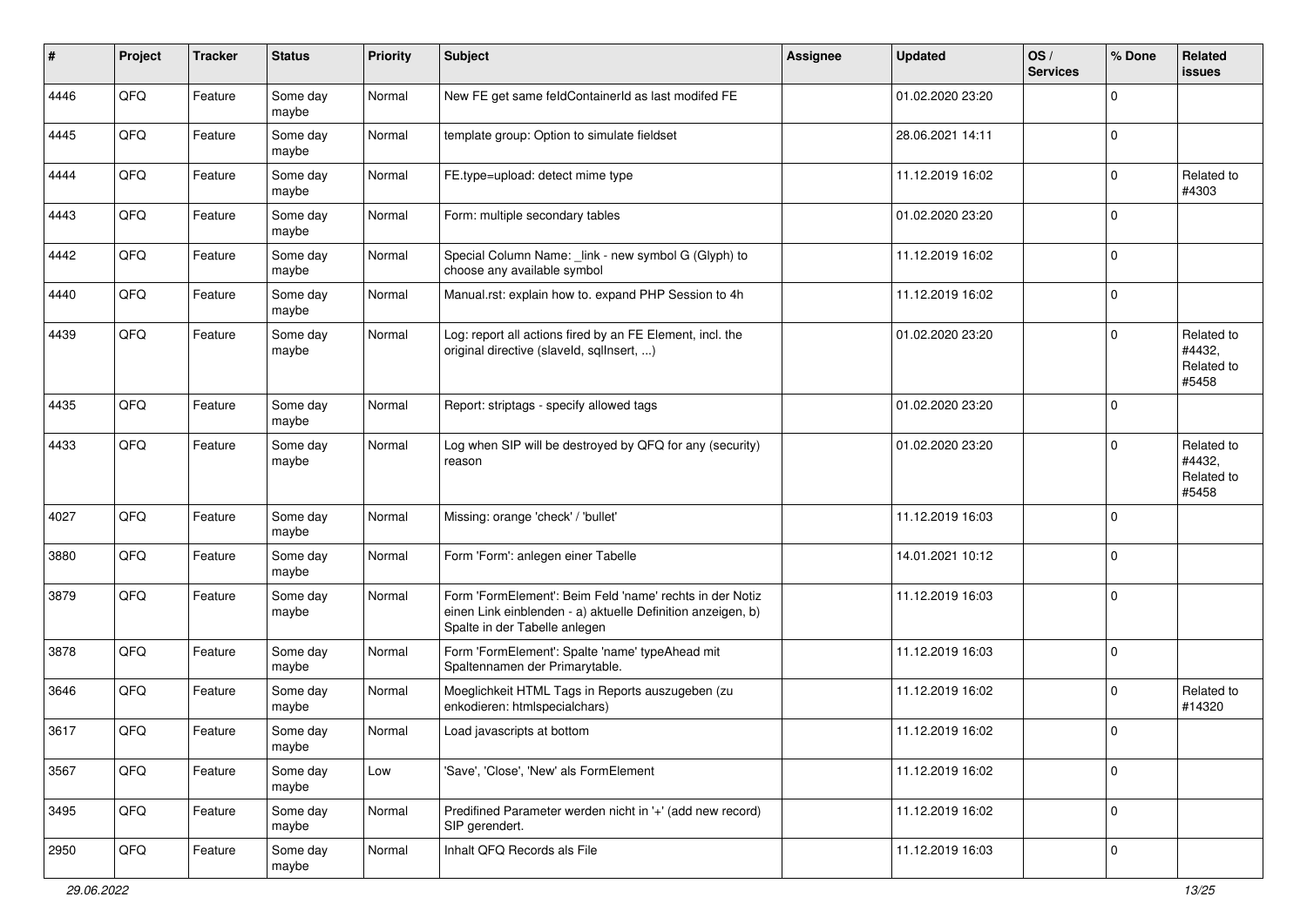| $\sharp$ | Project | <b>Tracker</b> | <b>Status</b>     | <b>Priority</b> | <b>Subject</b>                                                                                                                                           | <b>Assignee</b> | <b>Updated</b>   | OS/<br><b>Services</b> | % Done      | Related<br>issues                           |
|----------|---------|----------------|-------------------|-----------------|----------------------------------------------------------------------------------------------------------------------------------------------------------|-----------------|------------------|------------------------|-------------|---------------------------------------------|
| 4446     | QFQ     | Feature        | Some day<br>maybe | Normal          | New FE get same feldContainerId as last modifed FE                                                                                                       |                 | 01.02.2020 23:20 |                        | $\mathbf 0$ |                                             |
| 4445     | QFQ     | Feature        | Some day<br>maybe | Normal          | template group: Option to simulate fieldset                                                                                                              |                 | 28.06.2021 14:11 |                        | $\mathbf 0$ |                                             |
| 4444     | QFQ     | Feature        | Some day<br>maybe | Normal          | FE.type=upload: detect mime type                                                                                                                         |                 | 11.12.2019 16:02 |                        | 0           | Related to<br>#4303                         |
| 4443     | QFQ     | Feature        | Some day<br>maybe | Normal          | Form: multiple secondary tables                                                                                                                          |                 | 01.02.2020 23:20 |                        | 0           |                                             |
| 4442     | QFQ     | Feature        | Some day<br>maybe | Normal          | Special Column Name: _link - new symbol G (Glyph) to<br>choose any available symbol                                                                      |                 | 11.12.2019 16:02 |                        | $\mathbf 0$ |                                             |
| 4440     | QFQ     | Feature        | Some day<br>maybe | Normal          | Manual.rst: explain how to. expand PHP Session to 4h                                                                                                     |                 | 11.12.2019 16:02 |                        | $\mathbf 0$ |                                             |
| 4439     | QFQ     | Feature        | Some day<br>maybe | Normal          | Log: report all actions fired by an FE Element, incl. the<br>original directive (slaveld, sqlInsert, )                                                   |                 | 01.02.2020 23:20 |                        | $\mathbf 0$ | Related to<br>#4432,<br>Related to<br>#5458 |
| 4435     | QFQ     | Feature        | Some day<br>maybe | Normal          | Report: striptags - specify allowed tags                                                                                                                 |                 | 01.02.2020 23:20 |                        | $\mathbf 0$ |                                             |
| 4433     | QFQ     | Feature        | Some day<br>maybe | Normal          | Log when SIP will be destroyed by QFQ for any (security)<br>reason                                                                                       |                 | 01.02.2020 23:20 |                        | $\mathbf 0$ | Related to<br>#4432,<br>Related to<br>#5458 |
| 4027     | QFQ     | Feature        | Some day<br>maybe | Normal          | Missing: orange 'check' / 'bullet'                                                                                                                       |                 | 11.12.2019 16:03 |                        | $\Omega$    |                                             |
| 3880     | QFQ     | Feature        | Some day<br>maybe | Normal          | Form 'Form': anlegen einer Tabelle                                                                                                                       |                 | 14.01.2021 10:12 |                        | 0           |                                             |
| 3879     | QFQ     | Feature        | Some day<br>maybe | Normal          | Form 'FormElement': Beim Feld 'name' rechts in der Notiz<br>einen Link einblenden - a) aktuelle Definition anzeigen, b)<br>Spalte in der Tabelle anlegen |                 | 11.12.2019 16:03 |                        | 0           |                                             |
| 3878     | QFQ     | Feature        | Some day<br>maybe | Normal          | Form 'FormElement': Spalte 'name' typeAhead mit<br>Spaltennamen der Primarytable.                                                                        |                 | 11.12.2019 16:03 |                        | 0           |                                             |
| 3646     | QFQ     | Feature        | Some day<br>maybe | Normal          | Moeglichkeit HTML Tags in Reports auszugeben (zu<br>enkodieren: htmlspecialchars)                                                                        |                 | 11.12.2019 16:02 |                        | $\mathbf 0$ | Related to<br>#14320                        |
| 3617     | QFQ     | Feature        | Some day<br>maybe | Normal          | Load javascripts at bottom                                                                                                                               |                 | 11.12.2019 16:02 |                        | $\mathbf 0$ |                                             |
| 3567     | QFQ     | Feature        | Some day<br>maybe | Low             | 'Save', 'Close', 'New' als FormElement                                                                                                                   |                 | 11.12.2019 16:02 |                        | 0           |                                             |
| 3495     | QFQ     | Feature        | Some day<br>maybe | Normal          | Predifined Parameter werden nicht in '+' (add new record)<br>SIP gerendert.                                                                              |                 | 11.12.2019 16:02 |                        | $\mathbf 0$ |                                             |
| 2950     | QFQ     | Feature        | Some day<br>maybe | Normal          | Inhalt QFQ Records als File                                                                                                                              |                 | 11.12.2019 16:03 |                        | $\pmb{0}$   |                                             |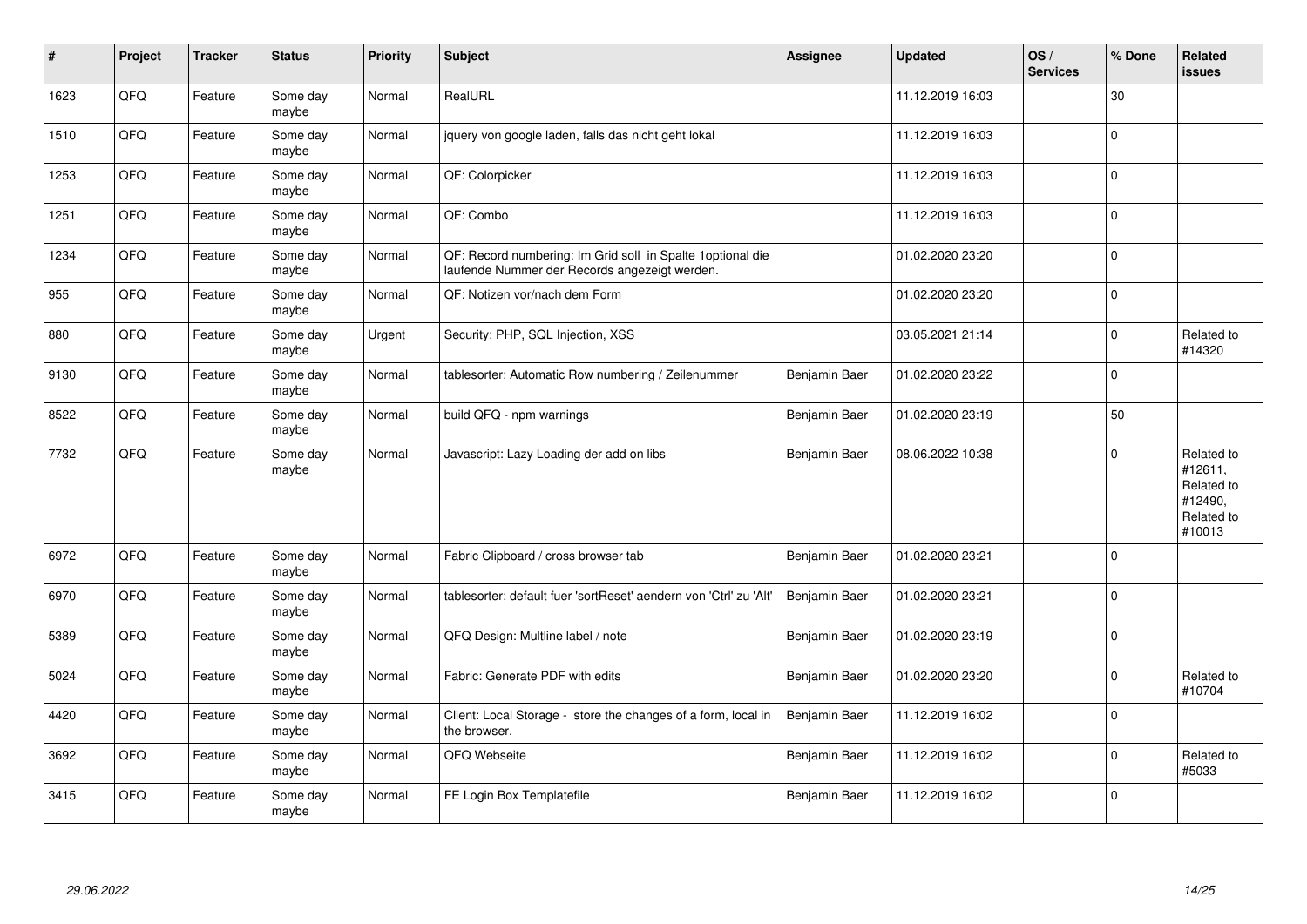| #    | Project | <b>Tracker</b> | <b>Status</b>     | <b>Priority</b> | <b>Subject</b>                                                                                               | Assignee      | <b>Updated</b>   | OS/<br><b>Services</b> | % Done      | Related<br>issues                                                      |
|------|---------|----------------|-------------------|-----------------|--------------------------------------------------------------------------------------------------------------|---------------|------------------|------------------------|-------------|------------------------------------------------------------------------|
| 1623 | QFQ     | Feature        | Some day<br>maybe | Normal          | RealURL                                                                                                      |               | 11.12.2019 16:03 |                        | 30          |                                                                        |
| 1510 | QFQ     | Feature        | Some day<br>maybe | Normal          | jquery von google laden, falls das nicht geht lokal                                                          |               | 11.12.2019 16:03 |                        | $\mathbf 0$ |                                                                        |
| 1253 | QFG     | Feature        | Some day<br>maybe | Normal          | QF: Colorpicker                                                                                              |               | 11.12.2019 16:03 |                        | $\mathbf 0$ |                                                                        |
| 1251 | QFQ     | Feature        | Some day<br>maybe | Normal          | QF: Combo                                                                                                    |               | 11.12.2019 16:03 |                        | $\mathbf 0$ |                                                                        |
| 1234 | QFQ     | Feature        | Some day<br>maybe | Normal          | QF: Record numbering: Im Grid soll in Spalte 1 optional die<br>laufende Nummer der Records angezeigt werden. |               | 01.02.2020 23:20 |                        | $\pmb{0}$   |                                                                        |
| 955  | QFQ     | Feature        | Some day<br>maybe | Normal          | QF: Notizen vor/nach dem Form                                                                                |               | 01.02.2020 23:20 |                        | $\mathbf 0$ |                                                                        |
| 880  | QFQ     | Feature        | Some day<br>maybe | Urgent          | Security: PHP, SQL Injection, XSS                                                                            |               | 03.05.2021 21:14 |                        | $\Omega$    | Related to<br>#14320                                                   |
| 9130 | QFQ     | Feature        | Some day<br>maybe | Normal          | tablesorter: Automatic Row numbering / Zeilenummer                                                           | Benjamin Baer | 01.02.2020 23:22 |                        | $\pmb{0}$   |                                                                        |
| 8522 | QFQ     | Feature        | Some day<br>maybe | Normal          | build QFQ - npm warnings                                                                                     | Benjamin Baer | 01.02.2020 23:19 |                        | 50          |                                                                        |
| 7732 | QFQ     | Feature        | Some day<br>maybe | Normal          | Javascript: Lazy Loading der add on libs                                                                     | Benjamin Baer | 08.06.2022 10:38 |                        | 0           | Related to<br>#12611,<br>Related to<br>#12490,<br>Related to<br>#10013 |
| 6972 | QFQ     | Feature        | Some day<br>maybe | Normal          | Fabric Clipboard / cross browser tab                                                                         | Benjamin Baer | 01.02.2020 23:21 |                        | $\Omega$    |                                                                        |
| 6970 | QFQ     | Feature        | Some day<br>maybe | Normal          | tablesorter: default fuer 'sortReset' aendern von 'Ctrl' zu 'Alt'                                            | Benjamin Baer | 01.02.2020 23:21 |                        | $\Omega$    |                                                                        |
| 5389 | QFQ     | Feature        | Some day<br>maybe | Normal          | QFQ Design: Multline label / note                                                                            | Benjamin Baer | 01.02.2020 23:19 |                        | $\Omega$    |                                                                        |
| 5024 | QFQ     | Feature        | Some day<br>maybe | Normal          | Fabric: Generate PDF with edits                                                                              | Benjamin Baer | 01.02.2020 23:20 |                        | 0           | Related to<br>#10704                                                   |
| 4420 | QFQ     | Feature        | Some day<br>maybe | Normal          | Client: Local Storage - store the changes of a form, local in<br>the browser.                                | Benjamin Baer | 11.12.2019 16:02 |                        | $\mathbf 0$ |                                                                        |
| 3692 | QFQ     | Feature        | Some day<br>maybe | Normal          | QFQ Webseite                                                                                                 | Benjamin Baer | 11.12.2019 16:02 |                        | $\mathbf 0$ | Related to<br>#5033                                                    |
| 3415 | QFQ     | Feature        | Some day<br>maybe | Normal          | FE Login Box Templatefile                                                                                    | Benjamin Baer | 11.12.2019 16:02 |                        | $\pmb{0}$   |                                                                        |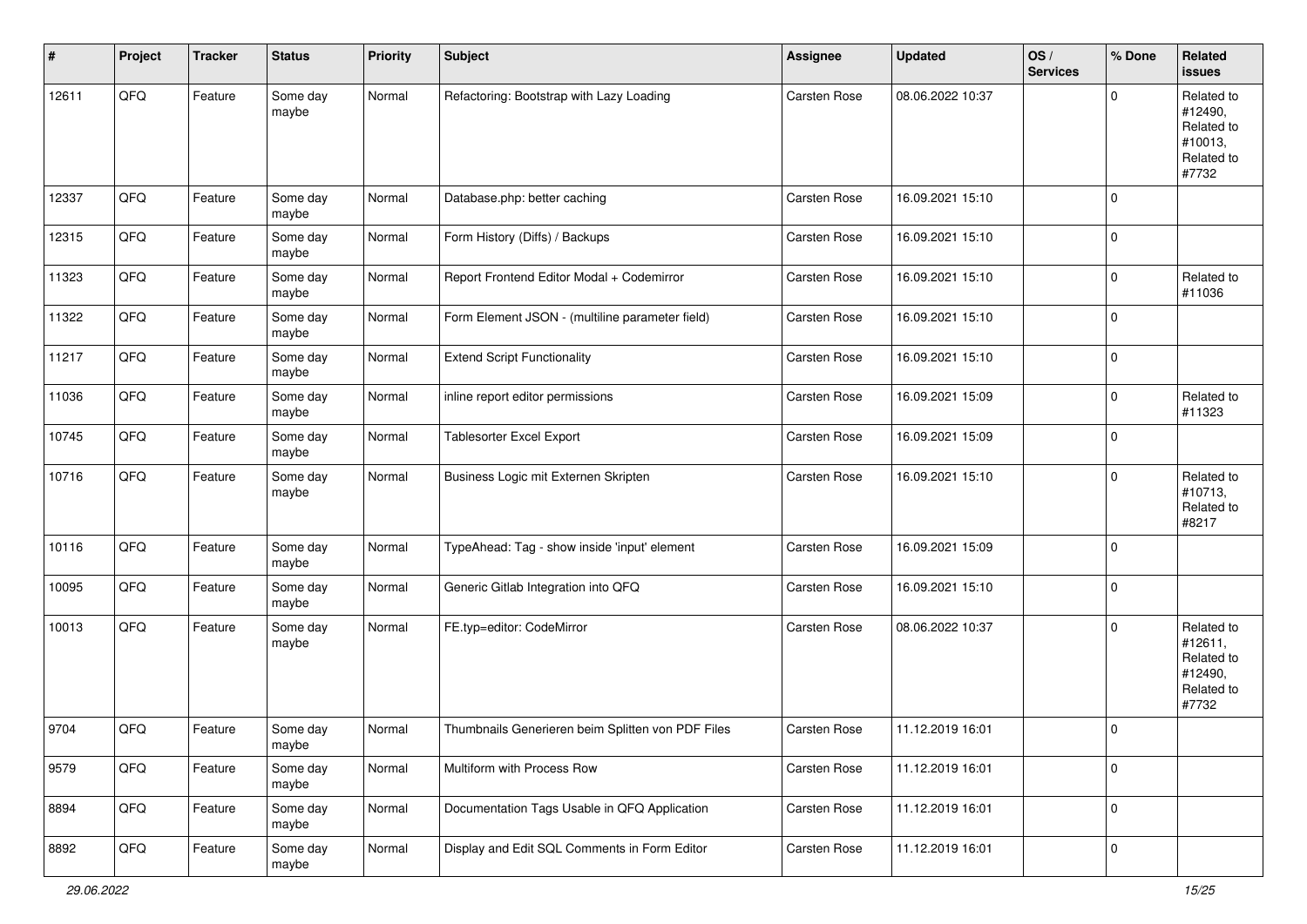| #     | Project | <b>Tracker</b> | <b>Status</b>     | <b>Priority</b> | <b>Subject</b>                                    | <b>Assignee</b> | <b>Updated</b>   | OS/<br><b>Services</b> | % Done      | Related<br>issues                                                     |
|-------|---------|----------------|-------------------|-----------------|---------------------------------------------------|-----------------|------------------|------------------------|-------------|-----------------------------------------------------------------------|
| 12611 | QFQ     | Feature        | Some day<br>maybe | Normal          | Refactoring: Bootstrap with Lazy Loading          | Carsten Rose    | 08.06.2022 10:37 |                        | $\mathbf 0$ | Related to<br>#12490,<br>Related to<br>#10013,<br>Related to<br>#7732 |
| 12337 | QFQ     | Feature        | Some day<br>maybe | Normal          | Database.php: better caching                      | Carsten Rose    | 16.09.2021 15:10 |                        | $\mathbf 0$ |                                                                       |
| 12315 | QFQ     | Feature        | Some day<br>maybe | Normal          | Form History (Diffs) / Backups                    | Carsten Rose    | 16.09.2021 15:10 |                        | $\mathbf 0$ |                                                                       |
| 11323 | QFQ     | Feature        | Some day<br>maybe | Normal          | Report Frontend Editor Modal + Codemirror         | Carsten Rose    | 16.09.2021 15:10 |                        | $\mathbf 0$ | Related to<br>#11036                                                  |
| 11322 | QFQ     | Feature        | Some day<br>maybe | Normal          | Form Element JSON - (multiline parameter field)   | Carsten Rose    | 16.09.2021 15:10 |                        | $\mathbf 0$ |                                                                       |
| 11217 | QFQ     | Feature        | Some day<br>maybe | Normal          | <b>Extend Script Functionality</b>                | Carsten Rose    | 16.09.2021 15:10 |                        | $\pmb{0}$   |                                                                       |
| 11036 | QFQ     | Feature        | Some day<br>maybe | Normal          | inline report editor permissions                  | Carsten Rose    | 16.09.2021 15:09 |                        | $\mathbf 0$ | Related to<br>#11323                                                  |
| 10745 | QFQ     | Feature        | Some day<br>maybe | Normal          | Tablesorter Excel Export                          | Carsten Rose    | 16.09.2021 15:09 |                        | $\mathbf 0$ |                                                                       |
| 10716 | QFQ     | Feature        | Some day<br>maybe | Normal          | Business Logic mit Externen Skripten              | Carsten Rose    | 16.09.2021 15:10 |                        | $\mathbf 0$ | Related to<br>#10713,<br>Related to<br>#8217                          |
| 10116 | QFQ     | Feature        | Some day<br>maybe | Normal          | TypeAhead: Tag - show inside 'input' element      | Carsten Rose    | 16.09.2021 15:09 |                        | $\mathbf 0$ |                                                                       |
| 10095 | QFQ     | Feature        | Some day<br>maybe | Normal          | Generic Gitlab Integration into QFQ               | Carsten Rose    | 16.09.2021 15:10 |                        | $\mathbf 0$ |                                                                       |
| 10013 | QFQ     | Feature        | Some day<br>maybe | Normal          | FE.typ=editor: CodeMirror                         | Carsten Rose    | 08.06.2022 10:37 |                        | $\mathbf 0$ | Related to<br>#12611,<br>Related to<br>#12490,<br>Related to<br>#7732 |
| 9704  | QFQ     | Feature        | Some day<br>maybe | Normal          | Thumbnails Generieren beim Splitten von PDF Files | Carsten Rose    | 11.12.2019 16:01 |                        | 0           |                                                                       |
| 9579  | QFQ     | Feature        | Some day<br>maybe | Normal          | Multiform with Process Row                        | Carsten Rose    | 11.12.2019 16:01 |                        | $\pmb{0}$   |                                                                       |
| 8894  | QFQ     | Feature        | Some day<br>maybe | Normal          | Documentation Tags Usable in QFQ Application      | Carsten Rose    | 11.12.2019 16:01 |                        | $\pmb{0}$   |                                                                       |
| 8892  | QFQ     | Feature        | Some day<br>maybe | Normal          | Display and Edit SQL Comments in Form Editor      | Carsten Rose    | 11.12.2019 16:01 |                        | $\pmb{0}$   |                                                                       |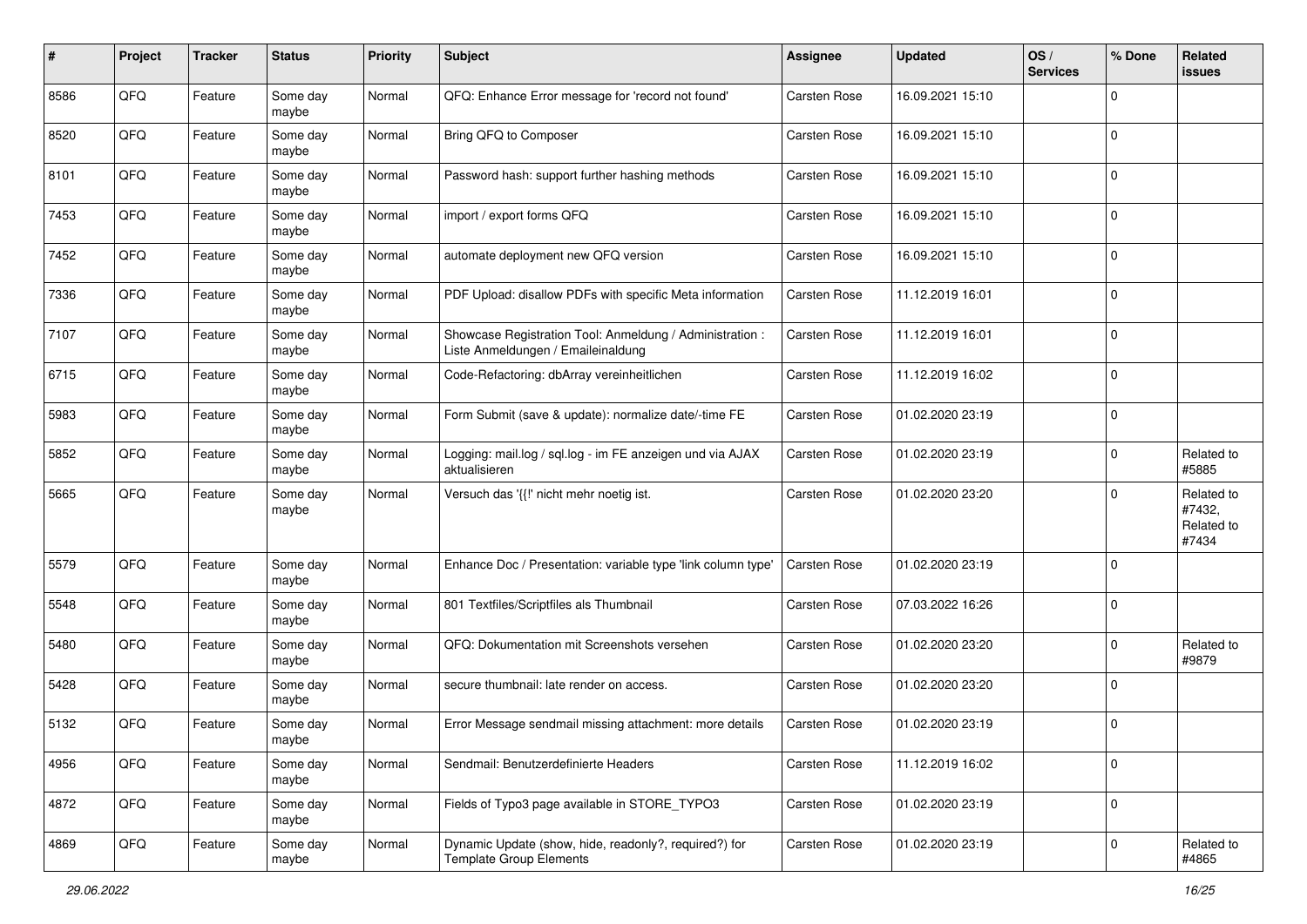| #    | Project | <b>Tracker</b> | <b>Status</b>     | <b>Priority</b> | <b>Subject</b>                                                                                 | <b>Assignee</b> | <b>Updated</b>   | OS/<br><b>Services</b> | % Done      | <b>Related</b><br>issues                    |
|------|---------|----------------|-------------------|-----------------|------------------------------------------------------------------------------------------------|-----------------|------------------|------------------------|-------------|---------------------------------------------|
| 8586 | QFQ     | Feature        | Some day<br>maybe | Normal          | QFQ: Enhance Error message for 'record not found'                                              | Carsten Rose    | 16.09.2021 15:10 |                        | $\Omega$    |                                             |
| 8520 | QFQ     | Feature        | Some day<br>maybe | Normal          | Bring QFQ to Composer                                                                          | Carsten Rose    | 16.09.2021 15:10 |                        | $\mathbf 0$ |                                             |
| 8101 | QFQ     | Feature        | Some day<br>maybe | Normal          | Password hash: support further hashing methods                                                 | Carsten Rose    | 16.09.2021 15:10 |                        | $\Omega$    |                                             |
| 7453 | QFQ     | Feature        | Some day<br>maybe | Normal          | import / export forms QFQ                                                                      | Carsten Rose    | 16.09.2021 15:10 |                        | $\mathbf 0$ |                                             |
| 7452 | QFQ     | Feature        | Some day<br>maybe | Normal          | automate deployment new QFQ version                                                            | Carsten Rose    | 16.09.2021 15:10 |                        | $\Omega$    |                                             |
| 7336 | QFQ     | Feature        | Some day<br>maybe | Normal          | PDF Upload: disallow PDFs with specific Meta information                                       | Carsten Rose    | 11.12.2019 16:01 |                        | $\mathbf 0$ |                                             |
| 7107 | QFQ     | Feature        | Some day<br>maybe | Normal          | Showcase Registration Tool: Anmeldung / Administration :<br>Liste Anmeldungen / Emaileinaldung | Carsten Rose    | 11.12.2019 16:01 |                        | $\mathbf 0$ |                                             |
| 6715 | QFQ     | Feature        | Some day<br>maybe | Normal          | Code-Refactoring: dbArray vereinheitlichen                                                     | Carsten Rose    | 11.12.2019 16:02 |                        | $\mathbf 0$ |                                             |
| 5983 | QFQ     | Feature        | Some day<br>maybe | Normal          | Form Submit (save & update): normalize date/-time FE                                           | Carsten Rose    | 01.02.2020 23:19 |                        | $\mathbf 0$ |                                             |
| 5852 | QFQ     | Feature        | Some day<br>maybe | Normal          | Logging: mail.log / sql.log - im FE anzeigen und via AJAX<br>aktualisieren                     | Carsten Rose    | 01.02.2020 23:19 |                        | $\mathbf 0$ | Related to<br>#5885                         |
| 5665 | QFQ     | Feature        | Some day<br>maybe | Normal          | Versuch das '{{!' nicht mehr noetig ist.                                                       | Carsten Rose    | 01.02.2020 23:20 |                        | $\Omega$    | Related to<br>#7432,<br>Related to<br>#7434 |
| 5579 | QFQ     | Feature        | Some day<br>maybe | Normal          | Enhance Doc / Presentation: variable type 'link column type'                                   | Carsten Rose    | 01.02.2020 23:19 |                        | $\Omega$    |                                             |
| 5548 | QFQ     | Feature        | Some day<br>maybe | Normal          | 801 Textfiles/Scriptfiles als Thumbnail                                                        | Carsten Rose    | 07.03.2022 16:26 |                        | $\mathbf 0$ |                                             |
| 5480 | QFQ     | Feature        | Some day<br>maybe | Normal          | QFQ: Dokumentation mit Screenshots versehen                                                    | Carsten Rose    | 01.02.2020 23:20 |                        | $\Omega$    | Related to<br>#9879                         |
| 5428 | QFQ     | Feature        | Some day<br>maybe | Normal          | secure thumbnail: late render on access.                                                       | Carsten Rose    | 01.02.2020 23:20 |                        | $\mathbf 0$ |                                             |
| 5132 | QFQ     | Feature        | Some day<br>maybe | Normal          | Error Message sendmail missing attachment: more details                                        | Carsten Rose    | 01.02.2020 23:19 |                        | $\mathbf 0$ |                                             |
| 4956 | QFQ     | Feature        | Some day<br>maybe | Normal          | Sendmail: Benutzerdefinierte Headers                                                           | Carsten Rose    | 11.12.2019 16:02 |                        | 0           |                                             |
| 4872 | QFQ     | Feature        | Some day<br>maybe | Normal          | Fields of Typo3 page available in STORE_TYPO3                                                  | Carsten Rose    | 01.02.2020 23:19 |                        | $\pmb{0}$   |                                             |
| 4869 | QFQ     | Feature        | Some day<br>maybe | Normal          | Dynamic Update (show, hide, readonly?, required?) for<br><b>Template Group Elements</b>        | Carsten Rose    | 01.02.2020 23:19 |                        | $\pmb{0}$   | Related to<br>#4865                         |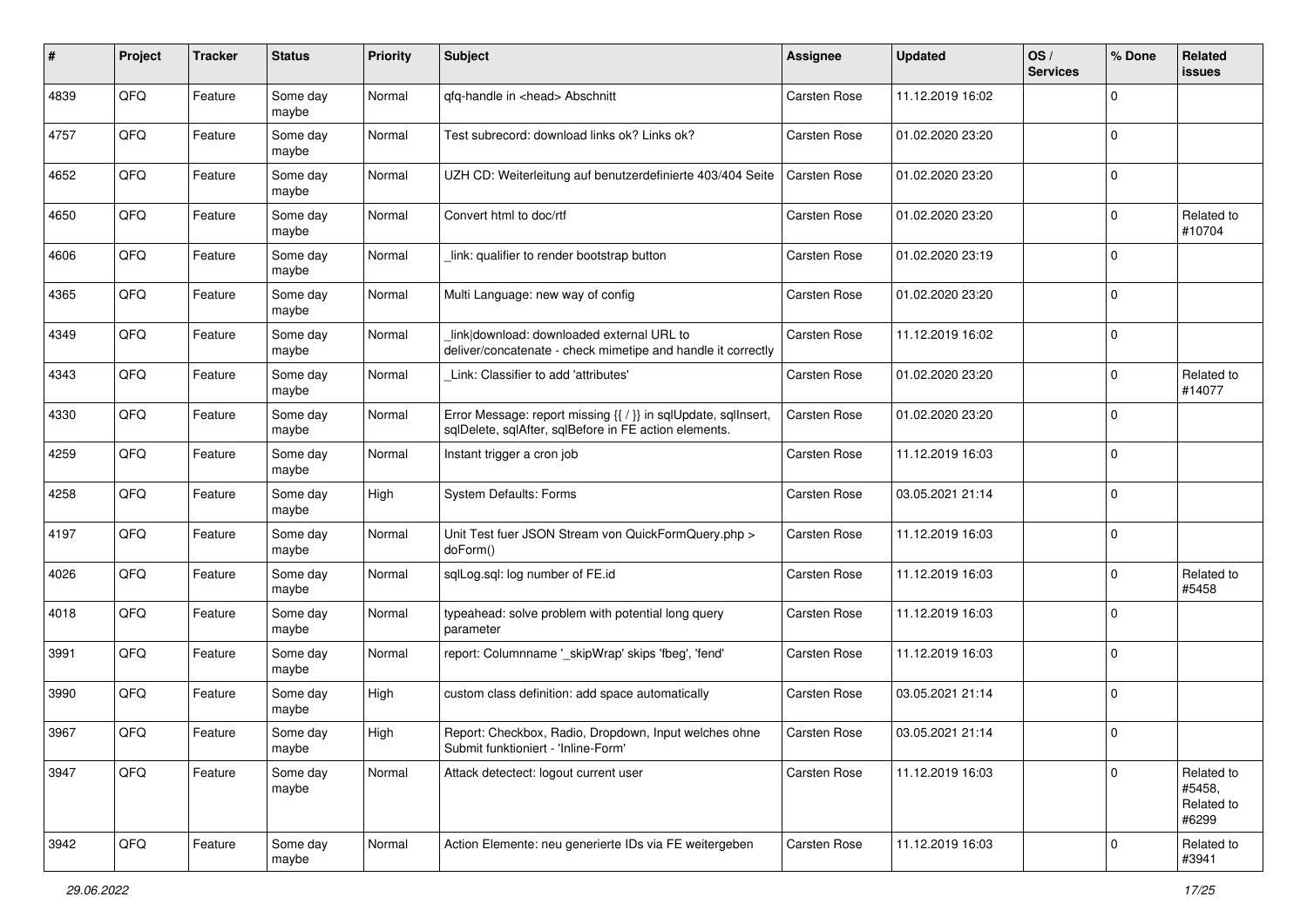| #    | Project | <b>Tracker</b> | <b>Status</b>     | <b>Priority</b> | <b>Subject</b>                                                                                                          | <b>Assignee</b> | <b>Updated</b>   | OS/<br><b>Services</b> | % Done         | Related<br><b>issues</b>                    |
|------|---------|----------------|-------------------|-----------------|-------------------------------------------------------------------------------------------------------------------------|-----------------|------------------|------------------------|----------------|---------------------------------------------|
| 4839 | QFQ     | Feature        | Some day<br>maybe | Normal          | qfq-handle in <head> Abschnitt</head>                                                                                   | Carsten Rose    | 11.12.2019 16:02 |                        | $\mathbf 0$    |                                             |
| 4757 | QFQ     | Feature        | Some day<br>maybe | Normal          | Test subrecord: download links ok? Links ok?                                                                            | Carsten Rose    | 01.02.2020 23:20 |                        | $\mathbf 0$    |                                             |
| 4652 | QFQ     | Feature        | Some day<br>maybe | Normal          | UZH CD: Weiterleitung auf benutzerdefinierte 403/404 Seite                                                              | Carsten Rose    | 01.02.2020 23:20 |                        | $\mathbf 0$    |                                             |
| 4650 | QFQ     | Feature        | Some day<br>maybe | Normal          | Convert html to doc/rtf                                                                                                 | Carsten Rose    | 01.02.2020 23:20 |                        | 0              | Related to<br>#10704                        |
| 4606 | QFQ     | Feature        | Some day<br>maybe | Normal          | link: qualifier to render bootstrap button                                                                              | Carsten Rose    | 01.02.2020 23:19 |                        | $\mathbf 0$    |                                             |
| 4365 | QFQ     | Feature        | Some day<br>maybe | Normal          | Multi Language: new way of config                                                                                       | Carsten Rose    | 01.02.2020 23:20 |                        | $\mathbf 0$    |                                             |
| 4349 | QFQ     | Feature        | Some day<br>maybe | Normal          | link download: downloaded external URL to<br>deliver/concatenate - check mimetipe and handle it correctly               | Carsten Rose    | 11.12.2019 16:02 |                        | $\mathbf 0$    |                                             |
| 4343 | QFQ     | Feature        | Some day<br>maybe | Normal          | Link: Classifier to add 'attributes'                                                                                    | Carsten Rose    | 01.02.2020 23:20 |                        | $\mathbf 0$    | Related to<br>#14077                        |
| 4330 | QFQ     | Feature        | Some day<br>maybe | Normal          | Error Message: report missing {{ / }} in sqlUpdate, sqlInsert,<br>sqlDelete, sqlAfter, sqlBefore in FE action elements. | Carsten Rose    | 01.02.2020 23:20 |                        | $\mathbf 0$    |                                             |
| 4259 | QFQ     | Feature        | Some day<br>maybe | Normal          | Instant trigger a cron job                                                                                              | Carsten Rose    | 11.12.2019 16:03 |                        | $\mathbf 0$    |                                             |
| 4258 | QFQ     | Feature        | Some day<br>maybe | High            | System Defaults: Forms                                                                                                  | Carsten Rose    | 03.05.2021 21:14 |                        | $\mathbf 0$    |                                             |
| 4197 | QFQ     | Feature        | Some day<br>maybe | Normal          | Unit Test fuer JSON Stream von QuickFormQuery.php ><br>doForm()                                                         | Carsten Rose    | 11.12.2019 16:03 |                        | $\mathbf 0$    |                                             |
| 4026 | QFQ     | Feature        | Some day<br>maybe | Normal          | sqlLog.sql: log number of FE.id                                                                                         | Carsten Rose    | 11.12.2019 16:03 |                        | $\mathbf 0$    | Related to<br>#5458                         |
| 4018 | QFQ     | Feature        | Some day<br>maybe | Normal          | typeahead: solve problem with potential long query<br>parameter                                                         | Carsten Rose    | 11.12.2019 16:03 |                        | $\mathbf 0$    |                                             |
| 3991 | QFQ     | Feature        | Some day<br>maybe | Normal          | report: Columnname ' skipWrap' skips 'fbeg', 'fend'                                                                     | Carsten Rose    | 11.12.2019 16:03 |                        | 0              |                                             |
| 3990 | QFQ     | Feature        | Some day<br>maybe | High            | custom class definition: add space automatically                                                                        | Carsten Rose    | 03.05.2021 21:14 |                        | $\mathbf 0$    |                                             |
| 3967 | QFQ     | Feature        | Some day<br>maybe | High            | Report: Checkbox, Radio, Dropdown, Input welches ohne<br>Submit funktioniert - 'Inline-Form'                            | Carsten Rose    | 03.05.2021 21:14 |                        | $\mathbf 0$    |                                             |
| 3947 | QFQ     | Feature        | Some day<br>maybe | Normal          | Attack detectect: logout current user                                                                                   | Carsten Rose    | 11.12.2019 16:03 |                        | $\mathbf 0$    | Related to<br>#5458,<br>Related to<br>#6299 |
| 3942 | QFQ     | Feature        | Some day<br>maybe | Normal          | Action Elemente: neu generierte IDs via FE weitergeben                                                                  | Carsten Rose    | 11.12.2019 16:03 |                        | $\overline{0}$ | Related to<br>#3941                         |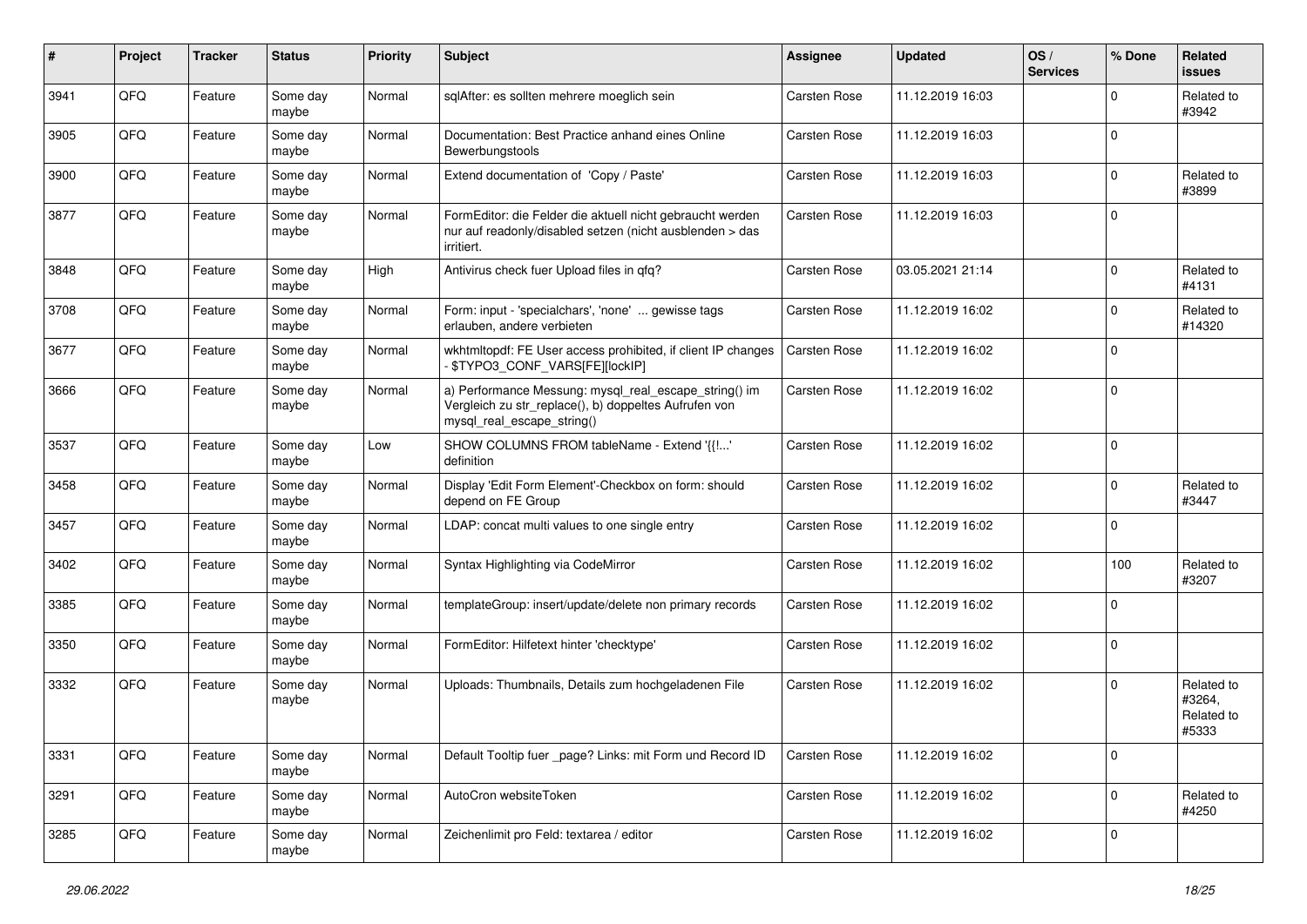| #    | Project | <b>Tracker</b> | <b>Status</b>     | <b>Priority</b> | <b>Subject</b>                                                                                                                               | <b>Assignee</b>     | <b>Updated</b>   | OS/<br><b>Services</b> | % Done      | <b>Related</b><br>issues                    |
|------|---------|----------------|-------------------|-----------------|----------------------------------------------------------------------------------------------------------------------------------------------|---------------------|------------------|------------------------|-------------|---------------------------------------------|
| 3941 | QFQ     | Feature        | Some day<br>maybe | Normal          | sqlAfter: es sollten mehrere moeglich sein                                                                                                   | <b>Carsten Rose</b> | 11.12.2019 16:03 |                        | 0           | Related to<br>#3942                         |
| 3905 | QFQ     | Feature        | Some day<br>maybe | Normal          | Documentation: Best Practice anhand eines Online<br>Bewerbungstools                                                                          | <b>Carsten Rose</b> | 11.12.2019 16:03 |                        | 0           |                                             |
| 3900 | QFQ     | Feature        | Some day<br>maybe | Normal          | Extend documentation of 'Copy / Paste'                                                                                                       | Carsten Rose        | 11.12.2019 16:03 |                        | 0           | Related to<br>#3899                         |
| 3877 | QFQ     | Feature        | Some day<br>maybe | Normal          | FormEditor: die Felder die aktuell nicht gebraucht werden<br>nur auf readonly/disabled setzen (nicht ausblenden > das<br>irritiert.          | Carsten Rose        | 11.12.2019 16:03 |                        | 0           |                                             |
| 3848 | QFQ     | Feature        | Some day<br>maybe | High            | Antivirus check fuer Upload files in qfq?                                                                                                    | Carsten Rose        | 03.05.2021 21:14 |                        | 0           | Related to<br>#4131                         |
| 3708 | QFQ     | Feature        | Some day<br>maybe | Normal          | Form: input - 'specialchars', 'none'  gewisse tags<br>erlauben, andere verbieten                                                             | <b>Carsten Rose</b> | 11.12.2019 16:02 |                        | 0           | Related to<br>#14320                        |
| 3677 | QFQ     | Feature        | Some day<br>maybe | Normal          | wkhtmltopdf: FE User access prohibited, if client IP changes<br>\$TYPO3_CONF_VARS[FE][lockIP]                                                | Carsten Rose        | 11.12.2019 16:02 |                        | 0           |                                             |
| 3666 | QFQ     | Feature        | Some day<br>maybe | Normal          | a) Performance Messung: mysql_real_escape_string() im<br>Vergleich zu str_replace(), b) doppeltes Aufrufen von<br>mysql_real_escape_string() | <b>Carsten Rose</b> | 11.12.2019 16:02 |                        | $\mathbf 0$ |                                             |
| 3537 | QFQ     | Feature        | Some day<br>maybe | Low             | SHOW COLUMNS FROM tableName - Extend '{{!'<br>definition                                                                                     | <b>Carsten Rose</b> | 11.12.2019 16:02 |                        | 0           |                                             |
| 3458 | QFQ     | Feature        | Some day<br>maybe | Normal          | Display 'Edit Form Element'-Checkbox on form: should<br>depend on FE Group                                                                   | <b>Carsten Rose</b> | 11.12.2019 16:02 |                        | 0           | Related to<br>#3447                         |
| 3457 | QFQ     | Feature        | Some day<br>maybe | Normal          | LDAP: concat multi values to one single entry                                                                                                | <b>Carsten Rose</b> | 11.12.2019 16:02 |                        | 0           |                                             |
| 3402 | QFQ     | Feature        | Some day<br>maybe | Normal          | Syntax Highlighting via CodeMirror                                                                                                           | Carsten Rose        | 11.12.2019 16:02 |                        | 100         | Related to<br>#3207                         |
| 3385 | QFQ     | Feature        | Some day<br>maybe | Normal          | templateGroup: insert/update/delete non primary records                                                                                      | <b>Carsten Rose</b> | 11.12.2019 16:02 |                        | 0           |                                             |
| 3350 | QFQ     | Feature        | Some day<br>maybe | Normal          | FormEditor: Hilfetext hinter 'checktype'                                                                                                     | Carsten Rose        | 11.12.2019 16:02 |                        | 0           |                                             |
| 3332 | QFQ     | Feature        | Some day<br>maybe | Normal          | Uploads: Thumbnails, Details zum hochgeladenen File                                                                                          | Carsten Rose        | 11.12.2019 16:02 |                        | 0           | Related to<br>#3264,<br>Related to<br>#5333 |
| 3331 | QFQ     | Feature        | Some day<br>maybe | Normal          | Default Tooltip fuer _page? Links: mit Form und Record ID                                                                                    | Carsten Rose        | 11.12.2019 16:02 |                        | 0           |                                             |
| 3291 | QFQ     | Feature        | Some day<br>maybe | Normal          | AutoCron websiteToken                                                                                                                        | Carsten Rose        | 11.12.2019 16:02 |                        | 0           | Related to<br>#4250                         |
| 3285 | QFQ     | Feature        | Some day<br>maybe | Normal          | Zeichenlimit pro Feld: textarea / editor                                                                                                     | Carsten Rose        | 11.12.2019 16:02 |                        | 0           |                                             |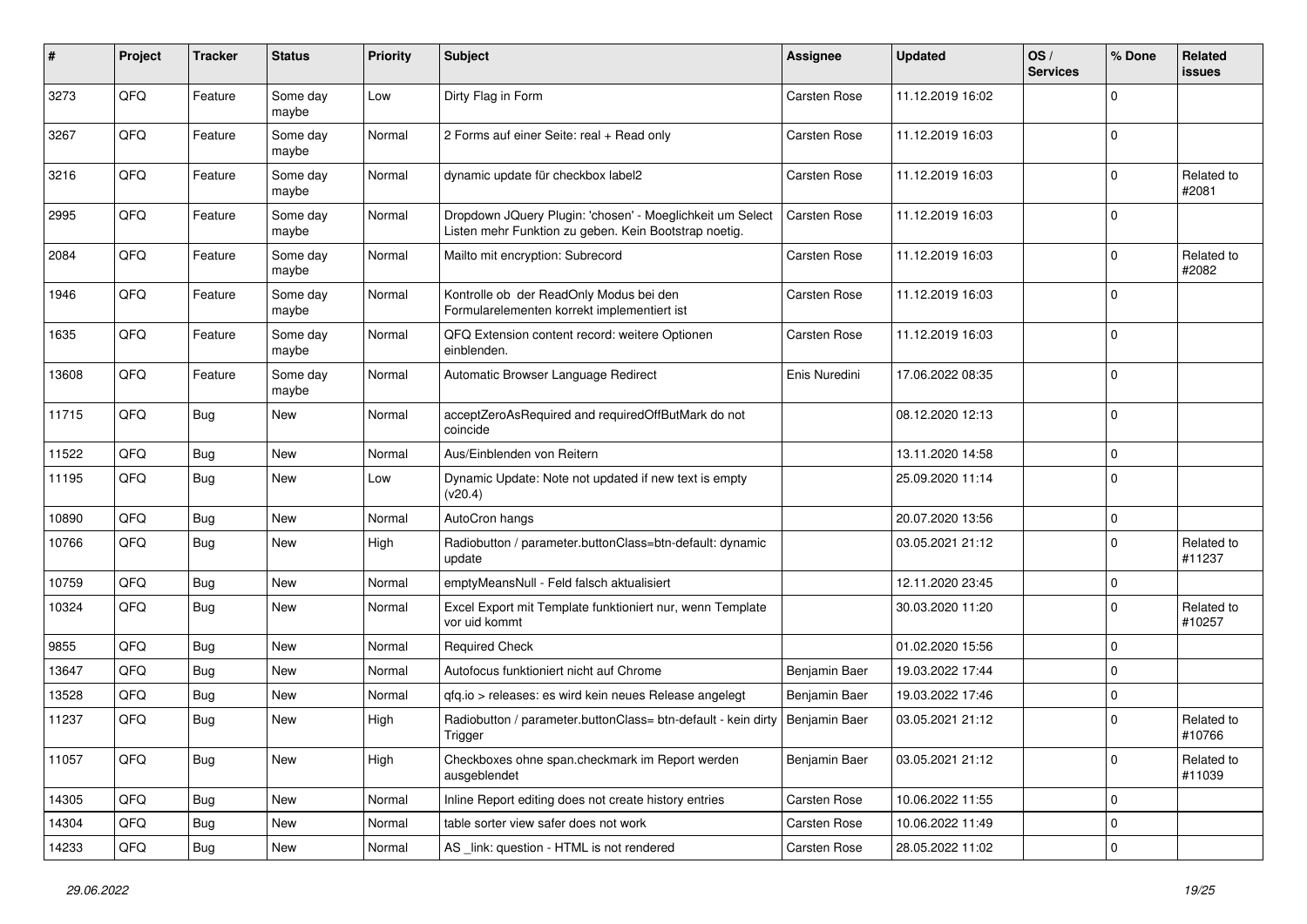| #     | Project | <b>Tracker</b> | <b>Status</b>     | <b>Priority</b> | <b>Subject</b>                                                                                                     | <b>Assignee</b> | <b>Updated</b>   | OS/<br><b>Services</b> | % Done      | <b>Related</b><br>issues |
|-------|---------|----------------|-------------------|-----------------|--------------------------------------------------------------------------------------------------------------------|-----------------|------------------|------------------------|-------------|--------------------------|
| 3273  | QFQ     | Feature        | Some day<br>maybe | Low             | Dirty Flag in Form                                                                                                 | Carsten Rose    | 11.12.2019 16:02 |                        | $\mathbf 0$ |                          |
| 3267  | QFQ     | Feature        | Some day<br>maybe | Normal          | 2 Forms auf einer Seite: real + Read only                                                                          | Carsten Rose    | 11.12.2019 16:03 |                        | $\mathbf 0$ |                          |
| 3216  | QFQ     | Feature        | Some day<br>maybe | Normal          | dynamic update für checkbox label2                                                                                 | Carsten Rose    | 11.12.2019 16:03 |                        | $\mathbf 0$ | Related to<br>#2081      |
| 2995  | QFQ     | Feature        | Some day<br>maybe | Normal          | Dropdown JQuery Plugin: 'chosen' - Moeglichkeit um Select<br>Listen mehr Funktion zu geben. Kein Bootstrap noetig. | Carsten Rose    | 11.12.2019 16:03 |                        | $\mathbf 0$ |                          |
| 2084  | QFQ     | Feature        | Some day<br>maybe | Normal          | Mailto mit encryption: Subrecord                                                                                   | Carsten Rose    | 11.12.2019 16:03 |                        | $\mathbf 0$ | Related to<br>#2082      |
| 1946  | QFQ     | Feature        | Some day<br>maybe | Normal          | Kontrolle ob der ReadOnly Modus bei den<br>Formularelementen korrekt implementiert ist                             | Carsten Rose    | 11.12.2019 16:03 |                        | $\mathbf 0$ |                          |
| 1635  | QFQ     | Feature        | Some day<br>maybe | Normal          | QFQ Extension content record: weitere Optionen<br>einblenden.                                                      | Carsten Rose    | 11.12.2019 16:03 |                        | $\mathbf 0$ |                          |
| 13608 | QFQ     | Feature        | Some day<br>maybe | Normal          | Automatic Browser Language Redirect                                                                                | Enis Nuredini   | 17.06.2022 08:35 |                        | $\mathbf 0$ |                          |
| 11715 | QFQ     | Bug            | New               | Normal          | acceptZeroAsRequired and requiredOffButMark do not<br>coincide                                                     |                 | 08.12.2020 12:13 |                        | $\mathbf 0$ |                          |
| 11522 | QFQ     | Bug            | New               | Normal          | Aus/Einblenden von Reitern                                                                                         |                 | 13.11.2020 14:58 |                        | $\mathbf 0$ |                          |
| 11195 | QFQ     | Bug            | New               | Low             | Dynamic Update: Note not updated if new text is empty<br>(v20.4)                                                   |                 | 25.09.2020 11:14 |                        | $\mathbf 0$ |                          |
| 10890 | QFQ     | <b>Bug</b>     | New               | Normal          | AutoCron hangs                                                                                                     |                 | 20.07.2020 13:56 |                        | $\mathbf 0$ |                          |
| 10766 | QFQ     | Bug            | New               | High            | Radiobutton / parameter.buttonClass=btn-default: dynamic<br>update                                                 |                 | 03.05.2021 21:12 |                        | $\mathbf 0$ | Related to<br>#11237     |
| 10759 | QFQ     | Bug            | New               | Normal          | emptyMeansNull - Feld falsch aktualisiert                                                                          |                 | 12.11.2020 23:45 |                        | 0           |                          |
| 10324 | QFQ     | <b>Bug</b>     | New               | Normal          | Excel Export mit Template funktioniert nur, wenn Template<br>vor uid kommt                                         |                 | 30.03.2020 11:20 |                        | $\mathbf 0$ | Related to<br>#10257     |
| 9855  | QFQ     | Bug            | New               | Normal          | <b>Required Check</b>                                                                                              |                 | 01.02.2020 15:56 |                        | $\mathbf 0$ |                          |
| 13647 | QFQ     | Bug            | New               | Normal          | Autofocus funktioniert nicht auf Chrome                                                                            | Benjamin Baer   | 19.03.2022 17:44 |                        | $\mathbf 0$ |                          |
| 13528 | QFQ     | <b>Bug</b>     | New               | Normal          | qfq.io > releases: es wird kein neues Release angelegt                                                             | Benjamin Baer   | 19.03.2022 17:46 |                        | $\mathbf 0$ |                          |
| 11237 | QFQ     | <b>Bug</b>     | New               | High            | Radiobutton / parameter.buttonClass= btn-default - kein dirty<br>Trigger                                           | Benjamin Baer   | 03.05.2021 21:12 |                        | $\mathbf 0$ | Related to<br>#10766     |
| 11057 | QFQ     | Bug            | New               | High            | Checkboxes ohne span.checkmark im Report werden<br>ausgeblendet                                                    | Benjamin Baer   | 03.05.2021 21:12 |                        | $\mathbf 0$ | Related to<br>#11039     |
| 14305 | QFQ     | <b>Bug</b>     | New               | Normal          | Inline Report editing does not create history entries                                                              | Carsten Rose    | 10.06.2022 11:55 |                        | 0           |                          |
| 14304 | QFQ     | <b>Bug</b>     | New               | Normal          | table sorter view safer does not work                                                                              | Carsten Rose    | 10.06.2022 11:49 |                        | $\mathbf 0$ |                          |
| 14233 | QFQ     | Bug            | New               | Normal          | AS _link: question - HTML is not rendered                                                                          | Carsten Rose    | 28.05.2022 11:02 |                        | $\pmb{0}$   |                          |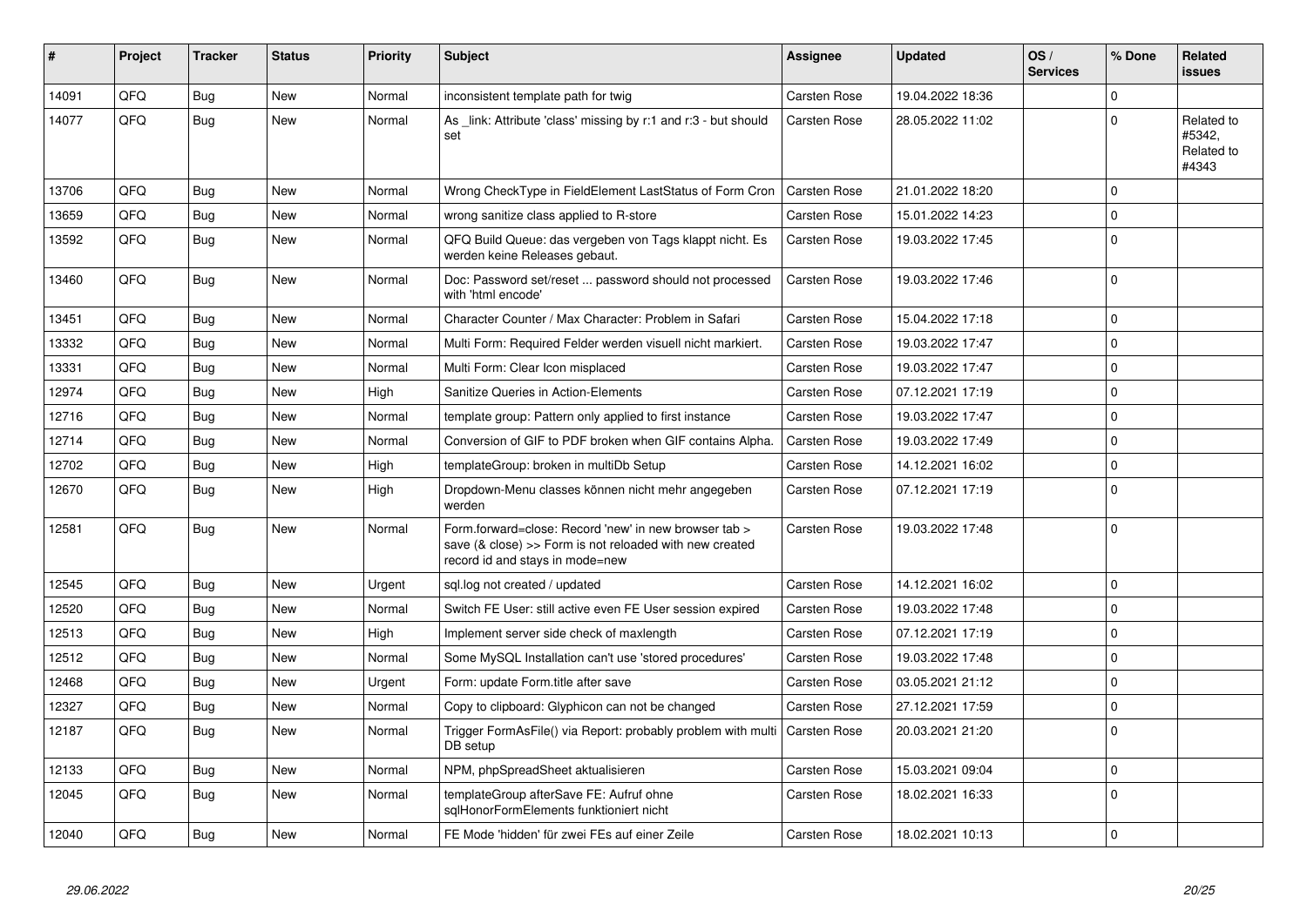| #     | Project | <b>Tracker</b> | <b>Status</b> | <b>Priority</b> | <b>Subject</b>                                                                                                                                      | Assignee     | <b>Updated</b>   | OS/<br><b>Services</b> | % Done      | Related<br><b>issues</b>                    |
|-------|---------|----------------|---------------|-----------------|-----------------------------------------------------------------------------------------------------------------------------------------------------|--------------|------------------|------------------------|-------------|---------------------------------------------|
| 14091 | QFQ     | Bug            | <b>New</b>    | Normal          | inconsistent template path for twig                                                                                                                 | Carsten Rose | 19.04.2022 18:36 |                        | $\Omega$    |                                             |
| 14077 | QFQ     | Bug            | <b>New</b>    | Normal          | As link: Attribute 'class' missing by r:1 and r:3 - but should<br>set                                                                               | Carsten Rose | 28.05.2022 11:02 |                        | $\Omega$    | Related to<br>#5342.<br>Related to<br>#4343 |
| 13706 | QFQ     | Bug            | <b>New</b>    | Normal          | Wrong CheckType in FieldElement LastStatus of Form Cron                                                                                             | Carsten Rose | 21.01.2022 18:20 |                        | $\Omega$    |                                             |
| 13659 | QFQ     | Bug            | <b>New</b>    | Normal          | wrong sanitize class applied to R-store                                                                                                             | Carsten Rose | 15.01.2022 14:23 |                        | $\Omega$    |                                             |
| 13592 | QFQ     | Bug            | New           | Normal          | QFQ Build Queue: das vergeben von Tags klappt nicht. Es<br>werden keine Releases gebaut.                                                            | Carsten Rose | 19.03.2022 17:45 |                        | $\Omega$    |                                             |
| 13460 | QFQ     | Bug            | <b>New</b>    | Normal          | Doc: Password set/reset  password should not processed<br>with 'html encode'                                                                        | Carsten Rose | 19.03.2022 17:46 |                        | $\Omega$    |                                             |
| 13451 | QFQ     | <b>Bug</b>     | <b>New</b>    | Normal          | Character Counter / Max Character: Problem in Safari                                                                                                | Carsten Rose | 15.04.2022 17:18 |                        | $\Omega$    |                                             |
| 13332 | QFQ     | <b>Bug</b>     | <b>New</b>    | Normal          | Multi Form: Required Felder werden visuell nicht markiert.                                                                                          | Carsten Rose | 19.03.2022 17:47 |                        | $\Omega$    |                                             |
| 13331 | QFQ     | Bug            | <b>New</b>    | Normal          | Multi Form: Clear Icon misplaced                                                                                                                    | Carsten Rose | 19.03.2022 17:47 |                        | $\Omega$    |                                             |
| 12974 | QFQ     | <b>Bug</b>     | <b>New</b>    | High            | Sanitize Queries in Action-Elements                                                                                                                 | Carsten Rose | 07.12.2021 17:19 |                        | $\Omega$    |                                             |
| 12716 | QFQ     | Bug            | <b>New</b>    | Normal          | template group: Pattern only applied to first instance                                                                                              | Carsten Rose | 19.03.2022 17:47 |                        | $\Omega$    |                                             |
| 12714 | QFQ     | Bug            | <b>New</b>    | Normal          | Conversion of GIF to PDF broken when GIF contains Alpha.                                                                                            | Carsten Rose | 19.03.2022 17:49 |                        | $\mathbf 0$ |                                             |
| 12702 | QFQ     | Bug            | <b>New</b>    | High            | templateGroup: broken in multiDb Setup                                                                                                              | Carsten Rose | 14.12.2021 16:02 |                        | $\Omega$    |                                             |
| 12670 | QFQ     | Bug            | <b>New</b>    | High            | Dropdown-Menu classes können nicht mehr angegeben<br>werden                                                                                         | Carsten Rose | 07.12.2021 17:19 |                        | $\Omega$    |                                             |
| 12581 | QFQ     | Bug            | <b>New</b>    | Normal          | Form.forward=close: Record 'new' in new browser tab ><br>save (& close) >> Form is not reloaded with new created<br>record id and stays in mode=new | Carsten Rose | 19.03.2022 17:48 |                        | $\Omega$    |                                             |
| 12545 | QFQ     | Bug            | <b>New</b>    | Urgent          | sql.log not created / updated                                                                                                                       | Carsten Rose | 14.12.2021 16:02 |                        | $\Omega$    |                                             |
| 12520 | QFQ     | <b>Bug</b>     | <b>New</b>    | Normal          | Switch FE User: still active even FE User session expired                                                                                           | Carsten Rose | 19.03.2022 17:48 |                        | $\Omega$    |                                             |
| 12513 | QFQ     | <b>Bug</b>     | <b>New</b>    | High            | Implement server side check of maxlength                                                                                                            | Carsten Rose | 07.12.2021 17:19 |                        | $\Omega$    |                                             |
| 12512 | QFQ     | Bug            | <b>New</b>    | Normal          | Some MySQL Installation can't use 'stored procedures'                                                                                               | Carsten Rose | 19.03.2022 17:48 |                        | $\Omega$    |                                             |
| 12468 | QFQ     | <b>Bug</b>     | <b>New</b>    | Urgent          | Form: update Form.title after save                                                                                                                  | Carsten Rose | 03.05.2021 21:12 |                        | $\Omega$    |                                             |
| 12327 | QFQ     | Bug            | <b>New</b>    | Normal          | Copy to clipboard: Glyphicon can not be changed                                                                                                     | Carsten Rose | 27.12.2021 17:59 |                        | $\Omega$    |                                             |
| 12187 | QFQ     | <b>Bug</b>     | <b>New</b>    | Normal          | Trigger FormAsFile() via Report: probably problem with multi<br>DB setup                                                                            | Carsten Rose | 20.03.2021 21:20 |                        | $\Omega$    |                                             |
| 12133 | OFQ     | <b>Bug</b>     | <b>New</b>    | Normal          | NPM, phpSpreadSheet aktualisieren                                                                                                                   | Carsten Rose | 15.03.2021 09:04 |                        | $\Omega$    |                                             |
| 12045 | QFQ     | Bug            | <b>New</b>    | Normal          | templateGroup afterSave FE: Aufruf ohne<br>sglHonorFormElements funktioniert nicht                                                                  | Carsten Rose | 18.02.2021 16:33 |                        | $\Omega$    |                                             |
| 12040 | QFQ     | Bug            | <b>New</b>    | Normal          | FE Mode 'hidden' für zwei FEs auf einer Zeile                                                                                                       | Carsten Rose | 18.02.2021 10:13 |                        | $\mathbf 0$ |                                             |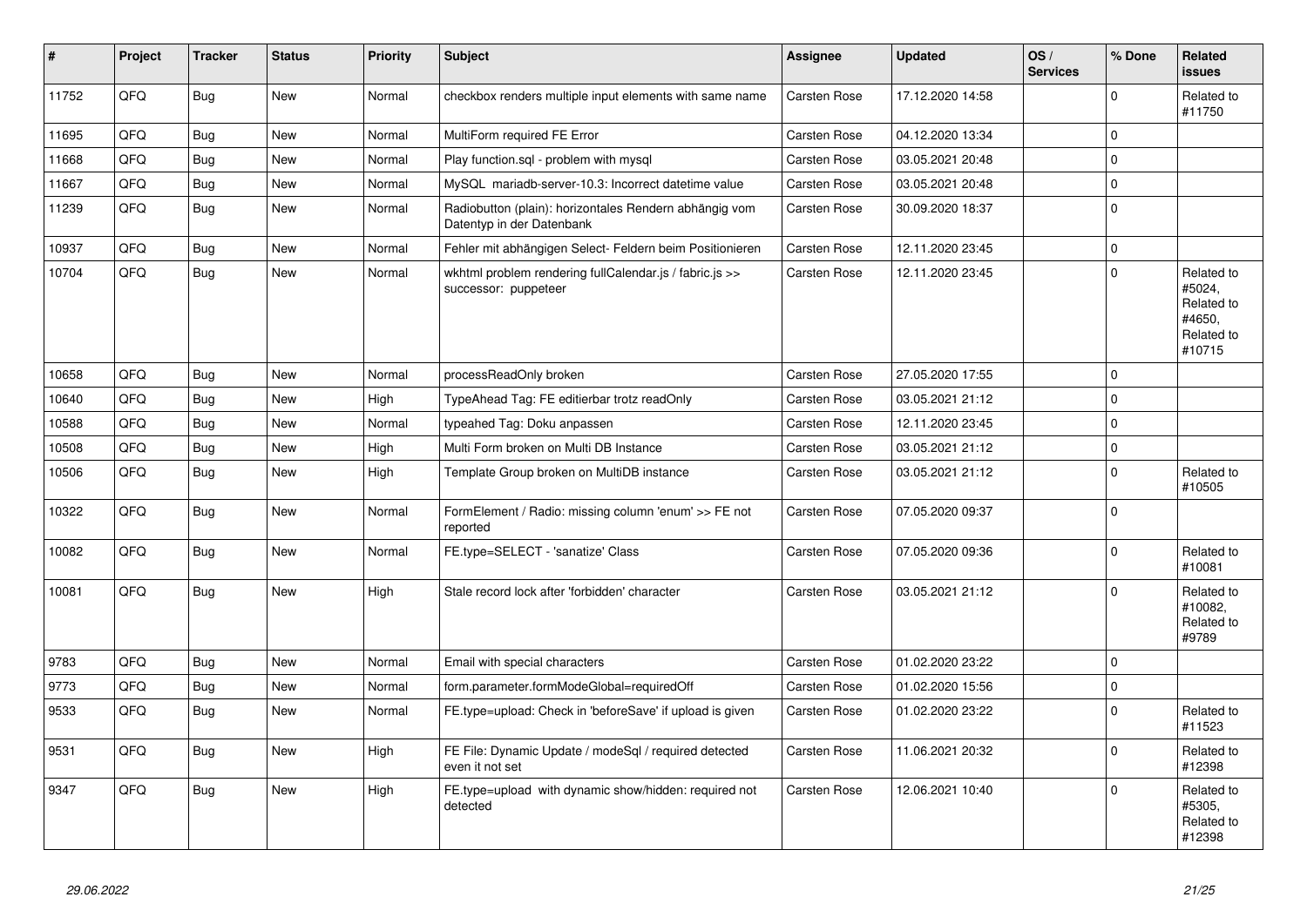| #     | Project | <b>Tracker</b> | <b>Status</b> | Priority | <b>Subject</b>                                                                      | <b>Assignee</b>     | <b>Updated</b>   | OS/<br><b>Services</b> | % Done      | <b>Related</b><br>issues                                             |
|-------|---------|----------------|---------------|----------|-------------------------------------------------------------------------------------|---------------------|------------------|------------------------|-------------|----------------------------------------------------------------------|
| 11752 | QFQ     | <b>Bug</b>     | <b>New</b>    | Normal   | checkbox renders multiple input elements with same name                             | <b>Carsten Rose</b> | 17.12.2020 14:58 |                        | $\Omega$    | Related to<br>#11750                                                 |
| 11695 | QFQ     | Bug            | <b>New</b>    | Normal   | MultiForm required FE Error                                                         | <b>Carsten Rose</b> | 04.12.2020 13:34 |                        | $\Omega$    |                                                                      |
| 11668 | QFQ     | Bug            | <b>New</b>    | Normal   | Play function.sgl - problem with mysgl                                              | Carsten Rose        | 03.05.2021 20:48 |                        | $\Omega$    |                                                                      |
| 11667 | QFQ     | Bug            | <b>New</b>    | Normal   | MySQL mariadb-server-10.3: Incorrect datetime value                                 | Carsten Rose        | 03.05.2021 20:48 |                        | $\Omega$    |                                                                      |
| 11239 | QFQ     | <b>Bug</b>     | <b>New</b>    | Normal   | Radiobutton (plain): horizontales Rendern abhängig vom<br>Datentyp in der Datenbank | <b>Carsten Rose</b> | 30.09.2020 18:37 |                        | $\mathbf 0$ |                                                                      |
| 10937 | QFQ     | Bug            | <b>New</b>    | Normal   | Fehler mit abhängigen Select- Feldern beim Positionieren                            | Carsten Rose        | 12.11.2020 23:45 |                        | $\Omega$    |                                                                      |
| 10704 | QFQ     | Bug            | New           | Normal   | wkhtml problem rendering fullCalendar.js / fabric.js >><br>successor: puppeteer     | Carsten Rose        | 12.11.2020 23:45 |                        | $\mathbf 0$ | Related to<br>#5024,<br>Related to<br>#4650,<br>Related to<br>#10715 |
| 10658 | QFQ     | Bug            | <b>New</b>    | Normal   | processReadOnly broken                                                              | <b>Carsten Rose</b> | 27.05.2020 17:55 |                        | $\Omega$    |                                                                      |
| 10640 | QFQ     | <b>Bug</b>     | <b>New</b>    | High     | TypeAhead Tag: FE editierbar trotz readOnly                                         | Carsten Rose        | 03.05.2021 21:12 |                        | 0           |                                                                      |
| 10588 | QFQ     | Bug            | <b>New</b>    | Normal   | typeahed Tag: Doku anpassen                                                         | Carsten Rose        | 12.11.2020 23:45 |                        | $\mathbf 0$ |                                                                      |
| 10508 | QFQ     | Bug            | <b>New</b>    | High     | Multi Form broken on Multi DB Instance                                              | <b>Carsten Rose</b> | 03.05.2021 21:12 |                        | 0           |                                                                      |
| 10506 | QFQ     | <b>Bug</b>     | <b>New</b>    | High     | Template Group broken on MultiDB instance                                           | Carsten Rose        | 03.05.2021 21:12 |                        | $\Omega$    | Related to<br>#10505                                                 |
| 10322 | QFQ     | Bug            | <b>New</b>    | Normal   | FormElement / Radio: missing column 'enum' >> FE not<br>reported                    | Carsten Rose        | 07.05.2020 09:37 |                        | $\mathbf 0$ |                                                                      |
| 10082 | QFQ     | <b>Bug</b>     | <b>New</b>    | Normal   | FE.type=SELECT - 'sanatize' Class                                                   | Carsten Rose        | 07.05.2020 09:36 |                        | $\Omega$    | Related to<br>#10081                                                 |
| 10081 | QFQ     | Bug            | <b>New</b>    | High     | Stale record lock after 'forbidden' character                                       | Carsten Rose        | 03.05.2021 21:12 |                        | $\Omega$    | Related to<br>#10082,<br>Related to<br>#9789                         |
| 9783  | QFQ     | Bug            | <b>New</b>    | Normal   | Email with special characters                                                       | <b>Carsten Rose</b> | 01.02.2020 23:22 |                        | 0           |                                                                      |
| 9773  | QFQ     | <b>Bug</b>     | New           | Normal   | form.parameter.formModeGlobal=requiredOff                                           | <b>Carsten Rose</b> | 01.02.2020 15:56 |                        | 0           |                                                                      |
| 9533  | QFQ     | <b>Bug</b>     | New           | Normal   | FE.type=upload: Check in 'beforeSave' if upload is given                            | Carsten Rose        | 01.02.2020 23:22 |                        | 0           | Related to<br>#11523                                                 |
| 9531  | QFQ     | <b>Bug</b>     | <b>New</b>    | High     | FE File: Dynamic Update / modeSql / required detected<br>even it not set            | Carsten Rose        | 11.06.2021 20:32 |                        | $\Omega$    | Related to<br>#12398                                                 |
| 9347  | QFQ     | Bug            | <b>New</b>    | High     | FE.type=upload with dynamic show/hidden: required not<br>detected                   | Carsten Rose        | 12.06.2021 10:40 |                        | $\mathbf 0$ | Related to<br>#5305,<br>Related to<br>#12398                         |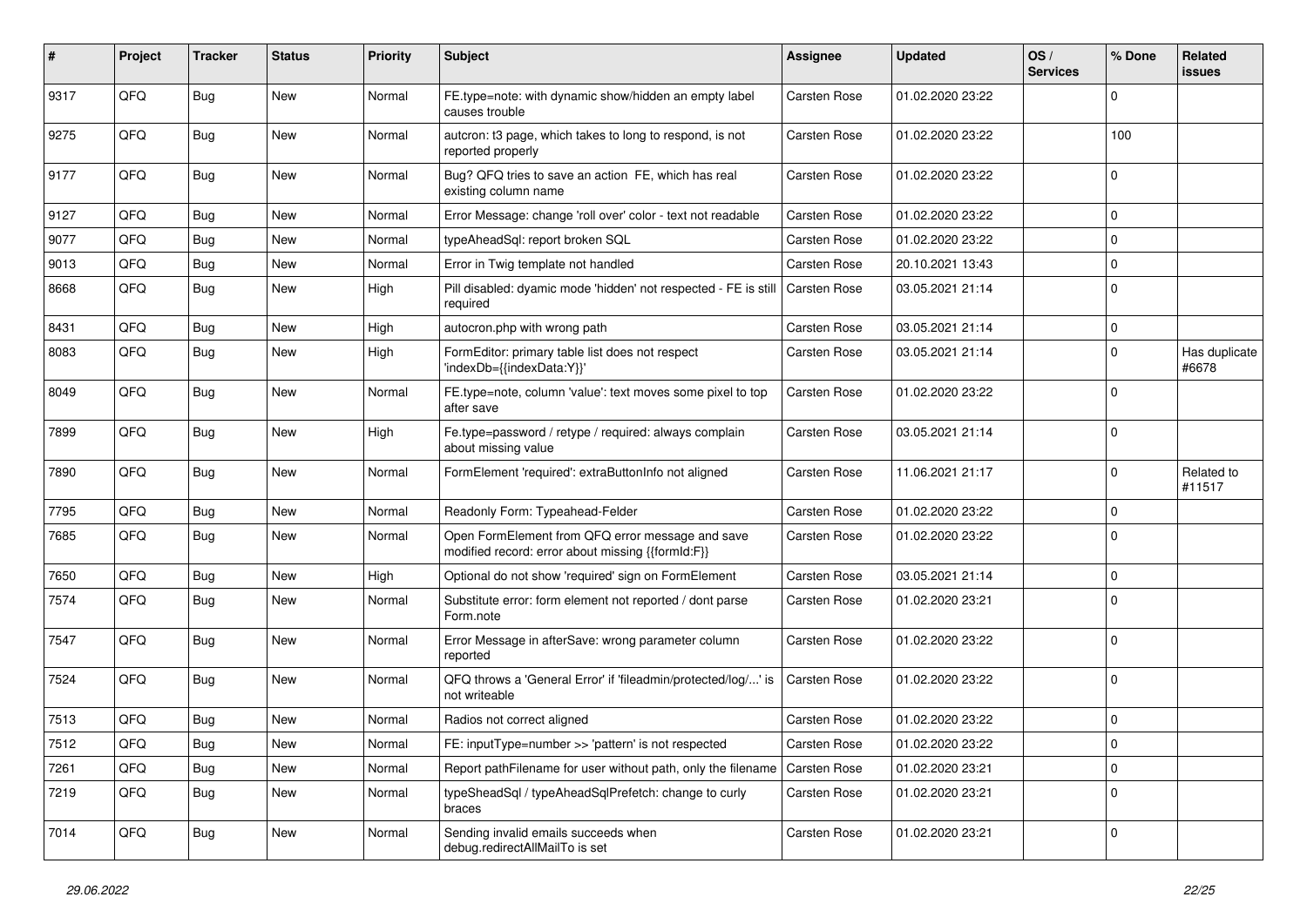| #    | Project | <b>Tracker</b> | <b>Status</b> | <b>Priority</b> | Subject                                                                                               | <b>Assignee</b> | <b>Updated</b>   | OS/<br><b>Services</b> | % Done      | <b>Related</b><br>issues |
|------|---------|----------------|---------------|-----------------|-------------------------------------------------------------------------------------------------------|-----------------|------------------|------------------------|-------------|--------------------------|
| 9317 | QFQ     | <b>Bug</b>     | <b>New</b>    | Normal          | FE.type=note: with dynamic show/hidden an empty label<br>causes trouble                               | Carsten Rose    | 01.02.2020 23:22 |                        | $\Omega$    |                          |
| 9275 | QFQ     | <b>Bug</b>     | New           | Normal          | autcron: t3 page, which takes to long to respond, is not<br>reported properly                         | Carsten Rose    | 01.02.2020 23:22 |                        | 100         |                          |
| 9177 | QFQ     | <b>Bug</b>     | New           | Normal          | Bug? QFQ tries to save an action FE, which has real<br>existing column name                           | Carsten Rose    | 01.02.2020 23:22 |                        | $\Omega$    |                          |
| 9127 | QFQ     | <b>Bug</b>     | New           | Normal          | Error Message: change 'roll over' color - text not readable                                           | Carsten Rose    | 01.02.2020 23:22 |                        | $\Omega$    |                          |
| 9077 | QFQ     | <b>Bug</b>     | New           | Normal          | typeAheadSql: report broken SQL                                                                       | Carsten Rose    | 01.02.2020 23:22 |                        | $\Omega$    |                          |
| 9013 | QFQ     | <b>Bug</b>     | <b>New</b>    | Normal          | Error in Twig template not handled                                                                    | Carsten Rose    | 20.10.2021 13:43 |                        | $\Omega$    |                          |
| 8668 | QFQ     | <b>Bug</b>     | New           | High            | Pill disabled: dyamic mode 'hidden' not respected - FE is still<br>required                           | Carsten Rose    | 03.05.2021 21:14 |                        | $\Omega$    |                          |
| 8431 | QFQ     | <b>Bug</b>     | New           | High            | autocron.php with wrong path                                                                          | Carsten Rose    | 03.05.2021 21:14 |                        | $\Omega$    |                          |
| 8083 | QFQ     | <b>Bug</b>     | New           | High            | FormEditor: primary table list does not respect<br>'indexDb={{indexData:Y}}'                          | Carsten Rose    | 03.05.2021 21:14 |                        | $\Omega$    | Has duplicate<br>#6678   |
| 8049 | QFQ     | <b>Bug</b>     | New           | Normal          | FE.type=note, column 'value': text moves some pixel to top<br>after save                              | Carsten Rose    | 01.02.2020 23:22 |                        | $\Omega$    |                          |
| 7899 | QFQ     | <b>Bug</b>     | New           | High            | Fe.type=password / retype / required: always complain<br>about missing value                          | Carsten Rose    | 03.05.2021 21:14 |                        | $\mathbf 0$ |                          |
| 7890 | QFQ     | Bug            | New           | Normal          | FormElement 'required': extraButtonInfo not aligned                                                   | Carsten Rose    | 11.06.2021 21:17 |                        | $\Omega$    | Related to<br>#11517     |
| 7795 | QFQ     | <b>Bug</b>     | New           | Normal          | Readonly Form: Typeahead-Felder                                                                       | Carsten Rose    | 01.02.2020 23:22 |                        | $\Omega$    |                          |
| 7685 | QFQ     | <b>Bug</b>     | New           | Normal          | Open FormElement from QFQ error message and save<br>modified record: error about missing {{formId:F}} | Carsten Rose    | 01.02.2020 23:22 |                        | $\Omega$    |                          |
| 7650 | QFQ     | <b>Bug</b>     | <b>New</b>    | High            | Optional do not show 'required' sign on FormElement                                                   | Carsten Rose    | 03.05.2021 21:14 |                        | $\Omega$    |                          |
| 7574 | QFQ     | <b>Bug</b>     | New           | Normal          | Substitute error: form element not reported / dont parse<br>Form.note                                 | Carsten Rose    | 01.02.2020 23:21 |                        | $\Omega$    |                          |
| 7547 | QFQ     | Bug            | New           | Normal          | Error Message in afterSave: wrong parameter column<br>reported                                        | Carsten Rose    | 01.02.2020 23:22 |                        | $\Omega$    |                          |
| 7524 | QFQ     | <b>Bug</b>     | New           | Normal          | QFQ throws a 'General Error' if 'fileadmin/protected/log/' is<br>not writeable                        | Carsten Rose    | 01.02.2020 23:22 |                        | $\Omega$    |                          |
| 7513 | QFQ     | <b>Bug</b>     | New           | Normal          | Radios not correct aligned                                                                            | Carsten Rose    | 01.02.2020 23:22 |                        | $\Omega$    |                          |
| 7512 | QFQ     | Bug            | New           | Normal          | FE: inputType=number >> 'pattern' is not respected                                                    | Carsten Rose    | 01.02.2020 23:22 |                        | 0           |                          |
| 7261 | QFQ     | <b>Bug</b>     | New           | Normal          | Report pathFilename for user without path, only the filename                                          | Carsten Rose    | 01.02.2020 23:21 |                        | 0           |                          |
| 7219 | QFQ     | <b>Bug</b>     | New           | Normal          | typeSheadSql / typeAheadSqlPrefetch: change to curly<br>braces                                        | Carsten Rose    | 01.02.2020 23:21 |                        | 0           |                          |
| 7014 | QFQ     | Bug            | New           | Normal          | Sending invalid emails succeeds when<br>debug.redirectAllMailTo is set                                | Carsten Rose    | 01.02.2020 23:21 |                        | 0           |                          |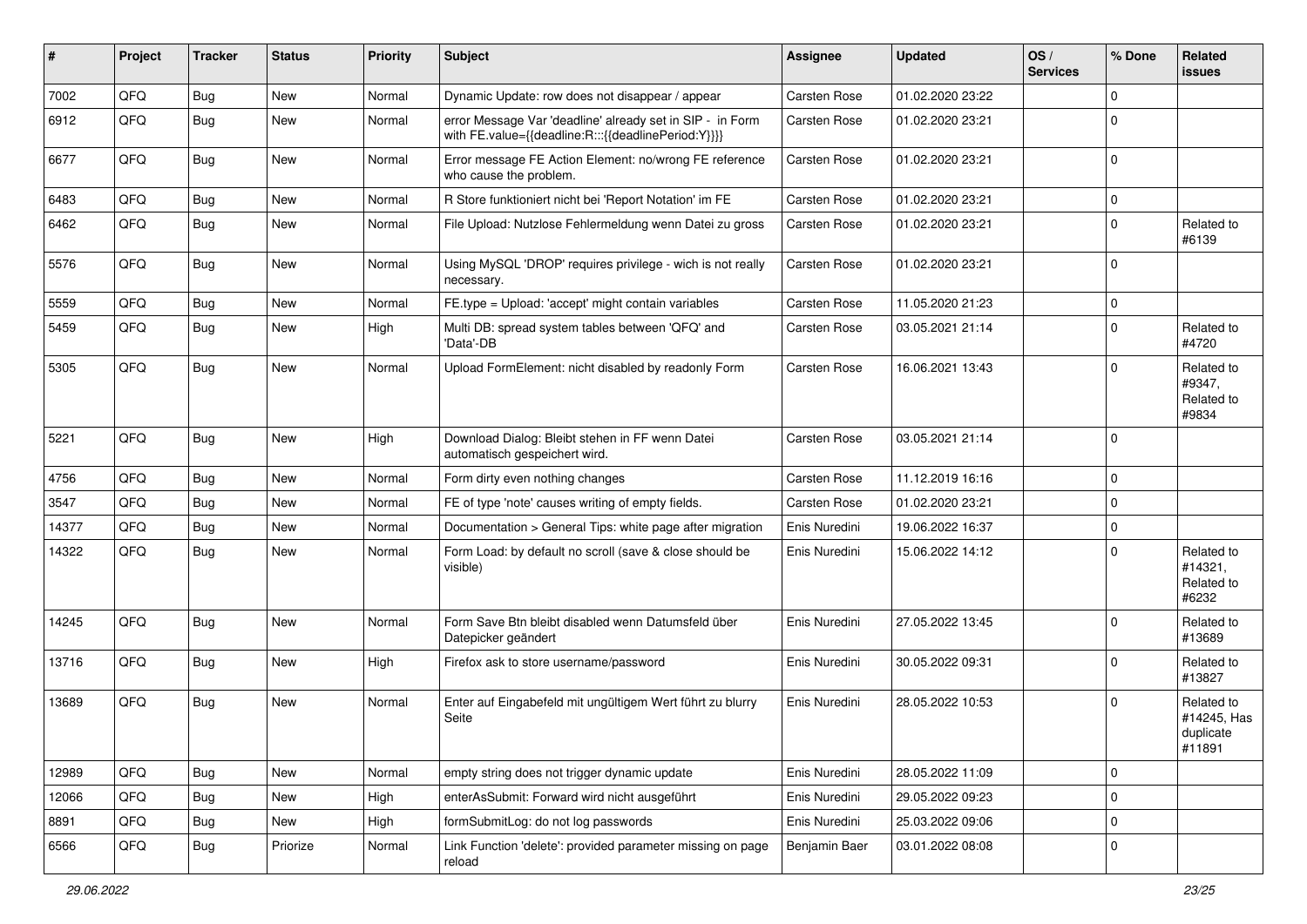| #     | Project | <b>Tracker</b> | <b>Status</b> | <b>Priority</b> | <b>Subject</b>                                                                                                   | <b>Assignee</b> | <b>Updated</b>   | OS/<br><b>Services</b> | % Done      | <b>Related</b><br>issues                         |
|-------|---------|----------------|---------------|-----------------|------------------------------------------------------------------------------------------------------------------|-----------------|------------------|------------------------|-------------|--------------------------------------------------|
| 7002  | QFQ     | <b>Bug</b>     | <b>New</b>    | Normal          | Dynamic Update: row does not disappear / appear                                                                  | Carsten Rose    | 01.02.2020 23:22 |                        | $\mathbf 0$ |                                                  |
| 6912  | QFQ     | <b>Bug</b>     | <b>New</b>    | Normal          | error Message Var 'deadline' already set in SIP - in Form<br>with FE.value={{deadline:R:::{{deadlinePeriod:Y}}}} | Carsten Rose    | 01.02.2020 23:21 |                        | $\Omega$    |                                                  |
| 6677  | QFQ     | <b>Bug</b>     | New           | Normal          | Error message FE Action Element: no/wrong FE reference<br>who cause the problem.                                 | Carsten Rose    | 01.02.2020 23:21 |                        | $\mathbf 0$ |                                                  |
| 6483  | QFQ     | <b>Bug</b>     | <b>New</b>    | Normal          | R Store funktioniert nicht bei 'Report Notation' im FE                                                           | Carsten Rose    | 01.02.2020 23:21 |                        | $\mathbf 0$ |                                                  |
| 6462  | QFQ     | <b>Bug</b>     | <b>New</b>    | Normal          | File Upload: Nutzlose Fehlermeldung wenn Datei zu gross                                                          | Carsten Rose    | 01.02.2020 23:21 |                        | $\mathbf 0$ | Related to<br>#6139                              |
| 5576  | QFQ     | <b>Bug</b>     | <b>New</b>    | Normal          | Using MySQL 'DROP' requires privilege - wich is not really<br>necessary.                                         | Carsten Rose    | 01.02.2020 23:21 |                        | $\mathbf 0$ |                                                  |
| 5559  | QFQ     | <b>Bug</b>     | <b>New</b>    | Normal          | FE.type = Upload: 'accept' might contain variables                                                               | Carsten Rose    | 11.05.2020 21:23 |                        | 0           |                                                  |
| 5459  | QFQ     | <b>Bug</b>     | <b>New</b>    | High            | Multi DB: spread system tables between 'QFQ' and<br>'Data'-DB                                                    | Carsten Rose    | 03.05.2021 21:14 |                        | $\mathbf 0$ | Related to<br>#4720                              |
| 5305  | QFQ     | Bug            | <b>New</b>    | Normal          | Upload FormElement: nicht disabled by readonly Form                                                              | Carsten Rose    | 16.06.2021 13:43 |                        | $\mathbf 0$ | Related to<br>#9347,<br>Related to<br>#9834      |
| 5221  | QFQ     | <b>Bug</b>     | <b>New</b>    | High            | Download Dialog: Bleibt stehen in FF wenn Datei<br>automatisch gespeichert wird.                                 | Carsten Rose    | 03.05.2021 21:14 |                        | $\mathbf 0$ |                                                  |
| 4756  | QFQ     | <b>Bug</b>     | New           | Normal          | Form dirty even nothing changes                                                                                  | Carsten Rose    | 11.12.2019 16:16 |                        | $\mathbf 0$ |                                                  |
| 3547  | QFQ     | Bug            | New           | Normal          | FE of type 'note' causes writing of empty fields.                                                                | Carsten Rose    | 01.02.2020 23:21 |                        | $\mathbf 0$ |                                                  |
| 14377 | QFQ     | <b>Bug</b>     | <b>New</b>    | Normal          | Documentation > General Tips: white page after migration                                                         | Enis Nuredini   | 19.06.2022 16:37 |                        | 0           |                                                  |
| 14322 | QFQ     | <b>Bug</b>     | <b>New</b>    | Normal          | Form Load: by default no scroll (save & close should be<br>visible)                                              | Enis Nuredini   | 15.06.2022 14:12 |                        | $\mathbf 0$ | Related to<br>#14321,<br>Related to<br>#6232     |
| 14245 | QFQ     | Bug            | <b>New</b>    | Normal          | Form Save Btn bleibt disabled wenn Datumsfeld über<br>Datepicker geändert                                        | Enis Nuredini   | 27.05.2022 13:45 |                        | $\mathbf 0$ | Related to<br>#13689                             |
| 13716 | QFQ     | <b>Bug</b>     | New           | High            | Firefox ask to store username/password                                                                           | Enis Nuredini   | 30.05.2022 09:31 |                        | $\mathbf 0$ | Related to<br>#13827                             |
| 13689 | QFQ     | <b>Bug</b>     | New           | Normal          | Enter auf Eingabefeld mit ungültigem Wert führt zu blurry<br>Seite                                               | Enis Nuredini   | 28.05.2022 10:53 |                        | $\mathbf 0$ | Related to<br>#14245, Has<br>duplicate<br>#11891 |
| 12989 | QFQ     | <b>Bug</b>     | New           | Normal          | empty string does not trigger dynamic update                                                                     | Enis Nuredini   | 28.05.2022 11:09 |                        | $\pmb{0}$   |                                                  |
| 12066 | QFQ     | Bug            | New           | High            | enterAsSubmit: Forward wird nicht ausgeführt                                                                     | Enis Nuredini   | 29.05.2022 09:23 |                        | $\pmb{0}$   |                                                  |
| 8891  | QFQ     | Bug            | New           | High            | formSubmitLog: do not log passwords                                                                              | Enis Nuredini   | 25.03.2022 09:06 |                        | $\pmb{0}$   |                                                  |
| 6566  | QFQ     | Bug            | Priorize      | Normal          | Link Function 'delete': provided parameter missing on page<br>reload                                             | Benjamin Baer   | 03.01.2022 08:08 |                        | $\pmb{0}$   |                                                  |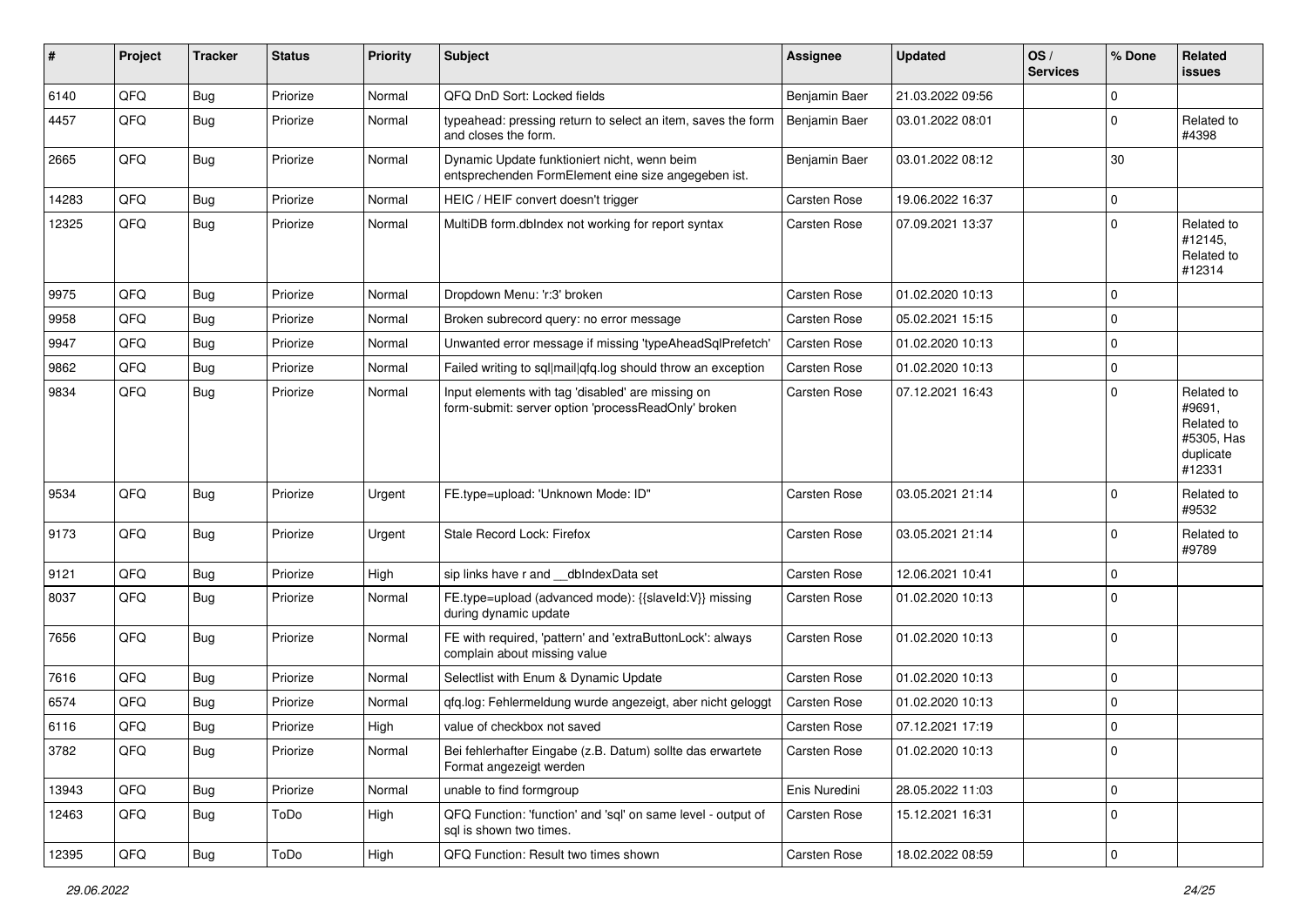| #     | Project | <b>Tracker</b> | <b>Status</b> | <b>Priority</b> | Subject                                                                                                  | <b>Assignee</b> | <b>Updated</b>   | OS/<br><b>Services</b> | % Done      | <b>Related</b><br>issues                                                |
|-------|---------|----------------|---------------|-----------------|----------------------------------------------------------------------------------------------------------|-----------------|------------------|------------------------|-------------|-------------------------------------------------------------------------|
| 6140  | QFQ     | <b>Bug</b>     | Priorize      | Normal          | QFQ DnD Sort: Locked fields                                                                              | Benjamin Baer   | 21.03.2022 09:56 |                        | 0           |                                                                         |
| 4457  | QFQ     | <b>Bug</b>     | Priorize      | Normal          | typeahead: pressing return to select an item, saves the form<br>and closes the form.                     | Benjamin Baer   | 03.01.2022 08:01 |                        | 0           | Related to<br>#4398                                                     |
| 2665  | QFQ     | <b>Bug</b>     | Priorize      | Normal          | Dynamic Update funktioniert nicht, wenn beim<br>entsprechenden FormElement eine size angegeben ist.      | Benjamin Baer   | 03.01.2022 08:12 |                        | 30          |                                                                         |
| 14283 | QFQ     | Bug            | Priorize      | Normal          | HEIC / HEIF convert doesn't trigger                                                                      | Carsten Rose    | 19.06.2022 16:37 |                        | 0           |                                                                         |
| 12325 | QFQ     | Bug            | Priorize      | Normal          | MultiDB form.dblndex not working for report syntax                                                       | Carsten Rose    | 07.09.2021 13:37 |                        | 0           | Related to<br>#12145,<br>Related to<br>#12314                           |
| 9975  | QFQ     | <b>Bug</b>     | Priorize      | Normal          | Dropdown Menu: 'r:3' broken                                                                              | Carsten Rose    | 01.02.2020 10:13 |                        | 0           |                                                                         |
| 9958  | QFQ     | <b>Bug</b>     | Priorize      | Normal          | Broken subrecord query: no error message                                                                 | Carsten Rose    | 05.02.2021 15:15 |                        | 0           |                                                                         |
| 9947  | QFQ     | Bug            | Priorize      | Normal          | Unwanted error message if missing 'typeAheadSqlPrefetch'                                                 | Carsten Rose    | 01.02.2020 10:13 |                        | 0           |                                                                         |
| 9862  | QFQ     | <b>Bug</b>     | Priorize      | Normal          | Failed writing to sql mail qfq.log should throw an exception                                             | Carsten Rose    | 01.02.2020 10:13 |                        | 0           |                                                                         |
| 9834  | QFQ     | <b>Bug</b>     | Priorize      | Normal          | Input elements with tag 'disabled' are missing on<br>form-submit: server option 'processReadOnly' broken | Carsten Rose    | 07.12.2021 16:43 |                        | 0           | Related to<br>#9691.<br>Related to<br>#5305, Has<br>duplicate<br>#12331 |
| 9534  | QFQ     | Bug            | Priorize      | Urgent          | FE.type=upload: 'Unknown Mode: ID"                                                                       | Carsten Rose    | 03.05.2021 21:14 |                        | $\mathbf 0$ | Related to<br>#9532                                                     |
| 9173  | QFQ     | <b>Bug</b>     | Priorize      | Urgent          | Stale Record Lock: Firefox                                                                               | Carsten Rose    | 03.05.2021 21:14 |                        | $\mathbf 0$ | Related to<br>#9789                                                     |
| 9121  | QFQ     | <b>Bug</b>     | Priorize      | High            | sip links have r and __dbIndexData set                                                                   | Carsten Rose    | 12.06.2021 10:41 |                        | 0           |                                                                         |
| 8037  | QFQ     | <b>Bug</b>     | Priorize      | Normal          | FE.type=upload (advanced mode): {{slaveld:V}} missing<br>during dynamic update                           | Carsten Rose    | 01.02.2020 10:13 |                        | $\mathbf 0$ |                                                                         |
| 7656  | QFQ     | Bug            | Priorize      | Normal          | FE with required, 'pattern' and 'extraButtonLock': always<br>complain about missing value                | Carsten Rose    | 01.02.2020 10:13 |                        | 0           |                                                                         |
| 7616  | QFQ     | <b>Bug</b>     | Priorize      | Normal          | Selectlist with Enum & Dynamic Update                                                                    | Carsten Rose    | 01.02.2020 10:13 |                        | 0           |                                                                         |
| 6574  | QFQ     | <b>Bug</b>     | Priorize      | Normal          | qfq.log: Fehlermeldung wurde angezeigt, aber nicht geloggt                                               | Carsten Rose    | 01.02.2020 10:13 |                        | 0           |                                                                         |
| 6116  | QFQ     | <b>Bug</b>     | Priorize      | High            | value of checkbox not saved                                                                              | Carsten Rose    | 07.12.2021 17:19 |                        | 0           |                                                                         |
| 3782  | QFQ     | Bug            | Priorize      | Normal          | Bei fehlerhafter Eingabe (z.B. Datum) sollte das erwartete<br>Format angezeigt werden                    | Carsten Rose    | 01.02.2020 10:13 |                        | 0           |                                                                         |
| 13943 | QFQ     | Bug            | Priorize      | Normal          | unable to find formgroup                                                                                 | Enis Nuredini   | 28.05.2022 11:03 |                        | $\mathbf 0$ |                                                                         |
| 12463 | QFQ     | Bug            | ToDo          | High            | QFQ Function: 'function' and 'sql' on same level - output of<br>sql is shown two times.                  | Carsten Rose    | 15.12.2021 16:31 |                        | $\mathbf 0$ |                                                                         |
| 12395 | QFQ     | <b>Bug</b>     | ToDo          | High            | QFQ Function: Result two times shown                                                                     | Carsten Rose    | 18.02.2022 08:59 |                        | $\pmb{0}$   |                                                                         |